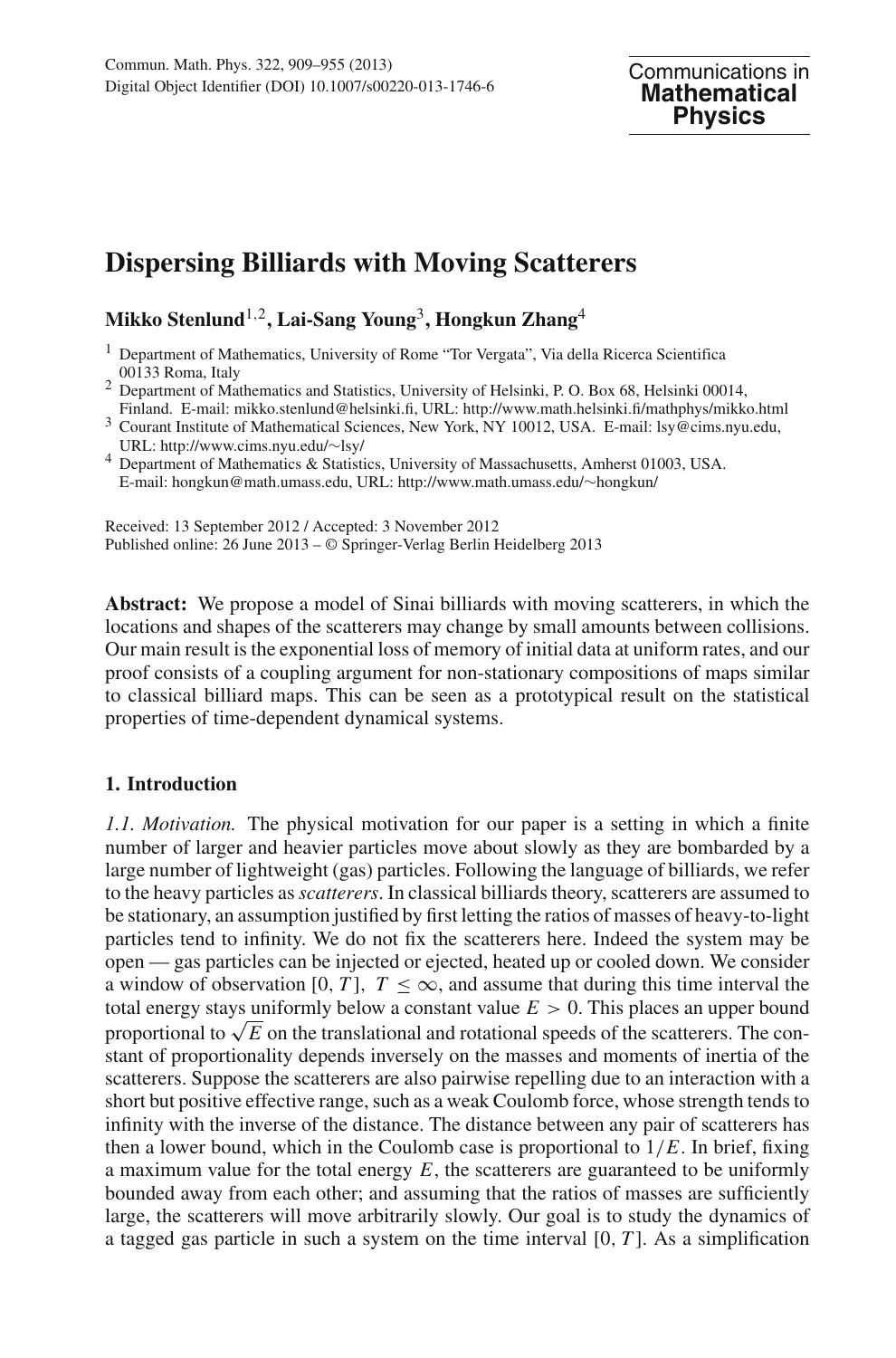# **Dispersing Billiards with Moving Scatterers**

## **Mikko Stenlund**1,2**, Lai-Sang Young**3**, Hongkun Zhang**<sup>4</sup>

<sup>1</sup> Department of Mathematics, University of Rome "Tor Vergata", Via della Ricerca Scientifica  $00133$  Roma, Italy

- <sup>2</sup> Department of Mathematics and Statistics, University of Helsinki, P. O. Box 68, Helsinki 00014,<br>Finland. E-mail: mikko.stenlund@helsinki.fi, URL: http://www.math.helsinki.fi/mathphys/mikko.html
- Figure Finland. E-mail: mikrophelsinki.<br>Finland. E-mail: Isy@cims.nyu.edu,<br>URL: http://www.cims.nyu.edu/~lsy/
- <sup>4</sup> Department of Mathematics & Statistics, University of Massachusetts, Amherst 01003, USA. E-mail: hongkun@math.umass.edu, URL: http://www.math.umass.edu/∼hongkun/

Received: 13 September 2012 / Accepted: 3 November 2012 Published online: 26 June 2013 – © Springer-Verlag Berlin Heidelberg 2013

**Abstract:** We propose a model of Sinai billiards with moving scatterers, in which the locations and shapes of the scatterers may change by small amounts between collisions. Our main result is the exponential loss of memory of initial data at uniform rates, and our proof consists of a coupling argument for non-stationary compositions of maps similar to classical billiard maps. This can be seen as a prototypical result on the statistical properties of time-dependent dynamical systems.

### <span id="page-0-0"></span>**1. Introduction**

*1.1. Motivation.* The physical motivation for our paper is a setting in which a finite number of larger and heavier particles move about slowly as they are bombarded by a large number of lightweight (gas) particles. Following the language of billiards, we refer to the heavy particles as*scatterers*. In classical billiards theory, scatterers are assumed to be stationary, an assumption justified by first letting the ratios of masses of heavy-to-light particles tend to infinity. We do not fix the scatterers here. Indeed the system may be open — gas particles can be injected or ejected, heated up or cooled down. We consider a window of observation [0, *T*],  $T \leq \infty$ , and assume that during this time interval the total energy stays uniformly below a constant value  $E > 0$ . This places an upper bound proportional to  $\sqrt{E}$  on the translational and rotational speeds of the scatterers. The constant of proportionality depends inversely on the masses and moments of inertia of the scatterers. Suppose the scatterers are also pairwise repelling due to an interaction with a short but positive effective range, such as a weak Coulomb force, whose strength tends to infinity with the inverse of the distance. The distance between any pair of scatterers has then a lower bound, which in the Coulomb case is proportional to  $1/E$ . In brief, fixing a maximum value for the total energy *E*, the scatterers are guaranteed to be uniformly bounded away from each other; and assuming that the ratios of masses are sufficiently large, the scatterers will move arbitrarily slowly. Our goal is to study the dynamics of a tagged gas particle in such a system on the time interval [0, *T* ]. As a simplification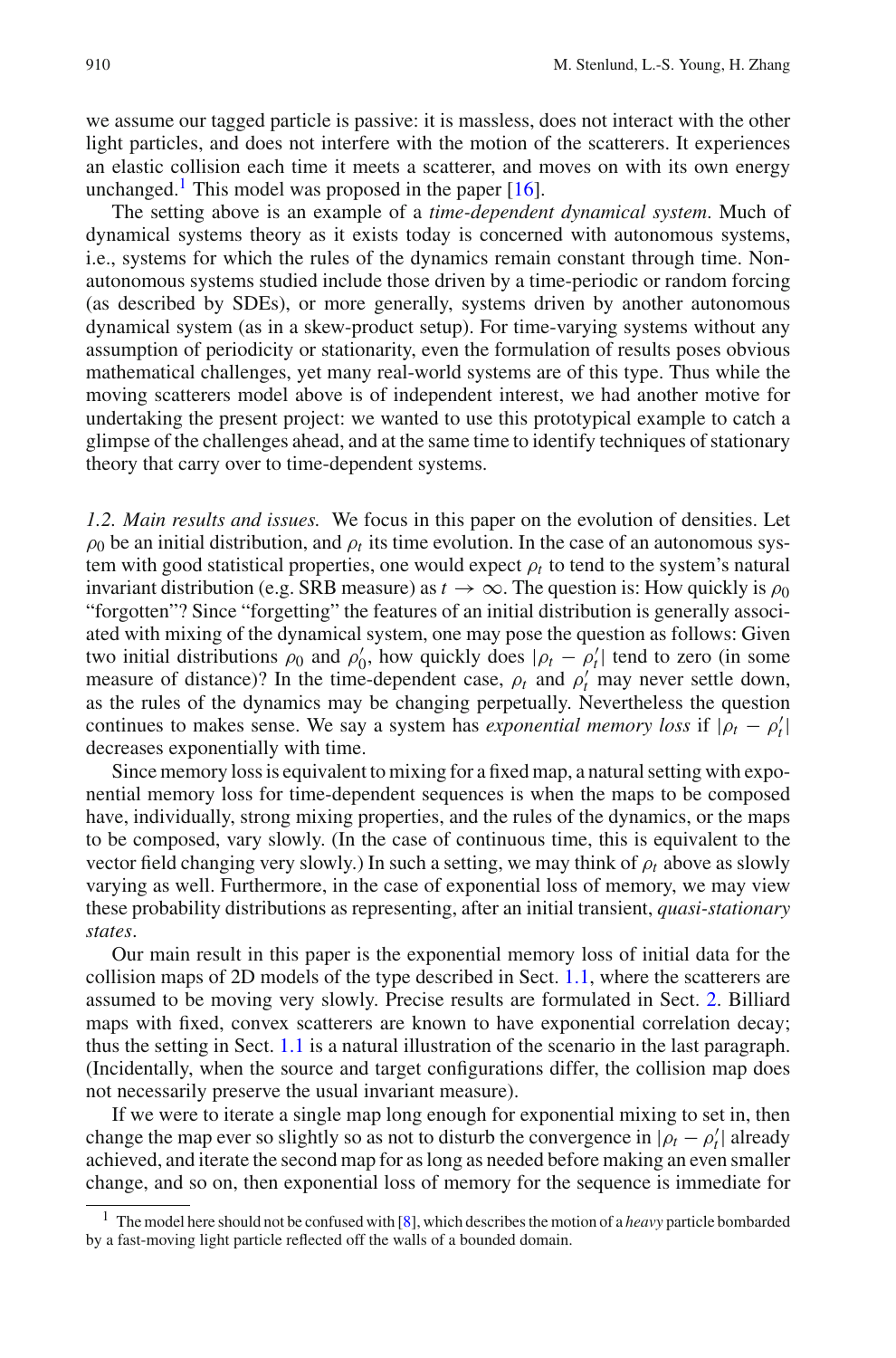we assume our tagged particle is passive: it is massless, does not interact with the other light particles, and does not interfere with the motion of the scatterers. It experiences an elastic collision each time it meets a scatterer, and moves on with its own energy unchanged.<sup>1</sup> This model was proposed in the paper  $[16]$ .

The setting above is an example of a *time-dependent dynamical system*. Much of dynamical systems theory as it exists today is concerned with autonomous systems, i.e., systems for which the rules of the dynamics remain constant through time. Nonautonomous systems studied include those driven by a time-periodic or random forcing (as described by SDEs), or more generally, systems driven by another autonomous dynamical system (as in a skew-product setup). For time-varying systems without any assumption of periodicity or stationarity, even the formulation of results poses obvious mathematical challenges, yet many real-world systems are of this type. Thus while the moving scatterers model above is of independent interest, we had another motive for undertaking the present project: we wanted to use this prototypical example to catch a glimpse of the challenges ahead, and at the same time to identify techniques of stationary theory that carry over to time-dependent systems.

*1.2. Main results and issues.* We focus in this paper on the evolution of densities. Let  $\rho_0$  be an initial distribution, and  $\rho_t$  its time evolution. In the case of an autonomous system with good statistical properties, one would expect  $\rho_t$  to tend to the system's natural invariant distribution (e.g. SRB measure) as  $t \to \infty$ . The question is: How quickly is  $\rho_0$ "forgotten"? Since "forgetting" the features of an initial distribution is generally associated with mixing of the dynamical system, one may pose the question as follows: Given two initial distributions  $\rho_0$  and  $\rho'_0$ , how quickly does  $|\rho_t - \rho'_t|$  tend to zero (in some measure of distance)? In the time-dependent case,  $\rho_t$  and  $\rho'_t$  may never settle down, as the rules of the dynamics may be changing perpetually. Nevertheless the question continues to makes sense. We say a system has *exponential memory loss* if  $|\rho_t - \rho'_t|$ decreases exponentially with time.

Since memory loss is equivalent to mixing for a fixed map, a natural setting with exponential memory loss for time-dependent sequences is when the maps to be composed have, individually, strong mixing properties, and the rules of the dynamics, or the maps to be composed, vary slowly. (In the case of continuous time, this is equivalent to the vector field changing very slowly.) In such a setting, we may think of ρ*t* above as slowly varying as well. Furthermore, in the case of exponential loss of memory, we may view these probability distributions as representing, after an initial transient, *quasi-stationary states*.

Our main result in this paper is the exponential memory loss of initial data for the collision maps of 2D models of the type described in Sect. [1.1,](#page-0-0) where the scatterers are assumed to be moving very slowly. Precise results are formulated in Sect. [2.](#page-3-0) Billiard maps with fixed, convex scatterers are known to have exponential correlation decay; thus the setting in Sect. [1.1](#page-0-0) is a natural illustration of the scenario in the last paragraph. (Incidentally, when the source and target configurations differ, the collision map does not necessarily preserve the usual invariant measure).

If we were to iterate a single map long enough for exponential mixing to set in, then change the map ever so slightly so as not to disturb the convergence in  $|\rho_t - \rho'_t|$  already achieved, and iterate the second map for as long as needed before making an even smaller change, and so on, then exponential loss of memory for the sequence is immediate for

<span id="page-1-0"></span><sup>1</sup> The model here should not be confused with [\[8\]](#page-45-0), which describes the motion of a *heavy* particle bombarded by a fast-moving light particle reflected off the walls of a bounded domain.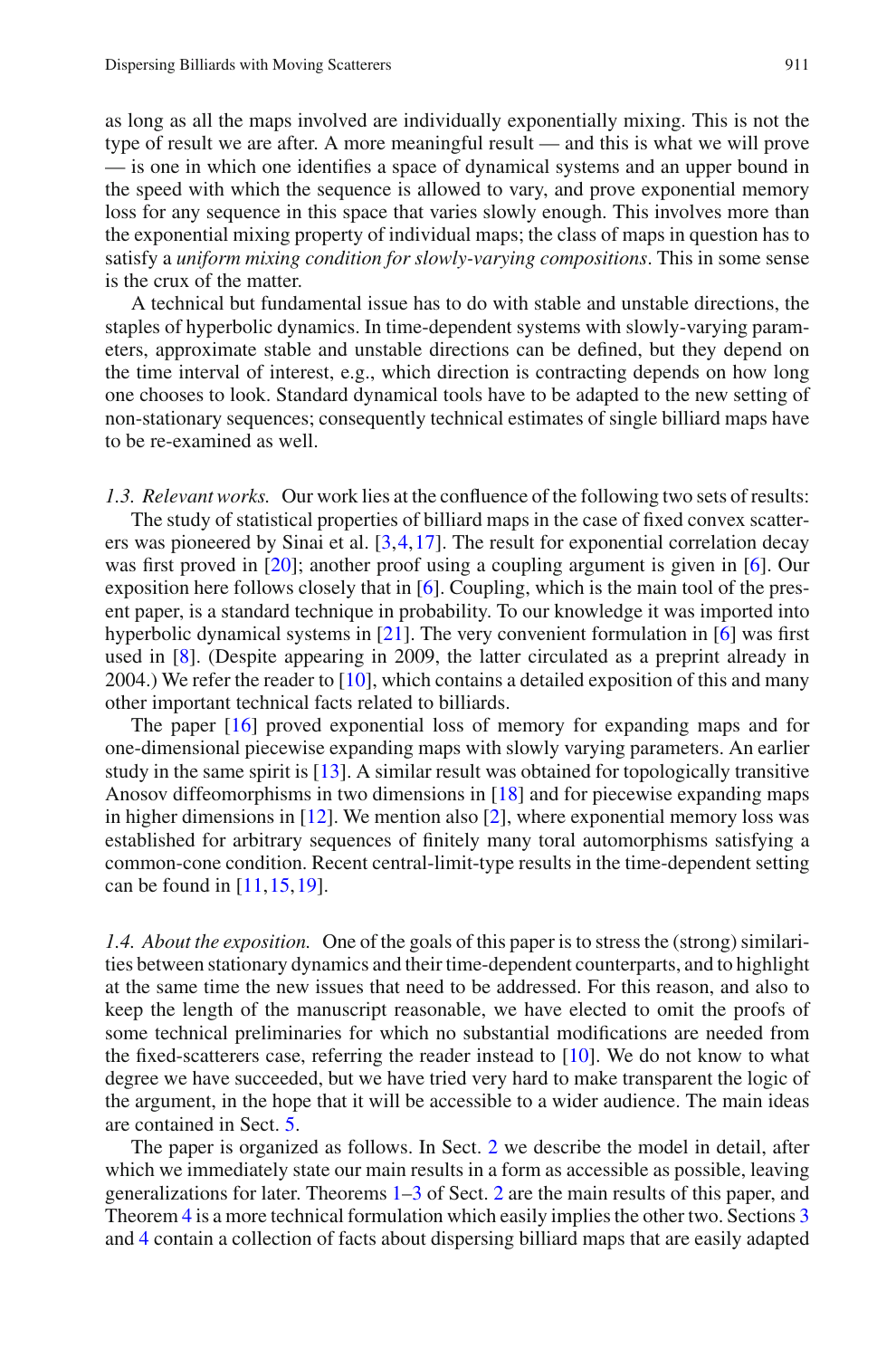as long as all the maps involved are individually exponentially mixing. This is not the type of result we are after. A more meaningful result — and this is what we will prove — is one in which one identifies a space of dynamical systems and an upper bound in the speed with which the sequence is allowed to vary, and prove exponential memory loss for any sequence in this space that varies slowly enough. This involves more than the exponential mixing property of individual maps; the class of maps in question has to satisfy a *uniform mixing condition for slowly-varying compositions*. This in some sense is the crux of the matter.

A technical but fundamental issue has to do with stable and unstable directions, the staples of hyperbolic dynamics. In time-dependent systems with slowly-varying parameters, approximate stable and unstable directions can be defined, but they depend on the time interval of interest, e.g., which direction is contracting depends on how long one chooses to look. Standard dynamical tools have to be adapted to the new setting of non-stationary sequences; consequently technical estimates of single billiard maps have to be re-examined as well.

*1.3. Relevant works.* Our work lies at the confluence of the following two sets of results:

The study of statistical properties of billiard maps in the case of fixed convex scatterers was pioneered by Sinai et al. [\[3](#page-45-1)[,4](#page-45-2),[17\]](#page-46-1). The result for exponential correlation decay was first proved in [\[20\]](#page-46-2); another proof using a coupling argument is given in [\[6](#page-45-3)]. Our exposition here follows closely that in [\[6\]](#page-45-3). Coupling, which is the main tool of the present paper, is a standard technique in probability. To our knowledge it was imported into hyperbolic dynamical systems in [\[21](#page-46-3)]. The very convenient formulation in [\[6](#page-45-3)] was first used in [\[8\]](#page-45-0). (Despite appearing in 2009, the latter circulated as a preprint already in 2004.) We refer the reader to [\[10](#page-46-4)], which contains a detailed exposition of this and many other important technical facts related to billiards.

The paper [\[16](#page-46-0)] proved exponential loss of memory for expanding maps and for one-dimensional piecewise expanding maps with slowly varying parameters. An earlier study in the same spirit is [\[13\]](#page-46-5). A similar result was obtained for topologically transitive Anosov diffeomorphisms in two dimensions in [\[18](#page-46-6)] and for piecewise expanding maps in higher dimensions in  $[12]$  $[12]$ . We mention also  $[2]$  $[2]$ , where exponential memory loss was established for arbitrary sequences of finitely many toral automorphisms satisfying a common-cone condition. Recent central-limit-type results in the time-dependent setting can be found in [\[11](#page-46-8)[,15](#page-46-9),[19\]](#page-46-10).

*1.4. About the exposition.* One of the goals of this paper is to stress the (strong) similarities between stationary dynamics and their time-dependent counterparts, and to highlight at the same time the new issues that need to be addressed. For this reason, and also to keep the length of the manuscript reasonable, we have elected to omit the proofs of some technical preliminaries for which no substantial modifications are needed from the fixed-scatterers case, referring the reader instead to  $[10]$ . We do not know to what degree we have succeeded, but we have tried very hard to make transparent the logic of the argument, in the hope that it will be accessible to a wider audience. The main ideas are contained in Sect. [5.](#page-19-0)

The paper is organized as follows. In Sect. [2](#page-3-0) we describe the model in detail, after which we immediately state our main results in a form as accessible as possible, leaving generalizations for later. Theorems [1](#page-5-0)[–3](#page-7-0) of Sect. [2](#page-3-0) are the main results of this paper, and Theorem [4](#page-8-0) is a more technical formulation which easily implies the other two. Sections [3](#page-9-0) and [4](#page-13-0) contain a collection of facts about dispersing billiard maps that are easily adapted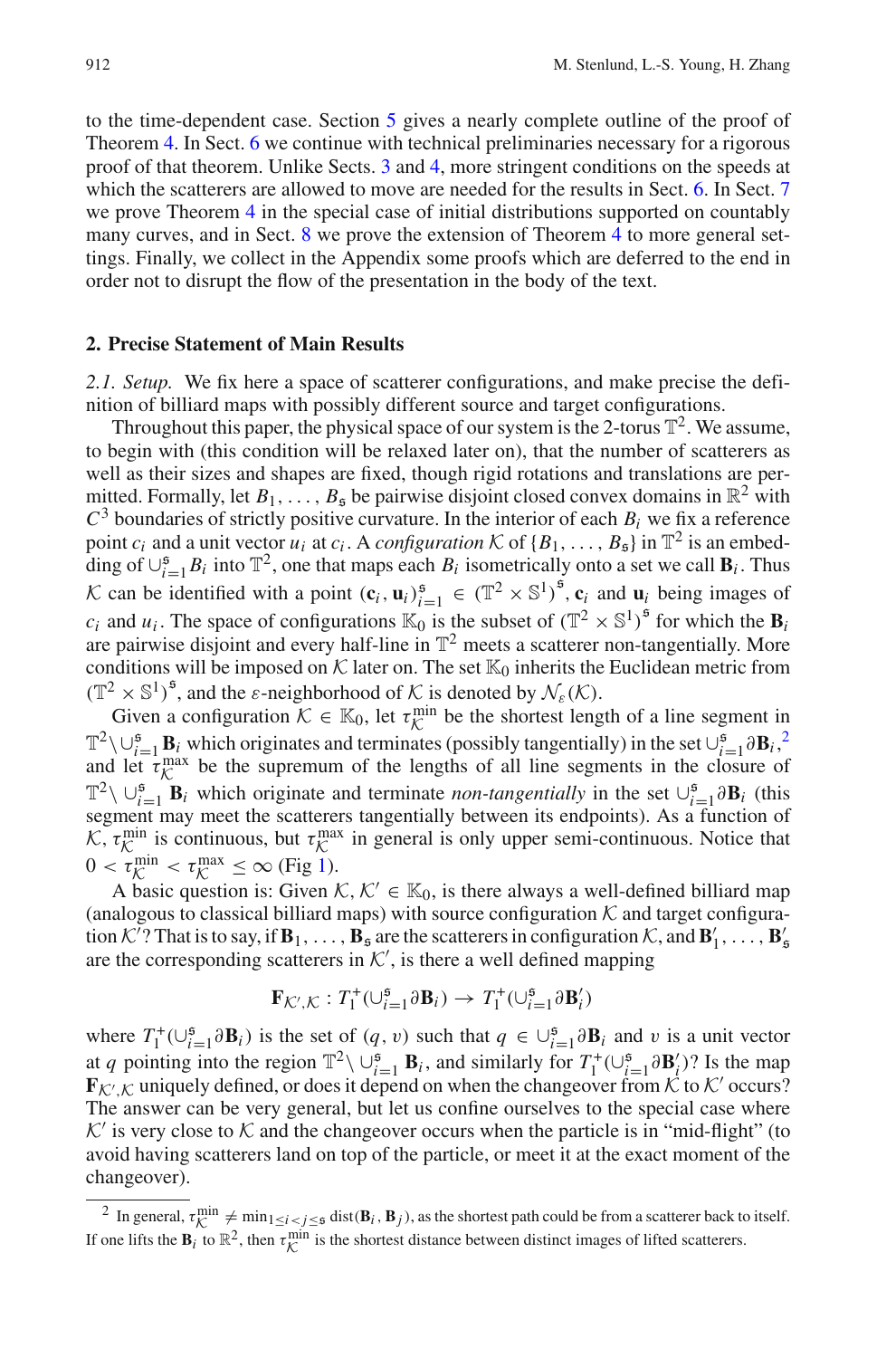to the time-dependent case. Section [5](#page-19-0) gives a nearly complete outline of the proof of Theorem [4.](#page-8-0) In Sect. [6](#page-25-0) we continue with technical preliminaries necessary for a rigorous proof of that theorem. Unlike Sects. [3](#page-9-0) and [4,](#page-13-0) more stringent conditions on the speeds at which the scatterers are allowed to move are needed for the results in Sect. [6.](#page-25-0) In Sect. [7](#page-34-0) we prove Theorem [4](#page-8-0) in the special case of initial distributions supported on countably many curves, and in Sect. [8](#page-38-0) we prove the extension of Theorem [4](#page-8-0) to more general settings. Finally, we collect in the Appendix some proofs which are deferred to the end in order not to disrupt the flow of the presentation in the body of the text.

#### <span id="page-3-2"></span><span id="page-3-0"></span>**2. Precise Statement of Main Results**

*2.1. Setup.* We fix here a space of scatterer configurations, and make precise the definition of billiard maps with possibly different source and target configurations.

Throughout this paper, the physical space of our system is the 2-torus  $\mathbb{T}^2$ . We assume, to begin with (this condition will be relaxed later on), that the number of scatterers as well as their sizes and shapes are fixed, though rigid rotations and translations are permitted. Formally, let  $B_1, \ldots, B_5$  be pairwise disjoint closed convex domains in  $\mathbb{R}^2$  with  $C<sup>3</sup>$  boundaries of strictly positive curvature. In the interior of each  $B<sub>i</sub>$  we fix a reference point  $c_i$  and a unit vector  $u_i$  at  $c_i$ . A *configuration*  $K$  of  $\{B_1, \ldots, B_5\}$  in  $\mathbb{T}^2$  is an embedding of  $\cup_{i=1}^{5} B_i$  into  $\mathbb{T}^2$ , one that maps each  $B_i$  isometrically onto a set we call  $\mathbf{B}_i$ . Thus *K* can be identified with a point  $(c_i, u_i)_{i=1}^5 \in (\mathbb{T}^2 \times \mathbb{S}^1)^5$ ,  $c_i$  and  $u_i$  being images of  $c_i$  and  $u_i$ . The space of configurations  $\mathbb{K}_0$  is the subset of  $(\mathbb{T}^2 \times \mathbb{S}^1)^5$  for which the **B***i* are pairwise disjoint and every half-line in  $\mathbb{T}^2$  meets a scatterer non-tangentially. More conditions will be imposed on  $K$  later on. The set  $\mathbb{K}_0$  inherits the Euclidean metric from  $(\mathbb{T}^2 \times \mathbb{S}^1)^5$ , and the  $\varepsilon$ -neighborhood of *K* is denoted by  $\mathcal{N}_{\varepsilon}(\mathcal{K})$ .

Given a configuration  $K \in \mathbb{K}_0$ , let  $\tau_K^{\min}$  be the shortest length of a line segment in  $\mathbb{T}^2 \setminus \bigcup_{i=1}^5 \mathbf{B}_i$  $\mathbb{T}^2 \setminus \bigcup_{i=1}^5 \mathbf{B}_i$  $\mathbb{T}^2 \setminus \bigcup_{i=1}^5 \mathbf{B}_i$  which originates and terminates (possibly tangentially) in the set  $\bigcup_{i=1}^5 \partial \mathbf{B}_i$ ,<sup>2</sup> and let  $\tau_{\mathcal{K}}^{\text{max}}$  be the supremum of the lengths of all line segments in the closure of  $\mathbb{T}^2 \setminus \bigcup_{i=1}^5 \mathbf{B}_i$  which originate and terminate *non-tangentially* in the set  $\bigcup_{i=1}^5 \partial \mathbf{B}_i$  (this segment may meet the scatterers tangentially between its endpoints). As a function of *K*,  $\tau_K^{\text{min}}$  is continuous, but  $\tau_K^{\text{max}}$  in general is only upper semi-continuous. Notice that  $0 < \tau_K^{\text{min}} < \tau_K^{\text{max}} \le \infty$  (Fig [1\)](#page-4-0).

A basic question is: Given  $K, K' \in \mathbb{K}_0$ , is there always a well-defined billiard map (analogous to classical billiard maps) with source configuration  $K$  and target configuration  $K^7$ ? That is to say, if  $\mathbf{B}_1, \ldots, \mathbf{B}_s$  are the scatterers in configuration  $K$ , and  $\mathbf{B}'_1, \ldots, \mathbf{B}'_s$ are the corresponding scatterers in  $K'$ , is there a well defined mapping

$$
\mathbf{F}_{\mathcal{K}',\mathcal{K}}: T_1^+(\cup_{i=1}^{\mathfrak{s}} \partial \mathbf{B}_i) \to T_1^+(\cup_{i=1}^{\mathfrak{s}} \partial \mathbf{B}'_i)
$$

where  $T_1^+(\cup_{i=1}^5 \partial \mathbf{B}_i)$  is the set of  $(q, v)$  such that  $q \in \cup_{i=1}^5 \partial \mathbf{B}_i$  and v is a unit vector at *q* pointing into the region  $\mathbb{T}^2 \setminus \cup_{i=1}^5 \mathbf{B}_i$ , and similarly for  $T_1^+(\cup_{i=1}^5 \partial \mathbf{B}_i')$ ? Is the map  $\mathbf{F}_{\mathcal{K}',\mathcal{K}}$  uniquely defined, or does it depend on when the changeover from  $\mathcal{K}$  to  $\mathcal{K}'$  occurs? The answer can be very general, but let us confine ourselves to the special case where  $K'$  is very close to  $K$  and the changeover occurs when the particle is in "mid-flight" (to avoid having scatterers land on top of the particle, or meet it at the exact moment of the changeover).

<span id="page-3-1"></span><sup>&</sup>lt;sup>2</sup> In general,  $\tau_{K}^{\min} \neq \min_{1 \leq i < j \leq 5} \text{dist}(\mathbf{B}_i, \mathbf{B}_j)$ , as the shortest path could be from a scatterer back to itself. If one lifts the  $\mathbf{B}_i$  to  $\mathbb{R}^2$ , then  $\tau_K^{\text{min}}$  is the shortest distance between distinct images of lifted scatterers.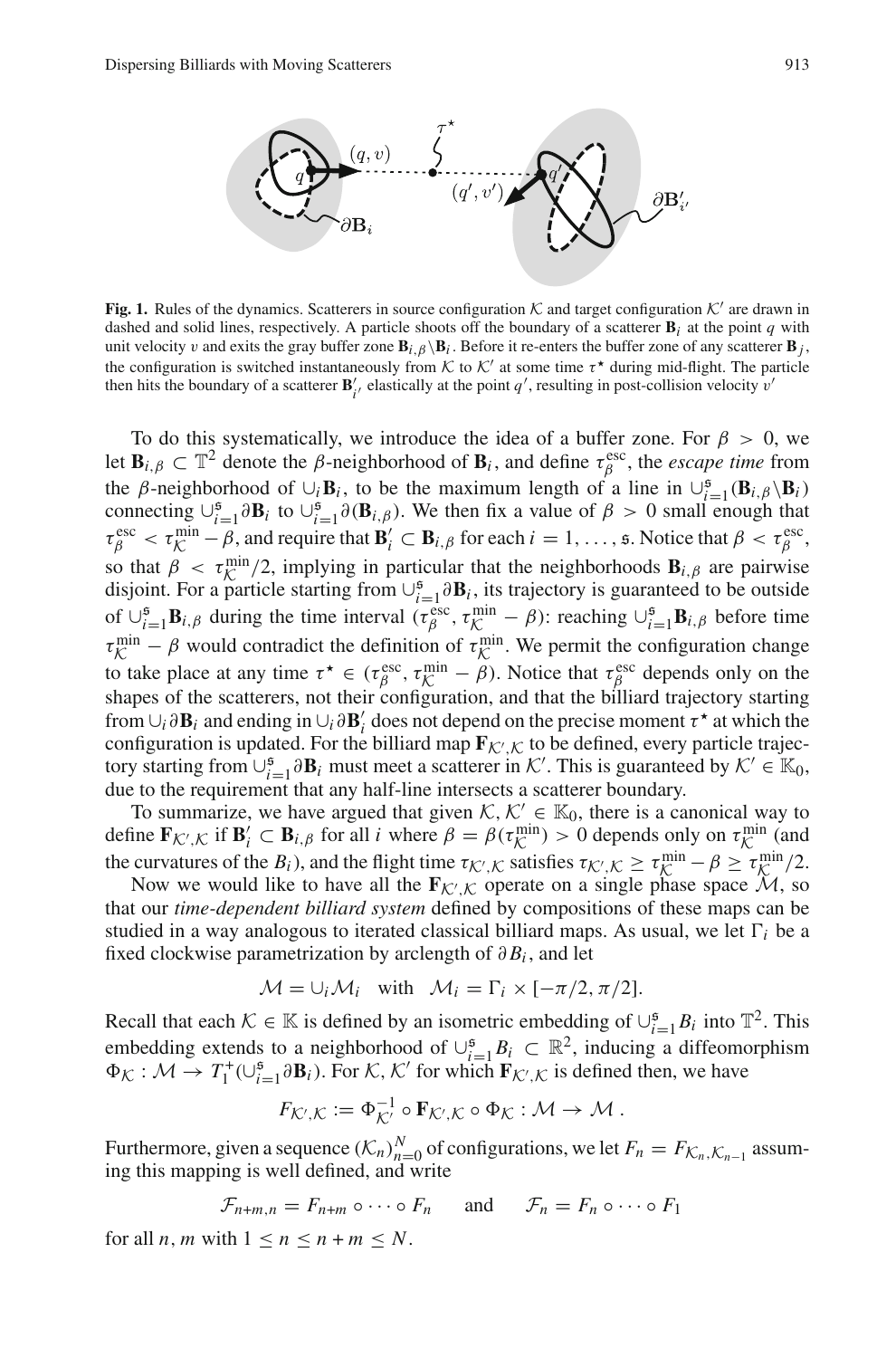

<span id="page-4-0"></span>**Fig. 1.** Rules of the dynamics. Scatterers in source configuration  $K$  and target configuration  $K'$  are drawn in dashed and solid lines, respectively. A particle shoots off the boundary of a scatterer  $\mathbf{B}_i$  at the point *q* with unit velocity v and exits the gray buffer zone  $\mathbf{B}_{i,\beta} \backslash \mathbf{B}_i$ . Before it re-enters the buffer zone of any scatterer  $\mathbf{B}_i$ , the configuration is switched instantaneously from *K* to  $K'$  at some time  $\tau^*$  during mid-flight. The particle then hits the boundary of a scatterer  $\mathbf{B}'_i$ , elastically at the point  $q'$ , resulting in post-collision velocity v<sup>'</sup>

To do this systematically, we introduce the idea of a buffer zone. For  $\beta > 0$ , we let  $\mathbf{B}_{i,\beta} \subset \mathbb{T}^2$  denote the  $\beta$ -neighborhood of  $\mathbf{B}_i$ , and define  $\tau_\beta^{\text{esc}}$ , the *escape time* from the β-neighborhood of  $\cup_i \mathbf{B}_i$ , to be the maximum length of a line in  $\cup_{i=1}^5 (\mathbf{B}_{i,\beta} \setminus \mathbf{B}_i)$ connecting  $\bigcup_{i=1}^5 \partial \mathbf{B}_i$  to  $\bigcup_{i=1}^5 \partial (\mathbf{B}_{i,\beta})$ . We then fix a value of  $\beta > 0$  small enough that  $\tau_{\beta}^{\text{esc}} < \tau_{\beta}^{\text{min}} - \beta$ , and require that  $\mathbf{B}'_i \subset \mathbf{B}_{i,\beta}$  for each  $i = 1, \ldots, s$ . Notice that  $\beta < \tau_{\beta}^{\text{esc}}$ , so that  $\beta < \tau_{K}^{\min}/2$ , implying in particular that the neighborhoods  $\mathbf{B}_{i,\beta}$  are pairwise<br>disjoint. For a particle starting from  $L^5$ ,  $\partial \mathbf{R}_i$ , its trajectory is quaranteed to be outside disjoint. For a particle starting from  $\cup_{i=1}^{5} \partial B_i$ , its trajectory is guaranteed to be outside of  $\cup_{i=1}^{5}$ **B**<sub>*i*</sub>, $\beta$  during the time interval ( $\tau_{\beta}^{\text{esc}}, \tau_{\beta}^{\text{min}} - \beta$ ): reaching  $\cup_{i=1}^{5}$ **B**<sub>*i*</sub>, $\beta$  before time  $\tau_K^{\text{min}} - \beta$  would contradict the definition of  $\tau_K^{\text{min}}$ . We permit the configuration change to take place at any time  $\tau^* \in (\tau^{\text{esc}}_{\beta}, \tau^{\text{min}}_{\mathcal{K}} - \beta)$ . Notice that  $\tau^{\text{esc}}_{\beta}$  depends only on the shapes of the scatterers, not their configuration, and that the billiard trajectory starting from  $\cup_i \partial B_i$  and ending in  $\cup_i \partial B'_i$  does not depend on the precise moment  $\tau^*$  at which the configuration is updated. For the billiard map  $\mathbf{F}_{\mathcal{K}',\mathcal{K}}$  to be defined, every particle trajectory starting from  $\cup_{i=1}^{5} \partial B_i$  must meet a scatterer in *K*'. This is guaranteed by  $K' \in \mathbb{K}_0$ , due to the requirement that any half-line intersects a scatterer boundary.

To summarize, we have argued that given  $K, K' \in \mathbb{K}_0$ , there is a canonical way to define  $\mathbf{F}_{\mathcal{K}',\mathcal{K}}$  if  $\mathbf{B}'_i \subset \mathbf{B}_{i,\beta}$  for all *i* where  $\beta = \beta(\tau_{\mathcal{K}}^{\min}) > 0$  depends only on  $\tau_{\mathcal{K}}^{\min}$  (and the curvatures of the *B<sub>i</sub>*), and the flight time  $\tau_{\mathcal{K}',\mathcal{K}}$  satisfies  $\tau_{\mathcal{K}',\mathcal{K}} \geq \tau_{\mathcal{K}}^{\min} - \beta \geq \tau_{\mathcal{K}}^{\min}/2$ .<br>Now we would like to have all the **F**igure operate on a single phase space  $\mathcal{M}$ , so

Now we would like to have all the  $\mathbf{F}_{\mathcal{K}',\mathcal{K}}$  operate on a single phase space  $\mathcal{M}$ , so that our *time-dependent billiard system* defined by compositions of these maps can be studied in a way analogous to iterated classical billiard maps. As usual, we let  $\Gamma_i$  be a fixed clockwise parametrization by arclength of ∂ *Bi* , and let

$$
\mathcal{M} = \cup_i \mathcal{M}_i \quad \text{with} \quad \mathcal{M}_i = \Gamma_i \times [-\pi/2, \pi/2].
$$

Recall that each  $K \in \mathbb{K}$  is defined by an isometric embedding of  $\bigcup_{i=1}^{5} B_i$  into  $\mathbb{T}^2$ . This embedding extends to a neighborhood of  $\cup_{i=1}^{5} B_i \subset \mathbb{R}^2$ , inducing a diffeomorphism  $\Phi_K : \mathcal{M} \to T_1^+(\cup_{i=1}^5 \partial \mathbf{B}_i)$ . For *K*, *K'* for which  $\mathbf{F}_{\mathcal{K}',\mathcal{K}}$  is defined then, we have

$$
F_{\mathcal{K}',\mathcal{K}} := \Phi_{\mathcal{K}'}^{-1} \circ \mathbf{F}_{\mathcal{K}',\mathcal{K}} \circ \Phi_{\mathcal{K}} : \mathcal{M} \to \mathcal{M}.
$$

Furthermore, given a sequence  $(\mathcal{K}_n)_{n=0}^N$  of configurations, we let  $F_n = F_{\mathcal{K}_n, \mathcal{K}_{n-1}}$  assuming this mapping is well defined, and write

$$
\mathcal{F}_{n+m,n} = F_{n+m} \circ \cdots \circ F_n \quad \text{and} \quad \mathcal{F}_n = F_n \circ \cdots \circ F_1
$$

for all *n*, *m* with  $1 \le n \le n + m \le N$ .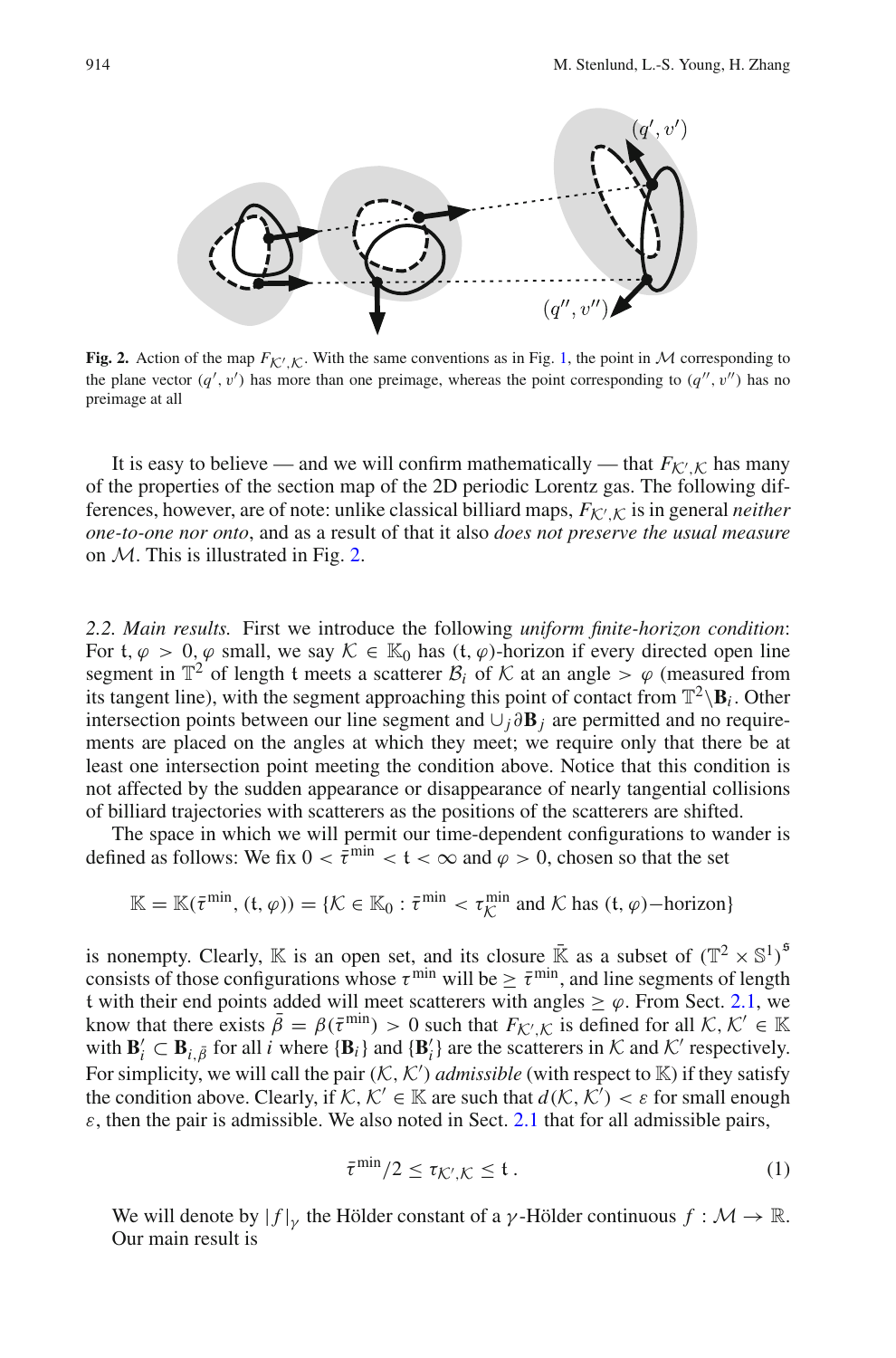

<span id="page-5-1"></span>**Fig. 2.** Action of the map  $F_{\mathcal{K}',\mathcal{K}}$ . With the same conventions as in Fig. [1,](#page-4-0) the point in *M* corresponding to the plane vector  $(q', v')$  has more than one preimage, whereas the point corresponding to  $(q'', v'')$  has no preimage at all

It is easy to believe — and we will confirm mathematically — that  $F_{\mathcal{K}',\mathcal{K}}$  has many of the properties of the section map of the 2D periodic Lorentz gas. The following differences, however, are of note: unlike classical billiard maps, *FK* ,*<sup>K</sup>* is in general *neither one-to-one nor onto*, and as a result of that it also *does not preserve the usual measure* on *M*. This is illustrated in Fig. [2.](#page-5-1)

<span id="page-5-3"></span>*2.2. Main results.* First we introduce the following *uniform finite-horizon condition*: For t,  $\varphi > 0$ ,  $\varphi$  small, we say  $\mathcal{K} \in \mathbb{K}_0$  has  $(t, \varphi)$ -horizon if every directed open line segment in  $\mathbb{T}^2$  of length t meets a scatterer  $\mathcal{B}_i$  of  $\mathcal K$  at an angle  $> \varphi$  (measured from its tangent line), with the segment approaching this point of contact from  $\mathbb{T}^2 \setminus \mathbf{B}_i$ . Other intersection points between our line segment and ∪*<sup>j</sup>* ∂**B***<sup>j</sup>* are permitted and no requirements are placed on the angles at which they meet; we require only that there be at least one intersection point meeting the condition above. Notice that this condition is not affected by the sudden appearance or disappearance of nearly tangential collisions of billiard trajectories with scatterers as the positions of the scatterers are shifted.

The space in which we will permit our time-dependent configurations to wander is defined as follows: We fix  $0 < \bar{\tau}^{\min} < t < \infty$  and  $\varphi > 0$ , chosen so that the set

$$
\mathbb{K} = \mathbb{K}(\bar{\tau}^{\min}, (t, \varphi)) = \{ \mathcal{K} \in \mathbb{K}_0 : \bar{\tau}^{\min} < \tau \chi^{\min} \text{ and } \mathcal{K} \text{ has } (t, \varphi) - \text{horizon} \}
$$

is nonempty. Clearly, K is an open set, and its closure  $\bar{K}$  as a subset of  $(\mathbb{T}^2 \times \mathbb{S}^1)^5$ consists of those configurations whose  $\tau^{\min}$  will be  $\geq \bar{\tau}^{\min}$ , and line segments of length t with their end points added will meet scatterers with angles  $\geq \varphi$ . From Sect. [2.1,](#page-3-2) we know that there exists  $\bar{\beta} = \beta(\bar{\tau}^{\min}) > 0$  such that  $F_{\mathcal{K}',\mathcal{K}}$  is defined for all  $\mathcal{K}, \mathcal{K}' \in \mathbb{K}$ with  $\mathbf{B}'_i \subset \mathbf{B}_{i,\bar{\beta}}$  for all *i* where  $\{\mathbf{B}_i\}$  and  $\{\mathbf{B}'_i\}$  are the scatterers in  $K$  and  $K'$  respectively. For simplicity, we will call the pair  $(K, K')$  *admissible* (with respect to  $K$ ) if they satisfy the condition above. Clearly, if  $K$ ,  $K' \in \mathbb{K}$  are such that  $d(K, K') < \varepsilon$  for small enough  $\varepsilon$ , then the pair is admissible. We also noted in Sect. [2.1](#page-3-2) that for all admissible pairs,

$$
\bar{\tau}^{\min}/2 \le \tau_{\mathcal{K}',\mathcal{K}} \le \mathfrak{t} \,. \tag{1}
$$

<span id="page-5-2"></span><span id="page-5-0"></span>We will denote by  $|f|_{\gamma}$  the Hölder constant of a  $\gamma$ -Hölder continuous  $f : \mathcal{M} \to \mathbb{R}$ . Our main result is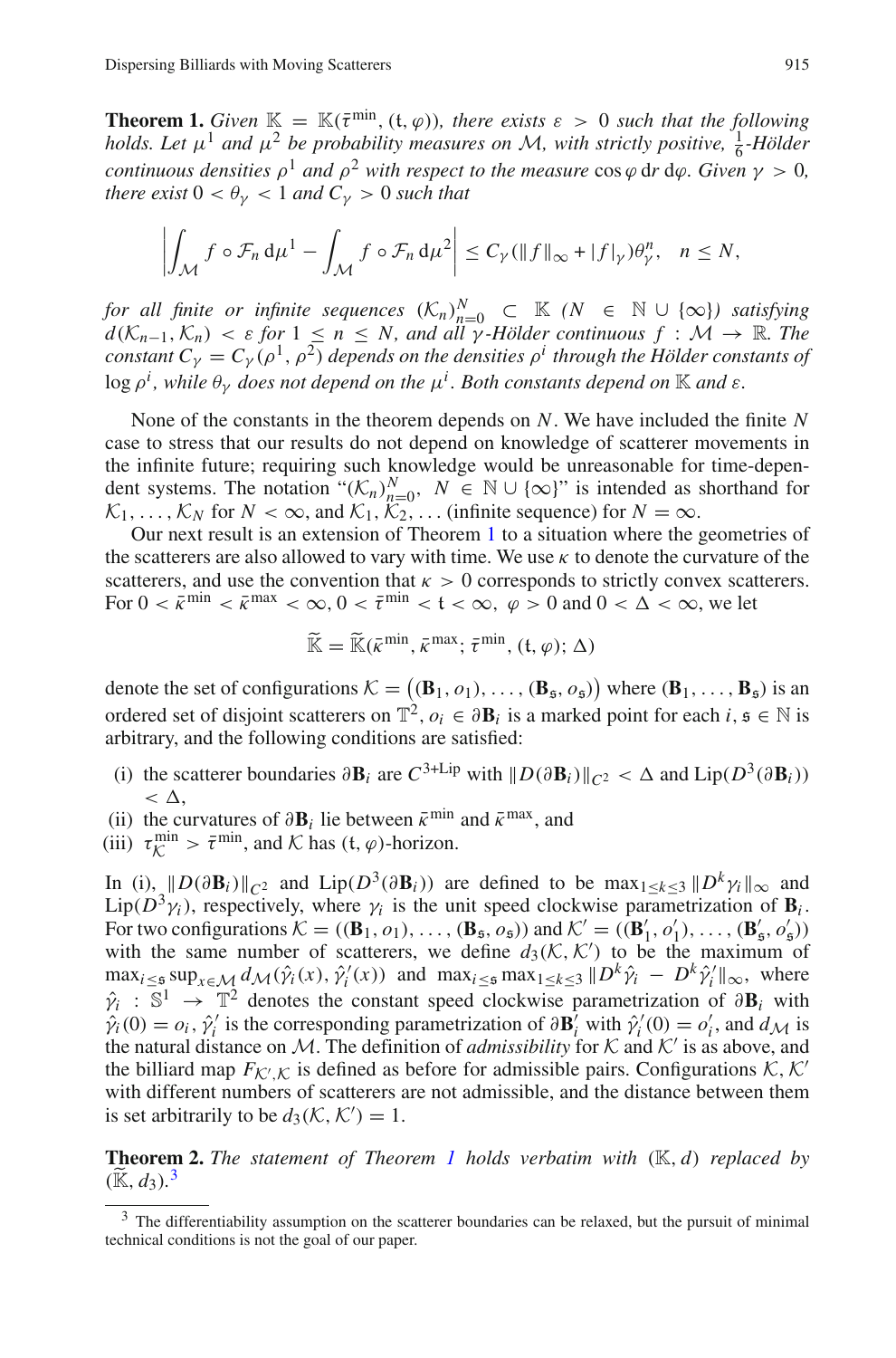**Theorem 1.** *Given*  $\mathbb{K} = \mathbb{K}(\bar{\tau}^{\min}, (t, \varphi))$ *, there exists*  $\varepsilon > 0$  *such that the following holds. Let*  $\mu^1$  *and*  $\mu^2$  *be probability measures on M*, with strictly positive,  $\frac{1}{6}$ -Hölder *continuous densities*  $\rho^1$  *and*  $\rho^2$  *with respect to the measure* cos  $\varphi$  dr d $\varphi$ *. Given*  $\gamma > 0$ *, there exist*  $0 < \theta_{\nu} < 1$  *and*  $C_{\nu} > 0$  *such that* 

$$
\left|\int_{\mathcal{M}} f \circ \mathcal{F}_n \, \mathrm{d}\mu^1 - \int_{\mathcal{M}} f \circ \mathcal{F}_n \, \mathrm{d}\mu^2\right| \leq C_{\gamma} (\|f\|_{\infty} + |f|_{\gamma}) \theta_{\gamma}^n, \quad n \leq N,
$$

*for all finite or infinite sequences*  $(K_n)_{n=0}^N \subset K$  *(N* ∈ N ∪ {∞}*) satisfying*  $d(\mathcal{K}_{n-1}, \mathcal{K}_n) < \varepsilon$  *for*  $1 \leq n \leq N$ , and all  $\gamma$  *-Hölder continuous*  $f : \mathcal{M} \to \mathbb{R}$ *. The constant*  $C_{\gamma} = C_{\gamma} (\rho^1, \rho^2)$  *depends on the densities*  $\rho^i$  *through the Hölder constants of* log ρ*<sup>i</sup> , while* θγ *does not depend on the* μ*<sup>i</sup> . Both constants depend on* K *and* ε*.*

None of the constants in the theorem depends on *N*. We have included the finite *N* case to stress that our results do not depend on knowledge of scatterer movements in the infinite future; requiring such knowledge would be unreasonable for time-dependent systems. The notation " $(K_n)_{n=0}^N$ ,  $N \in \mathbb{N} \cup \{\infty\}$ " is intended as shorthand for  $K_1, \ldots, K_N$  for  $N < \infty$ , and  $K_1, K_2, \ldots$  (infinite sequence) for  $N = \infty$ .

Our next result is an extension of Theorem [1](#page-5-0) to a situation where the geometries of the scatterers are also allowed to vary with time. We use  $\kappa$  to denote the curvature of the scatterers, and use the convention that  $\kappa > 0$  corresponds to strictly convex scatterers. For  $0 < \bar{\kappa}^{\min} < \bar{\kappa}^{\max} < \infty$ ,  $0 < \bar{\tau}^{\min} < t < \infty$ ,  $\varphi > 0$  and  $0 < \Delta < \infty$ , we let

$$
\widetilde{\mathbb{K}} = \widetilde{\mathbb{K}}(\bar{\kappa}^{\min}, \bar{\kappa}^{\max}; \bar{\tau}^{\min}, (t, \varphi); \Delta)
$$

denote the set of configurations  $K = (\mathbf{B}_1, o_1), \dots, (\mathbf{B}_5, o_5)$  where  $(\mathbf{B}_1, \dots, \mathbf{B}_5)$  is an ordered set of disjoint scatterers on  $\mathbb{T}^2$ ,  $o_i \in \partial \mathbf{B}_i$  is a marked point for each *i*,  $\mathfrak{s} \in \mathbb{N}$  is arbitrary, and the following conditions are satisfied:

- (i) the scatterer boundaries  $\partial \mathbf{B}_i$  are  $C^{3+Lip}$  with  $||D(\partial \mathbf{B}_i)||_{C^2} < \Delta$  and  $\text{Lip}(D^3(\partial \mathbf{B}_i))$  $\langle \Delta \rangle$
- (ii) the curvatures of  $\partial \mathbf{B}_i$  lie between  $\bar{\kappa}^{\min}$  and  $\bar{\kappa}^{\max}$ , and
- (iii)  $\tau_{\mathcal{K}}^{\min} > \bar{\tau}^{\min}$ , and  $\mathcal{K}$  has  $(\mathfrak{t}, \varphi)$ -horizon.

In (i),  $\|D(\partial \mathbf{B}_i)\|_{C^2}$  and  $\text{Lip}(D^3(\partial \mathbf{B}_i))$  are defined to be max<sub>1<*k*<3</sub>  $\|D^k\gamma_i\|_{\infty}$  and  $Lip(\overline{D^3y_i})$ , respectively, where  $\gamma_i$  is the unit speed clockwise parametrization of  $\mathbf{B}_i$ . For two configurations  $K = ((\mathbf{B}_1, o_1), \dots, (\mathbf{B}_5, o_5))$  and  $K' = ((\mathbf{B}'_1, o'_1), \dots, (\mathbf{B}'_5, o'_5))$ with the same number of scatterers, we define  $d_3(\mathcal{K}, \mathcal{K}')$  to be the maximum of  $\max_{i \leq \mathfrak{s}} \sup_{x \in \mathcal{M}} d_{\mathcal{M}}(\hat{\gamma}_i(x), \hat{\gamma}'_i(x))$  and  $\max_{i \leq \mathfrak{s}} \max_{1 \leq k \leq 3} \|D^k \hat{\gamma}_i - D^k \hat{\gamma}'_i\|_{\infty}$ , where  $\hat{\gamma}_i$  : S<sup>1</sup> → T<sup>2</sup> denotes the constant speed clockwise parametrization of  $\partial \mathbf{B}_i$  with  $\hat{\gamma}_i(0) = o_i$ ,  $\hat{\gamma}'_i$  is the corresponding parametrization of  $\partial \mathbf{B}_i^{\gamma}$  with  $\hat{\gamma}'_i(0) = o'_i$ , and  $d_{\mathcal{M}}$  is the natural distance on M. The definition of *admissibility* for K and K' is as above, and the billiard map  $F_{\mathcal{K}',\mathcal{K}}$  is defined as before for admissible pairs. Configurations  $\mathcal{K}, \mathcal{K}'$ with different numbers of scatterers are not admissible, and the distance between them is set arbitrarily to be  $d_3(\mathcal{K}, \mathcal{K}') = 1$ .

<span id="page-6-1"></span>**Theorem 2.** *The statement of Theorem [1](#page-5-0) holds verbatim with* (K, *d*) *replaced by*  $(\widetilde{\mathbb{K}}, d_3)$  $(\widetilde{\mathbb{K}}, d_3)$  $(\widetilde{\mathbb{K}}, d_3)$ .<sup>3</sup>

<span id="page-6-0"></span><sup>&</sup>lt;sup>3</sup> The differentiability assumption on the scatterer boundaries can be relaxed, but the pursuit of minimal technical conditions is not the goal of our paper.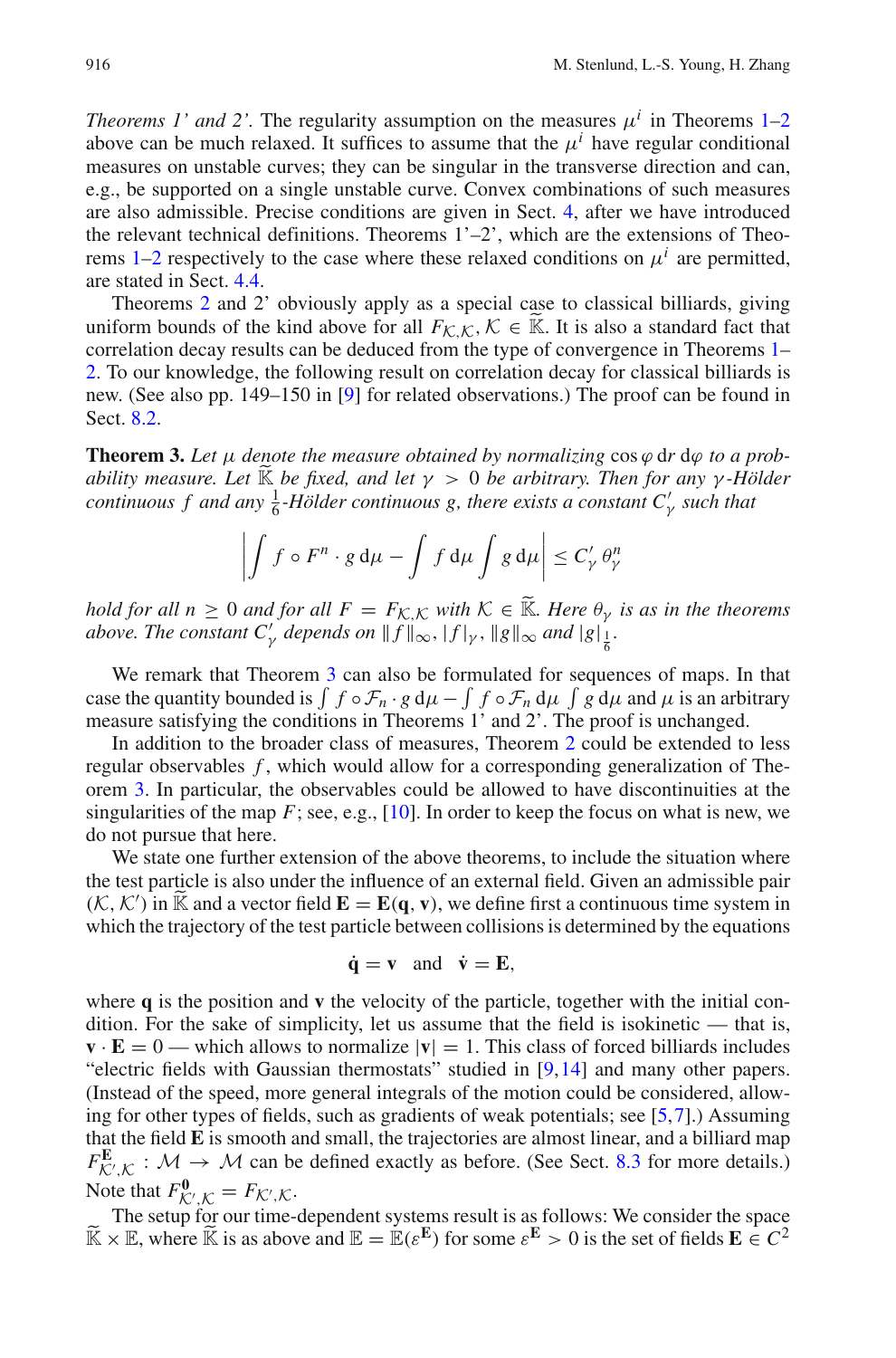*Theorems 1' and [2](#page-6-1)'.* The regularity assumption on the measures  $\mu^{i}$  in Theorems [1–](#page-5-0)2 above can be much relaxed. It suffices to assume that the  $\mu^{i}$  have regular conditional measures on unstable curves; they can be singular in the transverse direction and can, e.g., be supported on a single unstable curve. Convex combinations of such measures are also admissible. Precise conditions are given in Sect. [4,](#page-13-0) after we have introduced the relevant technical definitions. Theorems 1'–2', which are the extensions of Theo-rems [1](#page-5-0)[–2](#page-6-1) respectively to the case where these relaxed conditions on  $\mu^{i}$  are permitted, are stated in Sect. [4.4.](#page-17-0)

Theorems [2](#page-6-1) and 2' obviously apply as a special case to classical billiards, giving uniform bounds of the kind above for all  $F_{\mathcal{K},\mathcal{K}},\mathcal{K}\in\mathbb{K}$ . It is also a standard fact that correlation decay results can be deduced from the type of convergence in Theorems [1–](#page-5-0) [2.](#page-6-1) To our knowledge, the following result on correlation decay for classical billiards is new. (See also pp. 149–150 in [\[9\]](#page-46-11) for related observations.) The proof can be found in Sect. [8.2.](#page-39-0)

<span id="page-7-0"></span>**Theorem 3.** Let  $\mu$  denote the measure obtained by normalizing  $\cos \varphi$  dr d $\varphi$  to a prob*ability measure. Let*  $\widetilde{K}$  *be fixed, and let*  $\gamma > 0$  *be arbitrary. Then for any*  $\gamma$ *-Hölder continuous f and any*  $\frac{1}{6}$ *-Hölder continuous g, there exists a constant*  $C'_{\gamma}$  *such that* 

$$
\left| \int f \circ F^n \cdot g \, \mathrm{d}\mu - \int f \, \mathrm{d}\mu \int g \, \mathrm{d}\mu \right| \leq C'_\gamma \, \theta''_\gamma
$$

*hold for all n*  $\geq 0$  *and for all F* =  $F_{\mathcal{K},\mathcal{K}}$  *with*  $\mathcal{K} \in \mathbb{K}$ *. Here*  $\theta_{\gamma}$  *is as in the theorems above. The constant*  $C'_\gamma$  *depends on*  $|| f ||_\infty$ ,  $| f |_\gamma$ ,  $|| g ||_\infty$  *and*  $|g|_{\frac{1}{6}}$ .

We remark that Theorem [3](#page-7-0) can also be formulated for sequences of maps. In that case the quantity bounded is  $\int f \circ \mathcal{F}_n \cdot g d\mu - \int f \circ \mathcal{F}_n d\mu \int g d\mu$  and  $\mu$  is an arbitrary measure satisfying the conditions in Theorems 1' and 2'. The proof is unchanged.

In addition to the broader class of measures, Theorem [2](#page-6-1) could be extended to less regular observables *f* , which would allow for a corresponding generalization of Theorem [3.](#page-7-0) In particular, the observables could be allowed to have discontinuities at the singularities of the map  $F$ ; see, e.g.,  $[10]$ . In order to keep the focus on what is new, we do not pursue that here.

We state one further extension of the above theorems, to include the situation where the test particle is also under the influence of an external field. Given an admissible pair  $(K, K')$  in  $\widetilde{K}$  and a vector field  $\mathbf{E} = \mathbf{E}(\mathbf{q}, \mathbf{v})$ , we define first a continuous time system in which the trainatenum of the test pertials between collisions is determined by the sourcines which the trajectory of the test particle between collisions is determined by the equations

$$
\dot{q} = v
$$
 and  $\dot{v} = E$ ,

where **q** is the position and **v** the velocity of the particle, together with the initial condition. For the sake of simplicity, let us assume that the field is isokinetic — that is,  $\mathbf{v} \cdot \mathbf{E} = 0$  — which allows to normalize  $|\mathbf{v}| = 1$ . This class of forced billiards includes "electric fields with Gaussian thermostats" studied in [\[9](#page-46-11)[,14](#page-46-12)] and many other papers. (Instead of the speed, more general integrals of the motion could be considered, allowing for other types of fields, such as gradients of weak potentials; see [\[5,](#page-45-5)[7\]](#page-45-6).) Assuming that the field **E** is smooth and small, the trajectories are almost linear, and a billiard map  $F_{\mathcal{K}',\mathcal{K}}^{\mathbf{E}}$  :  $\mathcal{M} \to \mathcal{M}$  can be defined exactly as before. (See Sect. [8.3](#page-41-0) for more details.) Note that  $F^0_{\mathcal{K}',\mathcal{K}} = F_{\mathcal{K}',\mathcal{K}}$ .

te that  $F_{K',K} = F_{K',K}$ .<br>The setup for our time-dependent systems result is as follows: We consider the space  $\widetilde{\mathbb{K}} \times \mathbb{E}$ , where  $\widetilde{\mathbb{K}}$  is as above and  $\mathbb{E} = \mathbb{E}(\varepsilon^{\mathbf{E}})$  for some  $\varepsilon^{\mathbf{E}} > 0$  is the set of fields  $\mathbf{E} \in C^2$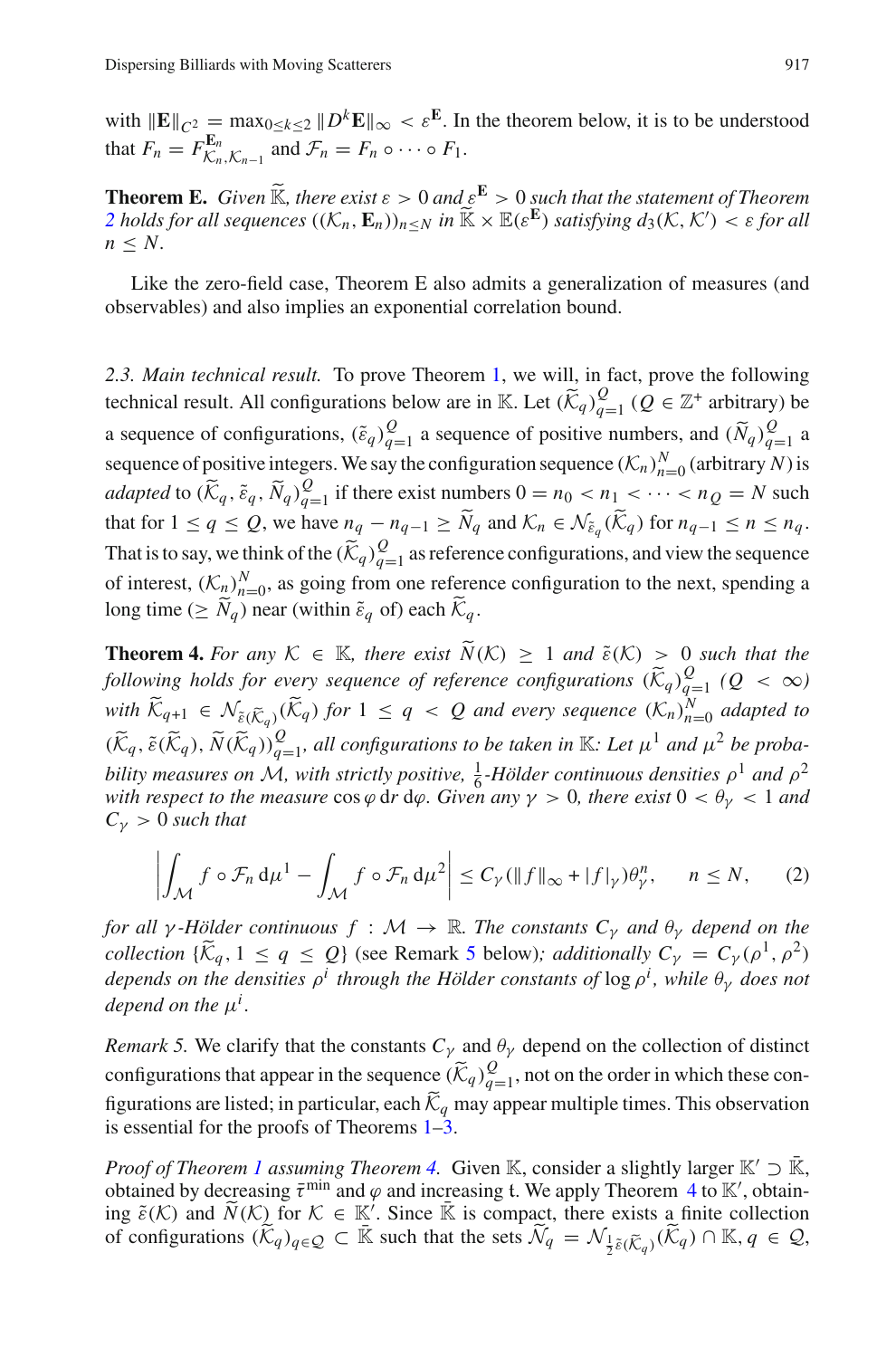with  $\|\mathbf{E}\|_{C^2} = \max_{0 \le k \le 2} \|D^k \mathbf{E}\|_{\infty} < \varepsilon^{\mathbf{E}}$ . In the theorem below, it is to be understood that  $F_n = F_{\mathcal{K}_n, \mathcal{K}_{n-1}}^{\mathbf{E}_n}$  and  $\mathcal{F}_n = F_n \circ \cdots \circ F_1$ .

**Theorem E.** *Given*  $\widetilde{\mathbb{K}}$ *, there exist*  $\varepsilon > 0$  *and*  $\varepsilon^{\mathbf{E}} > 0$  *such that the statement of Theorem [2](#page-6-1) holds for all sequences*  $((\mathcal{K}_n, \mathbf{E}_n))_{n \leq N}$  *in*  $\widetilde{\mathbb{K}} \times \mathbb{E}(\varepsilon^{\mathbf{E}})$  *satisfying*  $d_3(\mathcal{K}, \mathcal{K}') < \varepsilon$  for all  $n \leq N$ .

Like the zero-field case, Theorem E also admits a generalization of measures (and observables) and also implies an exponential correlation bound.

<span id="page-8-3"></span>*2.3. Main technical result.* To prove Theorem [1,](#page-5-0) we will, in fact, prove the following technical result. All configurations below are in K. Let  $(\widetilde{K}_q)_{q=1}^Q$   $(Q \in \mathbb{Z}^+$  arbitrary) be a sequence of configurations,  $(\tilde{\epsilon}_q)_{q=1}^Q$  a sequence of positive numbers, and  $(\tilde{N}_q)_{q=1}^Q$  a sequence of positive integers. We say the configuration sequence  $(\mathcal{K}_n)_{n=0}^N$  (arbitrary *N*) is *adapted* to  $(\widetilde{K}_q, \widetilde{\varepsilon}_q, \widetilde{N}_q)_{q=1}^Q$  if there exist numbers  $0 = n_0 < n_1 < \cdots < n_Q = N$  such that for  $1 \le q \le Q$ , we have  $n_q - n_{q-1} \ge N_q$  and  $\mathcal{K}_n \in \mathcal{N}_{\tilde{\varepsilon}_q}(\mathcal{K}_q)$  for  $n_{q-1} \le n \le n_q$ . That is to say, we think of the  $(\widetilde{K}_q)_{q=1}^Q$  as reference configurations, and view the sequence of interest,  $(K_n)_{n=0}^N$ , as going from one reference configuration to the next, spending a long time ( $\geq N_q$ ) near (within  $\tilde{\varepsilon}_q$  of) each  $\mathcal{K}_q$ .

<span id="page-8-0"></span>**Theorem 4.** *For any*  $K \in \mathbb{K}$ *, there exist*  $\widetilde{N}(K) \geq 1$  *and*  $\widetilde{\varepsilon}(K) > 0$  *such that the following holds for every sequence of reference configurations*  $(\widetilde{K}_q)_{q=1}^Q$   $(Q < \infty)$ *with*  $\widetilde{K}_{q+1} \in \mathcal{N}_{\tilde{\varepsilon}(\widetilde{K}_q)}(\widetilde{K}_q)$  for  $1 \leq q < Q$  and every sequence  $(K_n)_{n=0}^N$  adapted to  $(\widetilde{K}_q, \widetilde{\varepsilon}(\widetilde{K}_q), \widetilde{N}(\widetilde{K}_q))_{q=1}^Q$ , all configurations to be taken in  $\mathbb{K}$ *: Let*  $\mu^1$  and  $\mu^2$  be proba*bility measures on M*, with strictly positive,  $\frac{1}{6}$ -Hölder continuous densities  $\rho^1$  and  $\rho^2$ *with respect to the measure*  $\cos \varphi$  dr d $\varphi$ *. Given any*  $\gamma > 0$ *, there exist*  $0 < \theta_{\gamma} < 1$  *and*  $C_{\gamma} > 0$  *such that* 

$$
\left| \int_{\mathcal{M}} f \circ \mathcal{F}_n \, \mathrm{d}\mu^1 - \int_{\mathcal{M}} f \circ \mathcal{F}_n \, \mathrm{d}\mu^2 \right| \le C_Y (\|f\|_{\infty} + |f|_{\gamma}) \theta_{\gamma}^n, \quad n \le N, \tag{2}
$$

<span id="page-8-2"></span>*for all*  $\gamma$ *-Hölder continuous*  $f : \mathcal{M} \to \mathbb{R}$ *. The constants*  $C_{\gamma}$  *and*  $\theta_{\gamma}$  *depend on the collection*  $\{\widetilde{K}_q, 1 \le q \le Q\}$  (see Remark [5](#page-8-1) below); additionally  $C_\gamma = C_\gamma(\rho^1, \rho^2)$ *depends on the densities* ρ*<sup>i</sup> through the Hölder constants of* log ρ*<sup>i</sup> , while* θγ *does not depend on the*  $\mu^{i}$ .

<span id="page-8-1"></span>*Remark 5.* We clarify that the constants  $C<sub>γ</sub>$  and  $\theta<sub>γ</sub>$  depend on the collection of distinct configurations that appear in the sequence  $(\widetilde{K}_q)_{q=1}^Q$ , not on the order in which these configurations are listed; in particular, each  $\widetilde{K}_q$  may appear multiple times. This observation is essential for the proofs of Theorems [1](#page-5-0)[–3.](#page-7-0)

*Proof of Theorem [1](#page-5-0) assuming Theorem [4.](#page-8-0)* Given K, consider a slightly larger K'  $\supset \overline{K}$ , obtained by decreasing  $\bar{\tau}^{\min}$  and  $\varphi$  and increasing t. We apply Theorem [4](#page-8-0) to K', obtaining  $\tilde{\varepsilon}(K)$  and  $\tilde{N}(K)$  for  $K \in \mathbb{K}'$ . Since  $\tilde{\mathbb{K}}$  is compact, there exists a finite collection of configurations  $(\widetilde{K}_q)_{q \in \mathcal{Q}} \subset \overline{\mathbb{K}}$  such that the sets  $\widetilde{\mathcal{N}}_q = \mathcal{N}_{\frac{1}{2}\tilde{\epsilon}(\widetilde{\mathcal{K}}_q)}(\widetilde{\mathcal{K}}_q) \cap \mathbb{K}, q \in \mathcal{Q}$ ,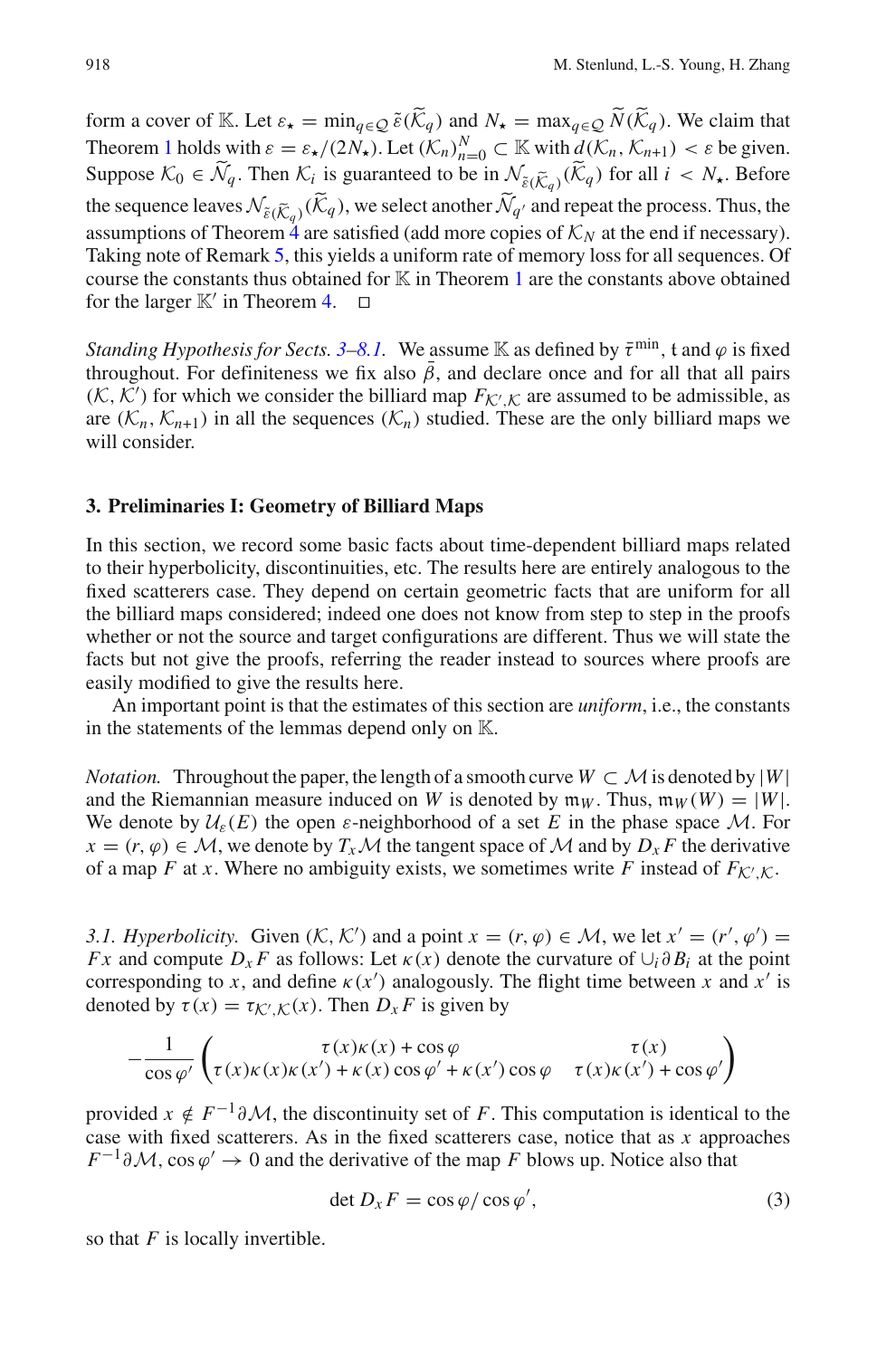form a cover of K. Let  $\varepsilon_{\star} = \min_{q \in \mathcal{Q}} \tilde{\varepsilon}(\tilde{\mathcal{K}}_q)$  and  $N_{\star} = \max_{q \in \mathcal{Q}} \tilde{N}(\tilde{\mathcal{K}}_q)$ . We claim that Theorem [1](#page-5-0) holds with  $\varepsilon = \varepsilon_{\star}/(2N_{\star})$ . Let  $(\mathcal{K}_n)_{n=0}^N \subset \mathbb{K}$  with  $d(\mathcal{K}_n, \mathcal{K}_{n+1}) < \varepsilon$  be given. Suppose  $K_0 \in \tilde{\mathcal{N}}_q$ . Then  $K_i$  is guaranteed to be in  $\mathcal{N}_{\tilde{\varepsilon}(\tilde{K}_q)}(\tilde{K}_q)$  for all  $i < N_{\star}$ . Before the sequence leaves  $\mathcal{N}_{\tilde{\varepsilon}(\tilde{K}_q)}(\tilde{K}_q)$ , we select another  $\tilde{\mathcal{N}}_{q'}$  and repeat the process. Thus, the assumptions of Theorem  $\frac{4}{4}$  $\frac{4}{4}$  $\frac{4}{4}$  are satisfied (add more copies of  $K_N$  at the end if necessary). Taking note of Remark [5,](#page-8-1) this yields a uniform rate of memory loss for all sequences. Of course the constants thus obtained for  $\mathbb K$  in Theorem [1](#page-5-0) are the constants above obtained for the larger  $\mathbb{K}'$  in Theorem [4.](#page-8-0)  $\Box$ 

*Standing Hypothesis for Sects.*  $3-8.1$  $3-8.1$ . We assume K as defined by  $\bar{\tau}^{min}$ , t and  $\varphi$  is fixed throughout. For definiteness we fix also  $\bar{\beta}$ , and declare once and for all that all pairs  $(K, K')$  for which we consider the billiard map  $F_{K', K}$  are assumed to be admissible, as are  $(K_n, K_{n+1})$  in all the sequences  $(K_n)$  studied. These are the only billiard maps we will consider.

#### <span id="page-9-0"></span>**3. Preliminaries I: Geometry of Billiard Maps**

In this section, we record some basic facts about time-dependent billiard maps related to their hyperbolicity, discontinuities, etc. The results here are entirely analogous to the fixed scatterers case. They depend on certain geometric facts that are uniform for all the billiard maps considered; indeed one does not know from step to step in the proofs whether or not the source and target configurations are different. Thus we will state the facts but not give the proofs, referring the reader instead to sources where proofs are easily modified to give the results here.

An important point is that the estimates of this section are *uniform*, i.e., the constants in the statements of the lemmas depend only on  $\mathbb{K}$ .

*Notation.* Throughout the paper, the length of a smooth curve  $W \subset \mathcal{M}$  is denoted by  $|W|$ and the Riemannian measure induced on *W* is denoted by  $m_W$ . Thus,  $m_W(W) = |W|$ . We denote by  $\mathcal{U}_{\varepsilon}(E)$  the open  $\varepsilon$ -neighborhood of a set E in the phase space M. For  $x = (r, \varphi) \in \mathcal{M}$ , we denote by  $T_x \mathcal{M}$  the tangent space of  $\mathcal{M}$  and by  $D_x F$  the derivative of a map *F* at *x*. Where no ambiguity exists, we sometimes write *F* instead of  $F_{\mathcal{K}',\mathcal{K}}$ .

*3.1. Hyperbolicity.* Given  $(K, K')$  and a point  $x = (r, \varphi) \in M$ , we let  $x' = (r', \varphi') =$ *Fx* and compute  $D_x F$  as follows: Let  $\kappa(x)$  denote the curvature of  $\cup_i \partial B_i$  at the point corresponding to *x*, and define  $\kappa(x')$  analogously. The flight time between *x* and  $x'$  is denoted by  $\tau(x) = \tau_{\mathcal{K}',\mathcal{K}}(x)$ . Then  $D_x F$  is given by

$$
-\frac{1}{\cos\varphi'}\begin{pmatrix}\tau(x)\kappa(x) + \cos\varphi & \tau(x) \\ \tau(x)\kappa(x)\kappa(x') + \kappa(x)\cos\varphi' + \kappa(x')\cos\varphi & \tau(x)\kappa(x') + \cos\varphi'\end{pmatrix}
$$

provided  $x \notin F^{-1}\partial \mathcal{M}$ , the discontinuity set of *F*. This computation is identical to the case with fixed scatterers. As in the fixed scatterers case, notice that as *x* approaches  $F^{-1}\partial M$ , cos  $\varphi' \to 0$  and the derivative of the map *F* blows up. Notice also that

$$
\det D_x F = \cos \varphi / \cos \varphi',\tag{3}
$$

so that *F* is locally invertible.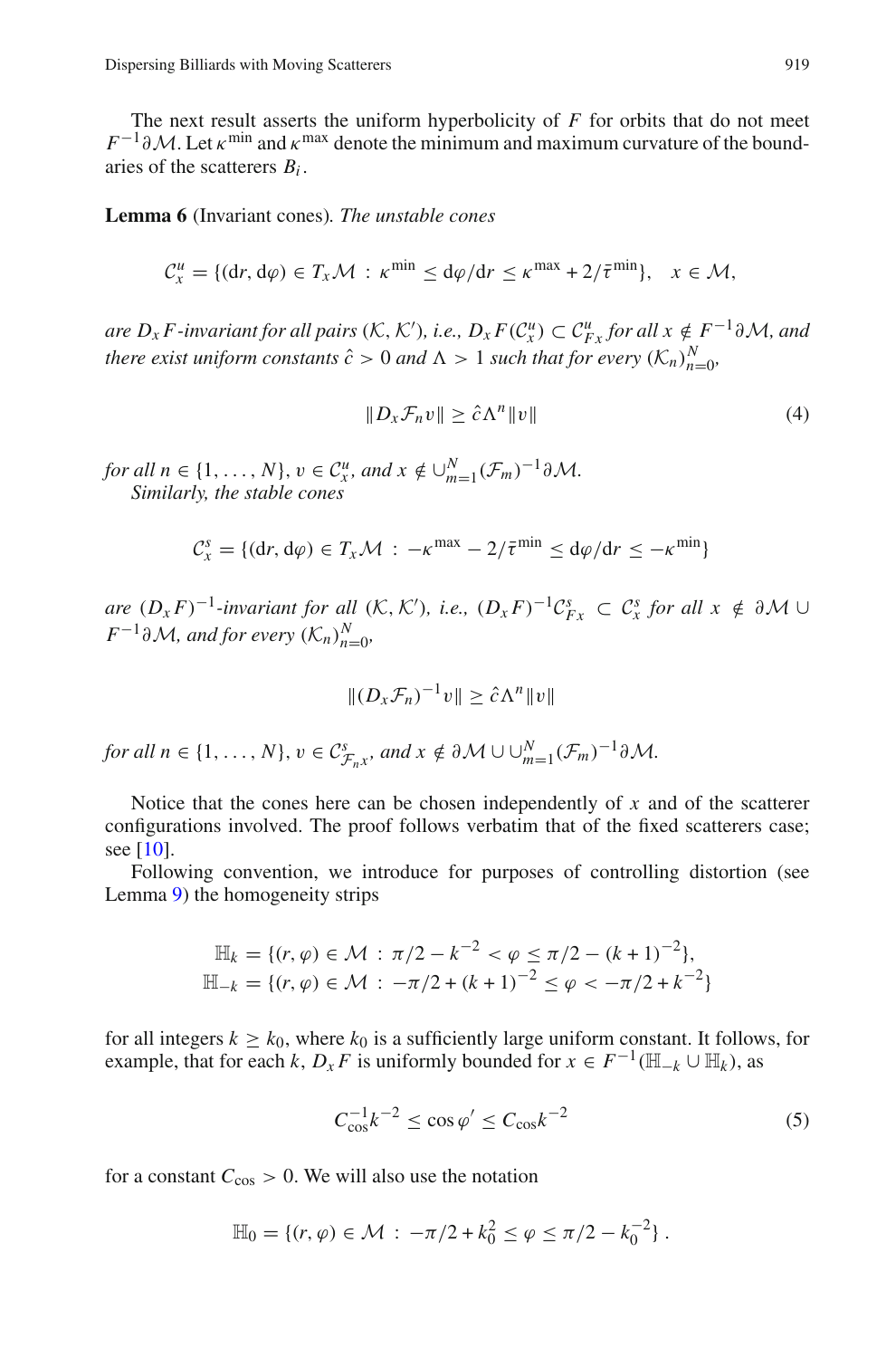The next result asserts the uniform hyperbolicity of *F* for orbits that do not meet  $F^{-1}\partial M$ . Let  $\kappa^{\min}$  and  $\kappa^{\max}$  denote the minimum and maximum curvature of the boundaries of the scatterers *Bi* .

<span id="page-10-0"></span>**Lemma 6** (Invariant cones)*. The unstable cones*

$$
\mathcal{C}_x^u = \{(\mathrm{d}r, \mathrm{d}\varphi) \in T_x \mathcal{M} : \kappa^{\min} \leq \mathrm{d}\varphi/\mathrm{d}r \leq \kappa^{\max} + 2/\overline{\tau}^{\min}\}, \quad x \in \mathcal{M},
$$

*are*  $D_x F$ -invariant for all pairs  $(K, K')$ , i.e.,  $D_x F(C_x^u) \subset C_{Fx}^u$  for all  $x \notin F^{-1}\partial \mathcal{M}$ , and *there exist uniform constants*  $\hat{c} > 0$  *and*  $\Lambda > 1$  *such that for every*  $(\mathcal{K}_n)_{n=0}^N$ ,

$$
||D_x \mathcal{F}_n v|| \ge \hat{c} \Lambda^n ||v|| \tag{4}
$$

<span id="page-10-1"></span>*for all n* ∈ {1, ..., *N*},  $v \in C_x^u$ , and  $x \notin \bigcup_{m=1}^N (\mathcal{F}_m)^{-1} \partial \mathcal{M}$ . *Similarly, the stable cones*

$$
\mathcal{C}_x^s = \{(\mathrm{d}r, \mathrm{d}\varphi) \in T_x \mathcal{M} : -\kappa^{\max} - 2/\bar{\tau}^{\min} \leq \mathrm{d}\varphi/\mathrm{d}r \leq -\kappa^{\min}\}\
$$

*are*  $(D_x F)^{-1}$ *-invariant for all*  $(K, K')$ *, i.e.,*  $(D_x F)^{-1}C_{Fx}^s \subset C_x^s$  *for all*  $x \notin \partial M$  ∪ *<i>F*<sup>−1</sup>∂*M,* and for every  $(K_n)_{n=0}^N$ ,

$$
||(D_x\mathcal{F}_n)^{-1}v|| \geq \hat{c}\Lambda^n ||v||
$$

for all 
$$
n \in \{1, ..., N\}
$$
,  $v \in C^s_{\mathcal{F}_n x}$ , and  $x \notin \partial \mathcal{M} \cup \bigcup_{m=1}^N (\mathcal{F}_m)^{-1} \partial \mathcal{M}$ .

Notice that the cones here can be chosen independently of *x* and of the scatterer configurations involved. The proof follows verbatim that of the fixed scatterers case; see [\[10](#page-46-4)].

Following convention, we introduce for purposes of controlling distortion (see Lemma [9\)](#page-12-0) the homogeneity strips

$$
\mathbb{H}_k = \{ (r, \varphi) \in \mathcal{M} : \pi/2 - k^{-2} < \varphi \le \pi/2 - (k+1)^{-2} \},
$$
\n
$$
\mathbb{H}_{-k} = \{ (r, \varphi) \in \mathcal{M} : -\pi/2 + (k+1)^{-2} \le \varphi < -\pi/2 + k^{-2} \}
$$

for all integers  $k \geq k_0$ , where  $k_0$  is a sufficiently large uniform constant. It follows, for example, that for each *k*,  $D_x F$  is uniformly bounded for  $x \in F^{-1}(\mathbb{H}_{-k} \cup \mathbb{H}_k)$ , as

$$
C_{\cos}^{-1}k^{-2} \le \cos \varphi' \le C_{\cos}k^{-2}
$$
 (5)

<span id="page-10-2"></span>for a constant  $C_{\text{cos}} > 0$ . We will also use the notation

$$
\mathbb{H}_0 = \{ (r, \varphi) \in \mathcal{M} : -\pi/2 + k_0^2 \leq \varphi \leq \pi/2 - k_0^{-2} \}.
$$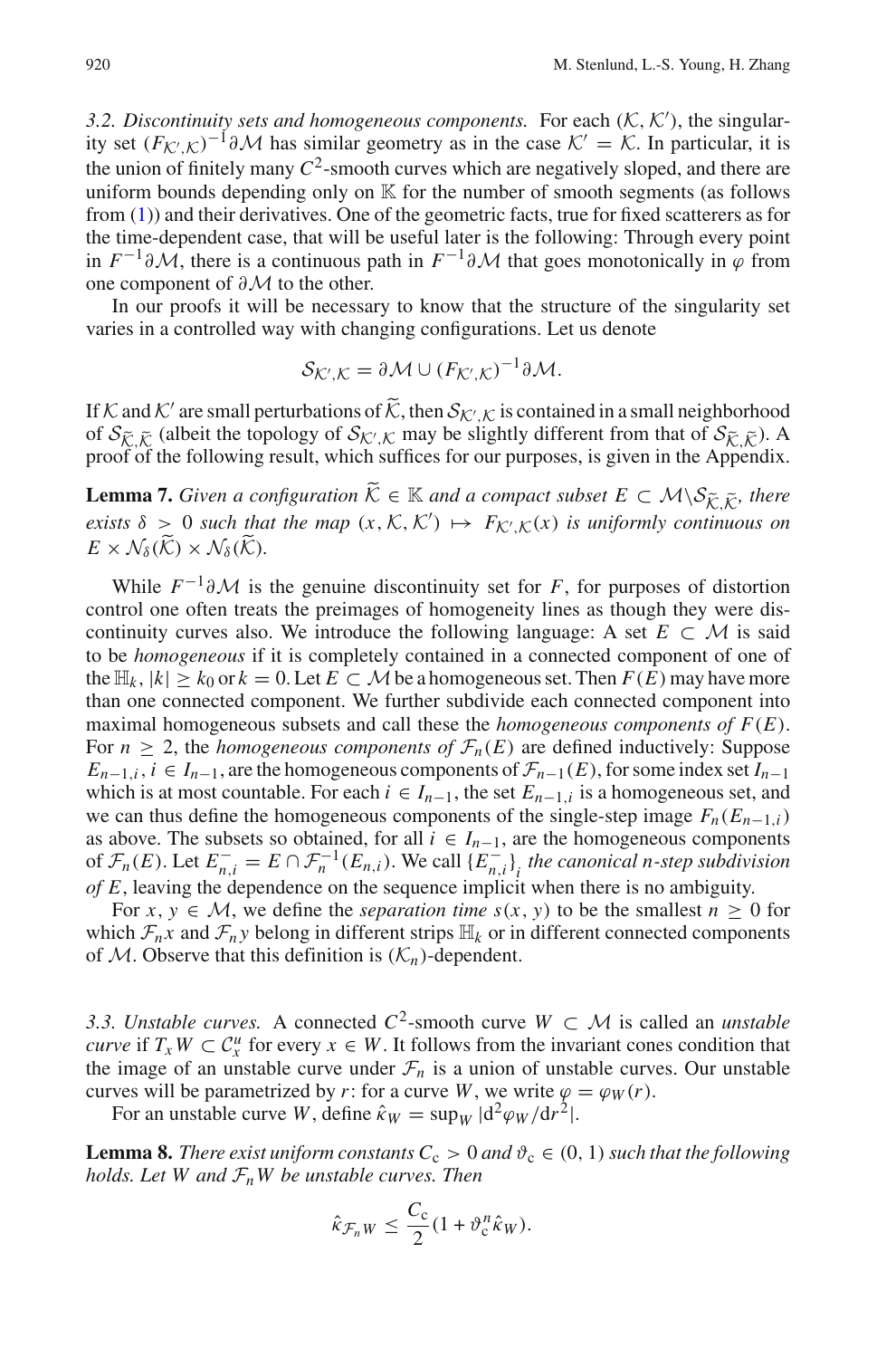<span id="page-11-1"></span>3.2. Discontinuity sets and homogeneous components. For each  $(K, K')$ , the singularity set  $(F_{\mathcal{K}',\mathcal{K}})^{-1}\partial\mathcal{M}$  has similar geometry as in the case  $\mathcal{K}' = \mathcal{K}$ . In particular, it is the union of finitely many  $C^2$ -smooth curves which are negatively sloped, and there are uniform bounds depending only on  $K$  for the number of smooth segments (as follows from [\(1\)](#page-5-2)) and their derivatives. One of the geometric facts, true for fixed scatterers as for the time-dependent case, that will be useful later is the following: Through every point in  $F^{-1}\partial\mathcal{M}$ , there is a continuous path in  $F^{-1}\partial\mathcal{M}$  that goes monotonically in  $\varphi$  from one component of ∂*M* to the other.

In our proofs it will be necessary to know that the structure of the singularity set varies in a controlled way with changing configurations. Let us denote

$$
\mathcal{S}_{\mathcal{K}',\mathcal{K}} = \partial \mathcal{M} \cup (F_{\mathcal{K}',\mathcal{K}})^{-1} \partial \mathcal{M}.
$$

If *K* and *K'* are small perturbations of  $\widetilde{K}$ , then  $S_{K'/K}$  is contained in a small neighborhood of  $S_{\tilde{\mathcal{K}}, \tilde{\mathcal{K}}}$  (albeit the topology of  $S_{\mathcal{K}',\mathcal{K}}$  may be slightly different from that of  $S_{\tilde{\mathcal{K}}, \tilde{\mathcal{K}}}$ ). A proof of the following result, which suffices for our purposes, is given in the Appendix

<span id="page-11-3"></span>**Lemma 7.** *Given a configuration*  $\widetilde{K}$  ∈  $\mathbb{K}$  *and a compact subset*  $E \subset M \setminus S_{\widetilde{K}, \widetilde{K}}$ *, there exists*  $\delta > 0$  *such that the map*  $(x, \mathcal{K}, \mathcal{K}') \mapsto F_{\mathcal{K}',\mathcal{K}}(x)$  *is uniformly continuous on*  $E \times N_8(\widetilde{\mathcal{K}}) \times N_8(\widetilde{\mathcal{K}})$ .

While  $F^{-1}\partial M$  is the genuine discontinuity set for *F*, for purposes of distortion control one often treats the preimages of homogeneity lines as though they were discontinuity curves also. We introduce the following language: A set  $E \subset M$  is said to be *homogeneous* if it is completely contained in a connected component of one of the  $\mathbb{H}_k$ ,  $|k| \geq k_0$  or  $k = 0$ . Let  $E \subset \mathcal{M}$  be a homogeneous set. Then  $F(E)$  may have more than one connected component. We further subdivide each connected component into maximal homogeneous subsets and call these the *homogeneous components of F*(*E*). For  $n \geq 2$ , the *homogeneous components of*  $\mathcal{F}_n(E)$  are defined inductively: Suppose *E*<sub>*n*−1,*i*</sub>, *i* ∈ *I*<sub>*n*−1</sub>, are the homogeneous components of  $\mathcal{F}_{n-1}(E)$ , for some index set *I*<sub>*n*−1</sub> which is at most countable. For each  $i \in I_{n-1}$ , the set  $E_{n-1,i}$  is a homogeneous set, and we can thus define the homogeneous components of the single-step image  $F_n(E_{n-1,i})$ as above. The subsets so obtained, for all  $i \in I_{n-1}$ , are the homogeneous components of  $\mathcal{F}_n(E)$ . Let  $E_{n,i}^- = E \cap \mathcal{F}_n^{-1}(E_{n,i})$ . We call  $\{E_{n,i}^-\}$  *the canonical n-step subdivision of E*, leaving the dependence on the sequence implicit when there is no ambiguity.

For  $x, y \in M$ , we define the *separation time*  $s(x, y)$  to be the smallest  $n \geq 0$  for which  $\mathcal{F}_n x$  and  $\mathcal{F}_n y$  belong in different strips  $\mathbb{H}_k$  or in different connected components of *M*. Observe that this definition is  $(K_n)$ -dependent.

<span id="page-11-2"></span>*3.3. Unstable curves.* A connected  $C^2$ -smooth curve  $W \subset M$  is called an *unstable curve* if  $T_xW \subset C_x^u$  for every  $x \in W$ . It follows from the invariant cones condition that the image of an unstable curve under  $\mathcal{F}_n$  is a union of unstable curves. Our unstable curves will be parametrized by *r*: for a curve *W*, we write  $\varphi = \varphi_W(r)$ .

For an unstable curve *W*, define  $\hat{\kappa}_W = \sup_W |d^2\varphi_W/dr^2|$ .

<span id="page-11-0"></span>**Lemma 8.** *There exist uniform constants*  $C_c > 0$  *and*  $\vartheta_c \in (0, 1)$  *such that the following holds. Let W and FnW be unstable curves. Then*

$$
\hat{\kappa}_{\mathcal{F}_n W} \leq \frac{C_{\rm c}}{2} (1 + \vartheta_{\rm c}^n \hat{\kappa}_W).
$$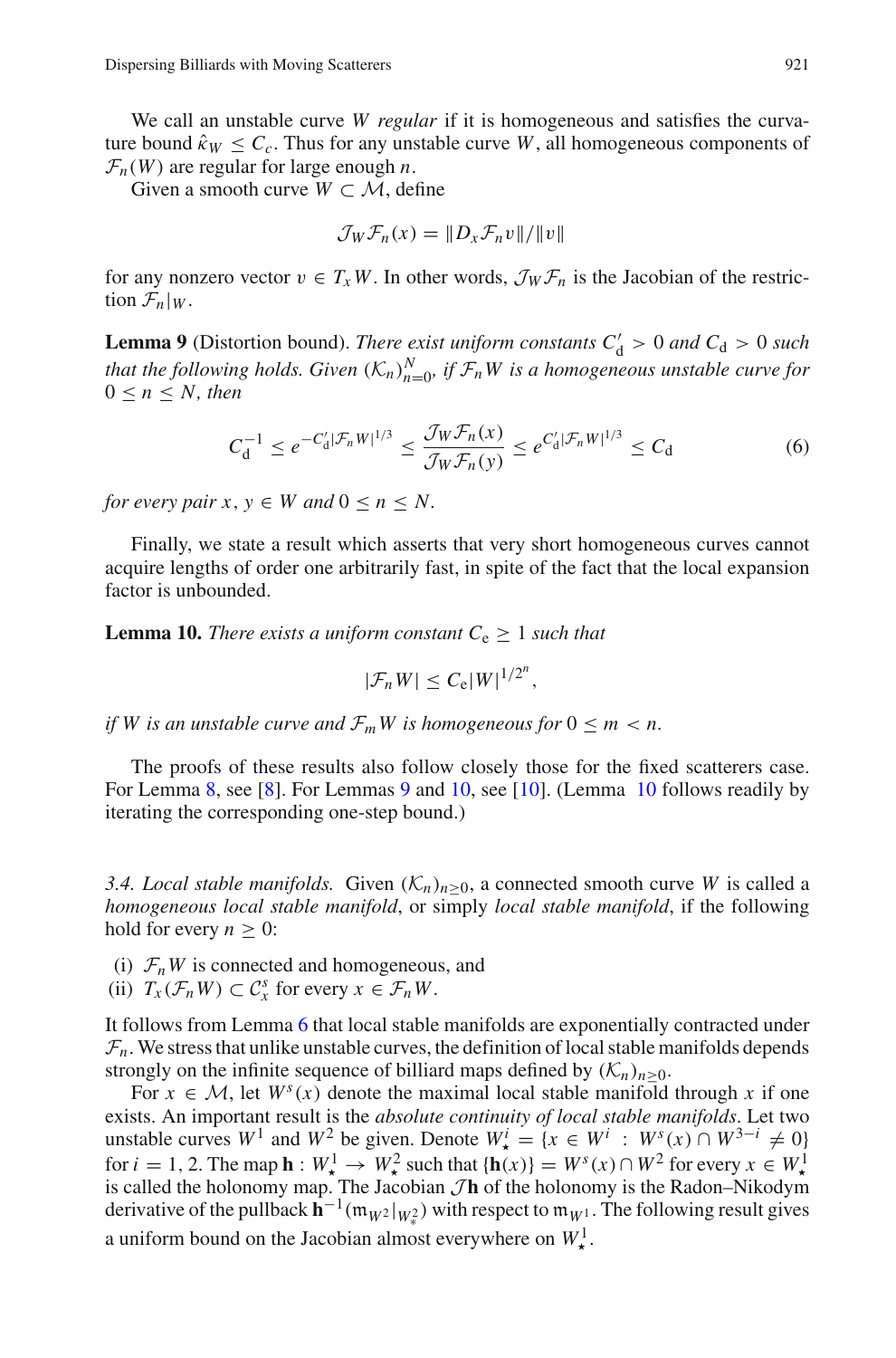We call an unstable curve *W regular* if it is homogeneous and satisfies the curvature bound  $\hat{\kappa}_W \leq C_c$ . Thus for any unstable curve *W*, all homogeneous components of  $\mathcal{F}_n(W)$  are regular for large enough *n*.

Given a smooth curve  $W \subset M$ , define

$$
\mathcal{J}_W \mathcal{F}_n(x) = ||D_x \mathcal{F}_n v|| / ||v||
$$

<span id="page-12-0"></span>for any nonzero vector  $v \in T_xW$ . In other words,  $\mathcal{J}_W\mathcal{F}_n$  is the Jacobian of the restriction  $\mathcal{F}_n|_W$ .

**Lemma 9** (Distortion bound). *There exist uniform constants*  $C'_d > 0$  *and*  $C_d > 0$  *such that the following holds. Given*  $(K_n)_{n=0}^N$ , if  $\mathcal{F}_nW$  is a homogeneous unstable curve for  $0 \leq n \leq N$ , then

$$
C_d^{-1} \le e^{-C_d' |\mathcal{F}_n W|^{1/3}} \le \frac{\mathcal{J}_W \mathcal{F}_n(x)}{\mathcal{J}_W \mathcal{F}_n(y)} \le e^{C_d' |\mathcal{F}_n W|^{1/3}} \le C_d \tag{6}
$$

<span id="page-12-3"></span>*for every pair x, y*  $\in$  *W* and  $0 \le n \le N$ .

<span id="page-12-1"></span>Finally, we state a result which asserts that very short homogeneous curves cannot acquire lengths of order one arbitrarily fast, in spite of the fact that the local expansion factor is unbounded.

**Lemma 10.** *There exists a uniform constant*  $C_e \geq 1$  *such that* 

$$
|\mathcal{F}_n W| \leq C_e |W|^{1/2^n},
$$

*if* W is an unstable curve and  $\mathcal{F}_m$ W is homogeneous for  $0 \leq m < n$ .

The proofs of these results also follow closely those for the fixed scatterers case. For Lemma [8,](#page-11-0) see [\[8\]](#page-45-0). For Lemmas [9](#page-12-0) and [10,](#page-12-1) see [\[10\]](#page-46-4). (Lemma [10](#page-12-1) follows readily by iterating the corresponding one-step bound.)

<span id="page-12-4"></span>*3.4. Local stable manifolds.* Given  $(K_n)_{n>0}$ , a connected smooth curve *W* is called a *homogeneous local stable manifold*, or simply *local stable manifold*, if the following hold for every  $n \geq 0$ :

- (i)  $\mathcal{F}_n W$  is connected and homogeneous, and
- (ii)  $T_x(\mathcal{F}_n W) \subset \mathcal{C}_x^s$  for every  $x \in \mathcal{F}_n W$ .

It follows from Lemma [6](#page-10-0) that local stable manifolds are exponentially contracted under  $\mathcal{F}_n$ . We stress that unlike unstable curves, the definition of local stable manifolds depends strongly on the infinite sequence of billiard maps defined by  $(K_n)_{n>0}$ .

<span id="page-12-2"></span>For  $x \in M$ , let  $W^s(x)$  denote the maximal local stable manifold through x if one exists. An important result is the *absolute continuity of local stable manifolds*. Let two unstable curves  $W^1$  and  $W^2$  be given. Denote  $W^i_{\star} = \{x \in W^i : W^s(x) \cap W^{3-i} \neq 0\}$ for  $i = 1, 2$ . The map  $\mathbf{h} : W^1_* \to W^2_*$  such that  $\{\mathbf{h}(x)\} = W^s(x) \cap W^2$  for every  $x \in W^1_*$  is called the holonomy map. The Jacobian *J***h** of the holonomy is the Radon–Nikodym derivative of the pullback  $\mathbf{h}^{-1}(\mathfrak{m}_{W^2}|_{W^2_*})$  with respect to  $\mathfrak{m}_{W^1}$ . The following result gives a uniform bound on the Jacobian almost everywhere on  $W^1_{\star}$ .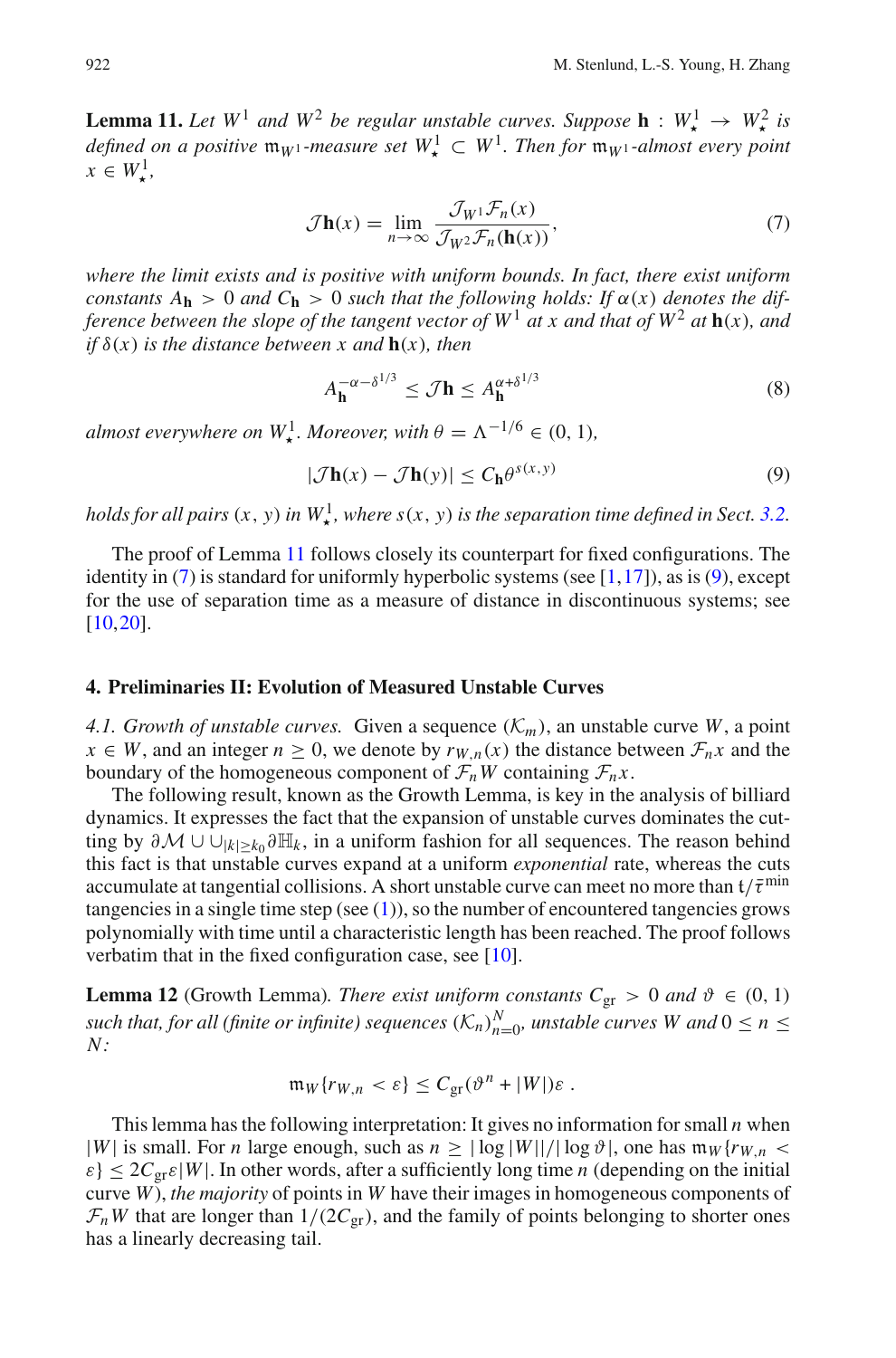**Lemma 11.** Let  $W^1$  and  $W^2$  be regular unstable curves. Suppose  $\mathbf{h}: W^1_{\star} \to W^2_{\star}$  is *defined on a positive*  $\mathfrak{m}_{W^1}$ *-measure set*  $W^1$ ,  $\subset W^1$ *. Then for*  $\mathfrak{m}_{W^1}$ *-almost every point*  $x \in W^1_\star,$ 

$$
\mathcal{J}\mathbf{h}(x) = \lim_{n \to \infty} \frac{\mathcal{J}_{W^1} \mathcal{F}_n(x)}{\mathcal{J}_{W^2} \mathcal{F}_n(\mathbf{h}(x))},\tag{7}
$$

<span id="page-13-1"></span>*where the limit exists and is positive with uniform bounds. In fact, there exist uniform constants*  $A_h > 0$  *and*  $C_h > 0$  *such that the following holds: If*  $\alpha(x)$  *denotes the difference between the slope of the tangent vector of*  $W<sup>1</sup>$  *at x and that of*  $W<sup>2</sup>$  *at* **h**(*x*)*, and if* δ(*x*) *is the distance between x and* **h**(*x*)*, then*

$$
A_{\mathbf{h}}^{-\alpha - \delta^{1/3}} \le \mathcal{J}\mathbf{h} \le A_{\mathbf{h}}^{\alpha + \delta^{1/3}} \tag{8}
$$

<span id="page-13-5"></span>*almost everywhere on*  $W^1_{\star}$ *. Moreover, with*  $\theta = \Lambda^{-1/6} \in (0, 1)$ *,* 

$$
|\mathcal{J}\mathbf{h}(x) - \mathcal{J}\mathbf{h}(y)| \le C_{\mathbf{h}} \theta^{s(x,y)} \tag{9}
$$

<span id="page-13-2"></span>*holds for all pairs*  $(x, y)$  *in*  $W^1_{\star}$ *, where s*( $x, y$ ) *is the separation time defined in Sect.* [3.2.](#page-11-1)

The proof of Lemma [11](#page-12-2) follows closely its counterpart for fixed configurations. The identity in  $(7)$  is standard for uniformly hyperbolic systems (see [\[1,](#page-45-7)[17\]](#page-46-1)), as is [\(9\)](#page-13-2), except for the use of separation time as a measure of distance in discontinuous systems; see [\[10](#page-46-4),[20\]](#page-46-2).

#### <span id="page-13-3"></span><span id="page-13-0"></span>**4. Preliminaries II: Evolution of Measured Unstable Curves**

*4.1. Growth of unstable curves.* Given a sequence  $(\mathcal{K}_m)$ , an unstable curve *W*, a point *x* ∈ *W*, and an integer *n* ≥ 0, we denote by  $r_{W,n}(x)$  the distance between  $\mathcal{F}_n x$  and the boundary of the homogeneous component of  $\mathcal{F}_nW$  containing  $\mathcal{F}_nx$ .

The following result, known as the Growth Lemma, is key in the analysis of billiard dynamics. It expresses the fact that the expansion of unstable curves dominates the cutting by <sup>∂</sup>*<sup>M</sup>* ∪ ∪|*k*|≥*k*<sup>0</sup> <sup>∂</sup>H*<sup>k</sup>* , in a uniform fashion for all sequences. The reason behind this fact is that unstable curves expand at a uniform *exponential* rate, whereas the cuts accumulate at tangential collisions. A short unstable curve can meet no more than  $t/\bar{\tau}^{\min}$ tangencies in a single time step (see  $(1)$ ), so the number of encountered tangencies grows polynomially with time until a characteristic length has been reached. The proof follows verbatim that in the fixed configuration case, see [\[10\]](#page-46-4).

<span id="page-13-4"></span>**Lemma 12** (Growth Lemma). There exist uniform constants  $C_{gr} > 0$  and  $\vartheta \in (0, 1)$ *such that, for all (finite or infinite) sequences*  $(K_n)_{n=0}^N$ , unstable curves W and  $0 \le n \le N$ *N:*

$$
\mathfrak{m}_W\{r_{W,n} < \varepsilon\} \leq C_{\rm gr}(\vartheta^n + |W|)\varepsilon.
$$

This lemma has the following interpretation: It gives no information for small *n* when |*W*| is small. For *n* large enough, such as  $n \geq |\log |W|| / |\log \vartheta|$ , one has  $m_W\{rw, n \leq \vartheta\}$  $\varepsilon$   $\leq$  2*C*<sub>or</sub> $\varepsilon$ |*W*|. In other words, after a sufficiently long time *n* (depending on the initial curve *W*), *the majority* of points in *W* have their images in homogeneous components of  $\mathcal{F}_n$ *W* that are longer than  $1/(2C_{gr})$ , and the family of points belonging to shorter ones has a linearly decreasing tail.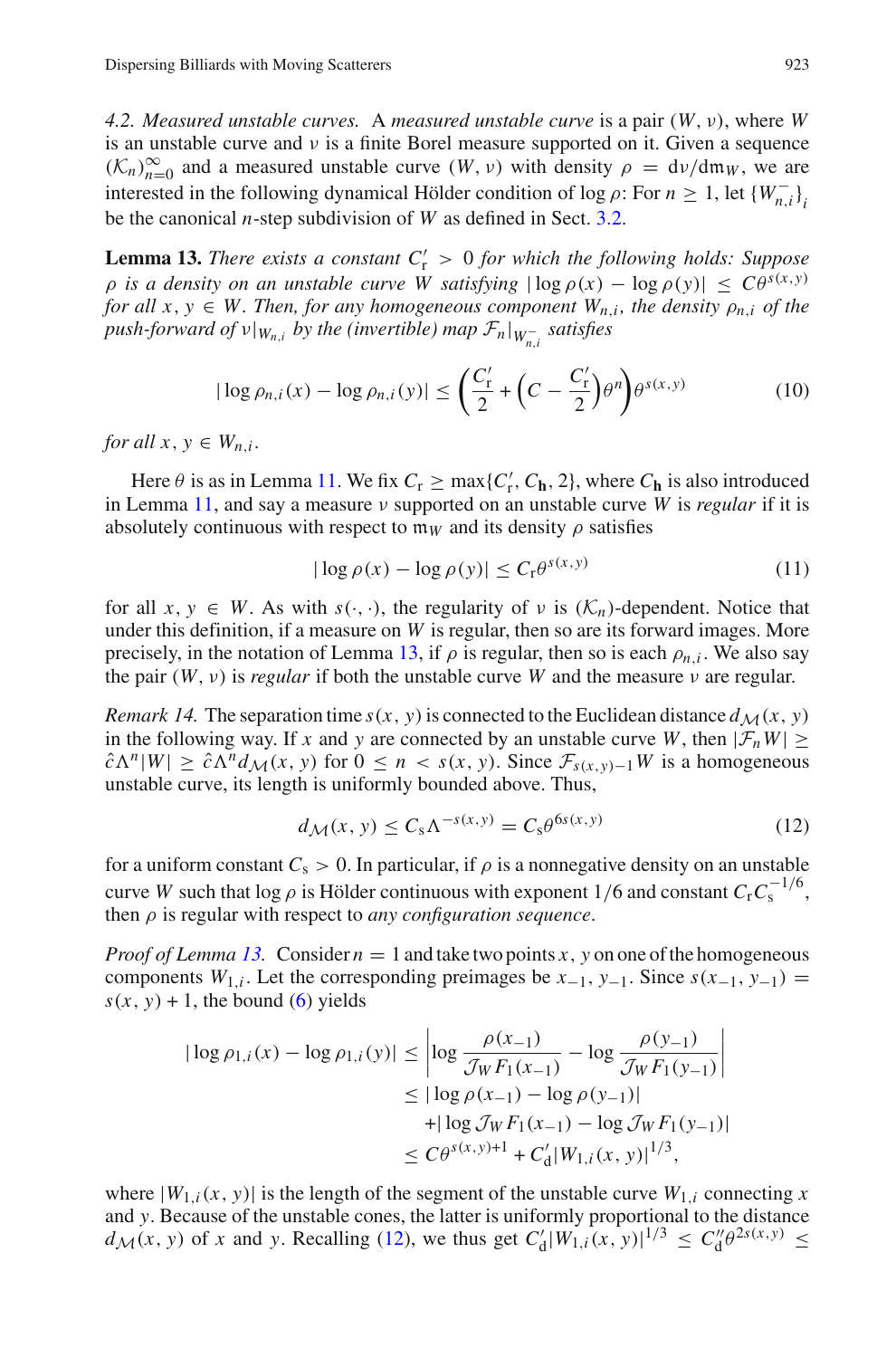<span id="page-14-4"></span>*4.2. Measured unstable curves.* A *measured unstable curve* is a pair (*W*,ν), where *W* is an unstable curve and  $\nu$  is a finite Borel measure supported on it. Given a sequence  $(K_n)_{n=0}^{\infty}$  and a measured unstable curve  $(W, v)$  with density  $\rho = dv/dm_W$ , we are interested in the following dynamical Hölder condition of log  $\rho$ : For  $n \ge 1$ , let  $\{W_{n,i}^{-}\}_{i,j \in \mathbb{N}}$ be the canonical *n*-step subdivision of *W* as defined in Sect. [3.2.](#page-11-1)

<span id="page-14-0"></span>**Lemma 13.** *There exists a constant*  $C'_r > 0$  *for which the following holds: Suppose*  $\rho$  *is a density on an unstable curve W satisfying*  $|\log \rho(x) - \log \rho(y)| \leq C \theta^{s(x,y)}$ *for all x, y*  $\in$  *W. Then, for any homogeneous component*  $W_{n,i}$ *, the density*  $\rho_{n,i}$  *of the*  $push\text{-}forward\ of\ \nu|_{W_{n,i}}\ by\ the\ (invertible)\ map\ \mathcal{F}_n|_{W_{n,i}^-}\ satisfies$ 

$$
|\log \rho_{n,i}(x) - \log \rho_{n,i}(y)| \leq \left(\frac{C'_r}{2} + \left(C - \frac{C'_r}{2}\right)\theta^n\right)\theta^{s(x,y)}\tag{10}
$$

<span id="page-14-2"></span>*for all*  $x, y \in W_n$ *i*.

Here  $\theta$  is as in Lemma [11.](#page-12-2) We fix  $C_r \ge \max\{C'_r, C_h, 2\}$ , where  $C_h$  is also introduced in Lemma [11,](#page-12-2) and say a measure ν supported on an unstable curve *W* is *regular* if it is absolutely continuous with respect to  $m_W$  and its density  $\rho$  satisfies

$$
|\log \rho(x) - \log \rho(y)| \le C_r \theta^{s(x, y)}
$$
\n(11)

<span id="page-14-3"></span>for all  $x, y \in W$ . As with  $s(\cdot, \cdot)$ , the regularity of  $\nu$  is  $(\mathcal{K}_n)$ -dependent. Notice that under this definition, if a measure on *W* is regular, then so are its forward images. More precisely, in the notation of Lemma [13,](#page-14-0) if  $\rho$  is regular, then so is each  $\rho_{n,i}$ . We also say the pair  $(W, v)$  is *regular* if both the unstable curve *W* and the measure *v* are regular.

<span id="page-14-5"></span>*Remark 14.* The separation time  $s(x, y)$  is connected to the Euclidean distance  $d_M(x, y)$ in the following way. If *x* and *y* are connected by an unstable curve *W*, then  $|\mathcal{F}_nW| \ge$  $\hat{c}\Lambda^{n}|W|\geq \hat{c}\Lambda^{n}d_{\mathcal{M}}(x, y)$  for  $0 \leq n < s(x, y)$ . Since  $\mathcal{F}_{s(x, y)-1}W$  is a homogeneous unstable curve, its length is uniformly bounded above. Thus,

$$
d_{\mathcal{M}}(x, y) \le C_s \Lambda^{-s(x, y)} = C_s \theta^{6s(x, y)}
$$
\n(12)

<span id="page-14-1"></span>for a uniform constant  $C_s > 0$ . In particular, if  $\rho$  is a nonnegative density on an unstable curve *W* such that log  $\rho$  is Hölder continuous with exponent 1/6 and constant  $C_rC_s^{-1/6}$ , then ρ is regular with respect to *any configuration sequence*.

*Proof of Lemma [13.](#page-14-0)* Consider  $n = 1$  and take two points *x*, *y* on one of the homogeneous components *W*<sub>1,*i*</sub>. Let the corresponding preimages be  $x_{-1}$ ,  $y_{-1}$ . Since  $s(x_{-1}, y_{-1})$  =  $s(x, y) + 1$ , the bound [\(6\)](#page-12-3) yields

$$
|\log \rho_{1,i}(x) - \log \rho_{1,i}(y)| \le \left| \log \frac{\rho(x_{-1})}{\mathcal{J}_W F_1(x_{-1})} - \log \frac{\rho(y_{-1})}{\mathcal{J}_W F_1(y_{-1})} \right|
$$
  

$$
\le |\log \rho(x_{-1}) - \log \rho(y_{-1})|
$$
  

$$
+ |\log \mathcal{J}_W F_1(x_{-1}) - \log \mathcal{J}_W F_1(y_{-1})|
$$
  

$$
\le C\theta^{s(x,y)+1} + C'_d |W_{1,i}(x,y)|^{1/3},
$$

where  $|W_{1,i}(x, y)|$  is the length of the segment of the unstable curve  $W_{1,i}$  connecting *x* and *y*. Because of the unstable cones, the latter is uniformly proportional to the distance  $d_{\mathcal{M}}(x, y)$  of *x* and *y*. Recalling [\(12\)](#page-14-1), we thus get  $C'_d |W_{1,i}(x, y)|^{1/3} \le C''_d \theta^{2s(x, y)} \le C''_d \theta^{2s(x, y)}$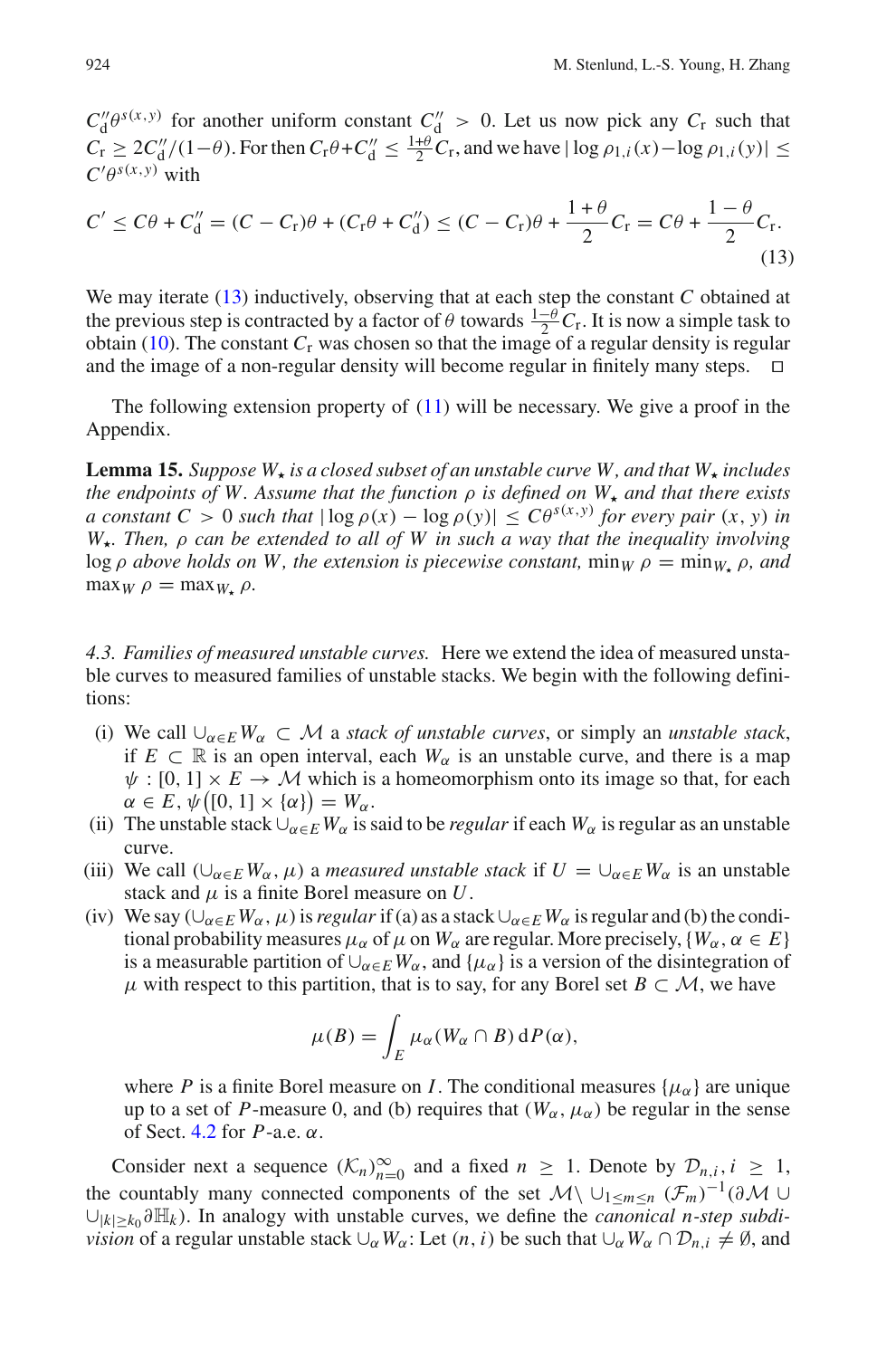$C''_d \theta^{s(x,y)}$  for another uniform constant  $C''_d > 0$ . Let us now pick any  $C_r$  such that  $C_r \geq 2C_d''/(1-\theta)$ . For then  $C_r\theta + C_d'' \leq \frac{1+\theta}{2}C_r$ , and we have  $|\log \rho_{1,i}(x) - \log \rho_{1,i}(y)| \leq$  $C'\theta^{s(x,y)}$  with

<span id="page-15-0"></span>
$$
C' \le C\theta + C_d'' = (C - C_r)\theta + (C_r\theta + C_d'') \le (C - C_r)\theta + \frac{1+\theta}{2}C_r = C\theta + \frac{1-\theta}{2}C_r.
$$
\n(13)

We may iterate [\(13\)](#page-15-0) inductively, observing that at each step the constant *C* obtained at the previous step is contracted by a factor of  $\theta$  towards  $\frac{1-\theta}{2}C_r$ . It is now a simple task to obtain [\(10\)](#page-14-2). The constant  $C_r$  was chosen so that the image of a regular density is regular and the image of a non-regular density will become regular in finitely many steps.  $\Box$ 

<span id="page-15-2"></span>The following extension property of  $(11)$  will be necessary. We give a proof in the Appendix.

**Lemma 15.** Suppose  $W_{\tau}$  is a closed subset of an unstable curve W, and that  $W_{\tau}$  includes *the endpoints of W. Assume that the function*  $\rho$  *is defined on*  $W_{\star}$  *and that there exists a constant*  $C > 0$  *such that*  $|\log \rho(x) - \log \rho(y)| \leq C\theta^{s(x,y)}$  *for every pair*  $(x, y)$  *in W. Then,* ρ *can be extended to all of W in such a way that the inequality involving* log  $\rho$  *above holds on W, the extension is piecewise constant,*  $\min_W \rho = \min_W \rho$ , and  $\max_W \rho = \max_{W_+} \rho$ .

<span id="page-15-1"></span>*4.3. Families of measured unstable curves.* Here we extend the idea of measured unstable curves to measured families of unstable stacks. We begin with the following definitions:

- (i) We call  $\bigcup_{\alpha \in E} W_{\alpha} \subset \mathcal{M}$  a *stack of unstable curves*, or simply an *unstable stack*, if  $E \subset \mathbb{R}$  is an open interval, each  $W_\alpha$  is an unstable curve, and there is a map  $\psi : [0, 1] \times E \rightarrow M$  which is a homeomorphism onto its image so that, for each  $\alpha \in E$ ,  $\psi([0, 1] \times {\alpha}) = W_\alpha$ .
- (ii) The unstable stack  $\bigcup_{\alpha \in E} W_{\alpha}$  is said to be *regular* if each  $W_{\alpha}$  is regular as an unstable curve.
- (iii) We call  $(\cup_{\alpha \in E} W_{\alpha}, \mu)$  a *measured unstable stack* if  $U = \cup_{\alpha \in E} W_{\alpha}$  is an unstable stack and  $\mu$  is a finite Borel measure on  $U$ .
- (iv) We say  $(\cup_{\alpha \in E} W_{\alpha}, \mu)$  is *regular* if (a) as a stack  $\cup_{\alpha \in E} W_{\alpha}$  is regular and (b) the conditional probability measures  $\mu_{\alpha}$  of  $\mu$  on  $W_{\alpha}$  are regular. More precisely,  $\{W_{\alpha}, \alpha \in E\}$ is a measurable partition of  $\bigcup_{\alpha \in E} W_{\alpha}$ , and  $\{\mu_{\alpha}\}\$ is a version of the disintegration of  $\mu$  with respect to this partition, that is to say, for any Borel set  $B \subset M$ , we have

$$
\mu(B) = \int_E \mu_\alpha(W_\alpha \cap B) \, dP(\alpha),
$$

where *P* is a finite Borel measure on *I*. The conditional measures  $\{\mu_{\alpha}\}\$  are unique up to a set of *P*-measure 0, and (b) requires that  $(W_\alpha, \mu_\alpha)$  be regular in the sense of Sect. [4.2](#page-14-4) for *P*-a.e. α.

Consider next a sequence  $(K_n)_{n=0}^{\infty}$  and a fixed  $n \geq 1$ . Denote by  $\mathcal{D}_{n,i}, i \geq 1$ , the countably many connected components of the set  $\mathcal{M}\setminus\cup_{1\leq m\leq n}(\mathcal{F}_m)^{-1}(\partial\mathcal{M}\cup$ ∪|*k*|≥*k*<sup>0</sup> ∂H*<sup>k</sup>* ). In analogy with unstable curves, we define the *canonical n-step subdivision* of a regular unstable stack  $\cup_{\alpha} W_{\alpha}$ : Let  $(n, i)$  be such that  $\cup_{\alpha} W_{\alpha} \cap \mathcal{D}_{n,i} \neq \emptyset$ , and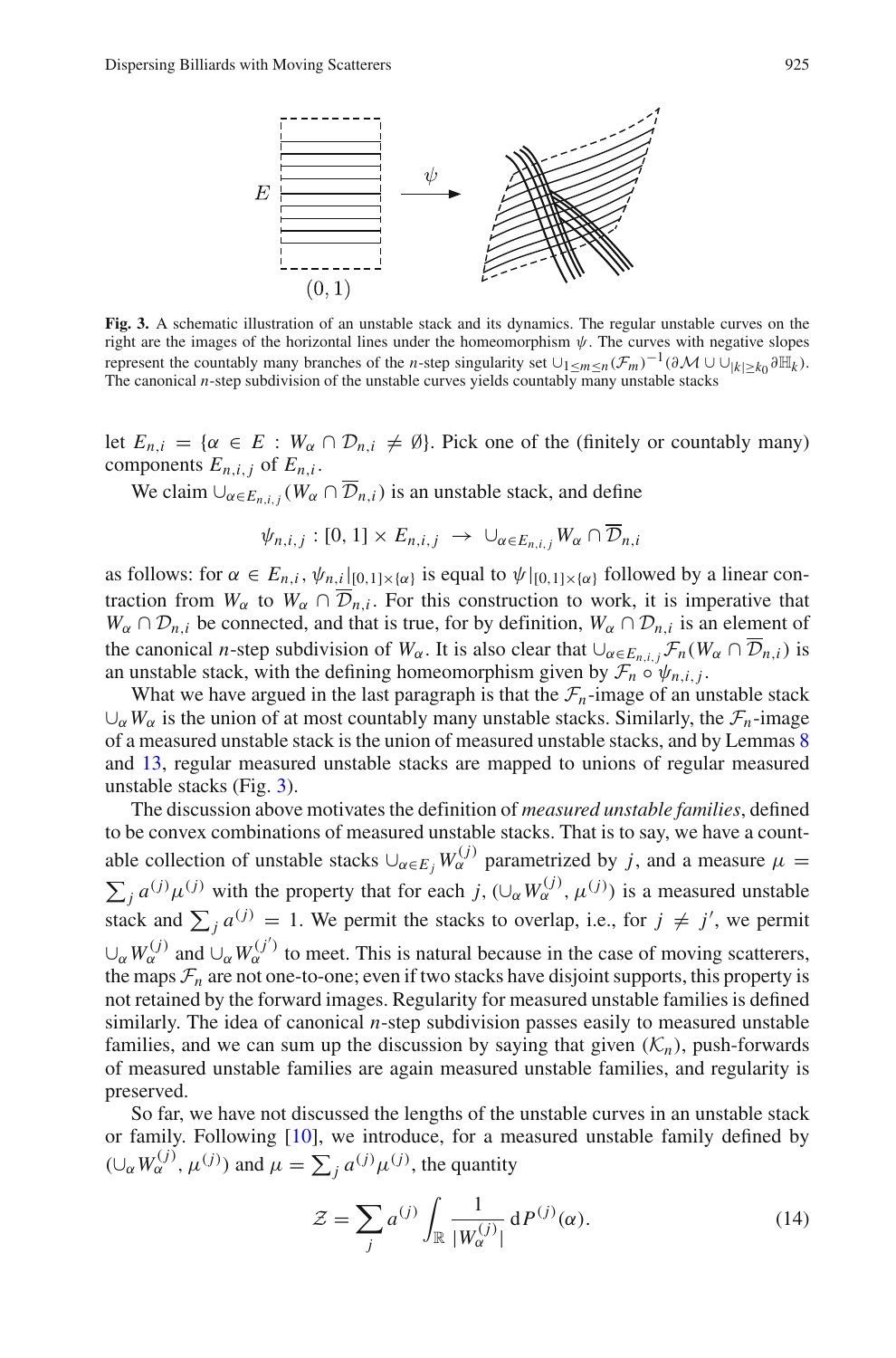

<span id="page-16-0"></span>**Fig. 3.** A schematic illustration of an unstable stack and its dynamics. The regular unstable curves on the right are the images of the horizontal lines under the homeomorphism  $\psi$ . The curves with negative slopes represent the countably many branches of the *n*-step singularity set  $\bigcup_{1 \le m \le n} (\mathcal{F}_m)^{-1}(\partial \mathcal{M} \cup \bigcup_{|k| > k_0} \partial \mathbb{H}_k).$ The canonical *n*-step subdivision of the unstable curves yields countably many unstable stacks

let  $E_{n,i} = \{ \alpha \in E : W_\alpha \cap \mathcal{D}_{n,i} \neq \emptyset \}$ . Pick one of the (finitely or countably many) components  $E_{n,i,j}$  of  $E_{n,i}$ .

We claim  $\bigcup_{\alpha \in E_{n,i}} (W_{\alpha} \cap \overline{\mathcal{D}}_{n,i})$  is an unstable stack, and define

$$
\psi_{n,i,j}:[0,1]\times E_{n,i,j}\rightarrow \cup_{\alpha\in E_{n,i,j}}W_{\alpha}\cap \mathcal{D}_{n,i}
$$

as follows: for  $\alpha \in E_{n,i}$ ,  $\psi_{n,i}|_{[0,1]\times\{\alpha\}}$  is equal to  $\psi|_{[0,1]\times\{\alpha\}}$  followed by a linear contraction from  $W_\alpha$  to  $W_\alpha \cap \overline{\mathcal{D}}_{n,i}$ . For this construction to work, it is imperative that  $W_\alpha \cap \mathcal{D}_{n,i}$  be connected, and that is true, for by definition,  $W_\alpha \cap \mathcal{D}_{n,i}$  is an element of the canonical *n*-step subdivision of  $W_\alpha$ . It is also clear that  $\cup_{\alpha \in E_{n,i,j}} \mathcal{F}_n(W_\alpha \cap \overline{\mathcal{D}}_{n,i})$  is an unstable stack, with the defining homeomorphism given by  $\mathcal{F}_n \circ \psi_{n,i,j}$ .

What we have argued in the last paragraph is that the  $\mathcal{F}_n$ -image of an unstable stack  $\cup_{\alpha} W_{\alpha}$  is the union of at most countably many unstable stacks. Similarly, the  $\mathcal{F}_n$ -image of a measured unstable stack is the union of measured unstable stacks, and by Lemmas [8](#page-11-0) and [13,](#page-14-0) regular measured unstable stacks are mapped to unions of regular measured unstable stacks (Fig. [3\)](#page-16-0).

The discussion above motivates the definition of *measured unstable families*, defined to be convex combinations of measured unstable stacks. That is to say, we have a countable collection of unstable stacks  $\cup_{\alpha \in E_i} W_{\alpha}^{(j)}$  parametrized by *j*, and a measure  $\mu =$  $\sum_{j} a^{(j)} \mu^{(j)}$  with the property that for each *j*,  $(\cup_{\alpha} W_{\alpha}^{(j)}, \mu^{(j)})$  is a measured unstable stack and  $\sum_{j} a^{(j)} = 1$ . We permit the stacks to overlap, i.e., for  $j \neq j'$ , we permit  $\cup_{\alpha} W_{\alpha}^{(j)}$  and  $\cup_{\alpha} W_{\alpha}^{(j')}$  to meet. This is natural because in the case of moving scatterers, the maps  $\mathcal{F}_n$  are not one-to-one; even if two stacks have disjoint supports, this property is not retained by the forward images. Regularity for measured unstable families is defined similarly. The idea of canonical *n*-step subdivision passes easily to measured unstable families, and we can sum up the discussion by saying that given  $(K_n)$ , push-forwards of measured unstable families are again measured unstable families, and regularity is preserved.

<span id="page-16-1"></span>So far, we have not discussed the lengths of the unstable curves in an unstable stack or family. Following [\[10\]](#page-46-4), we introduce, for a measured unstable family defined by  $(\cup_{\alpha} W_{\alpha}^{(j)}, \mu^{(j)})$  and  $\mu = \sum_{j} a^{(j)} \mu^{(j)}$ , the quantity

$$
\mathcal{Z} = \sum_{j} a^{(j)} \int_{\mathbb{R}} \frac{1}{|W_{\alpha}^{(j)}|} \, \mathrm{d}P^{(j)}(\alpha). \tag{14}
$$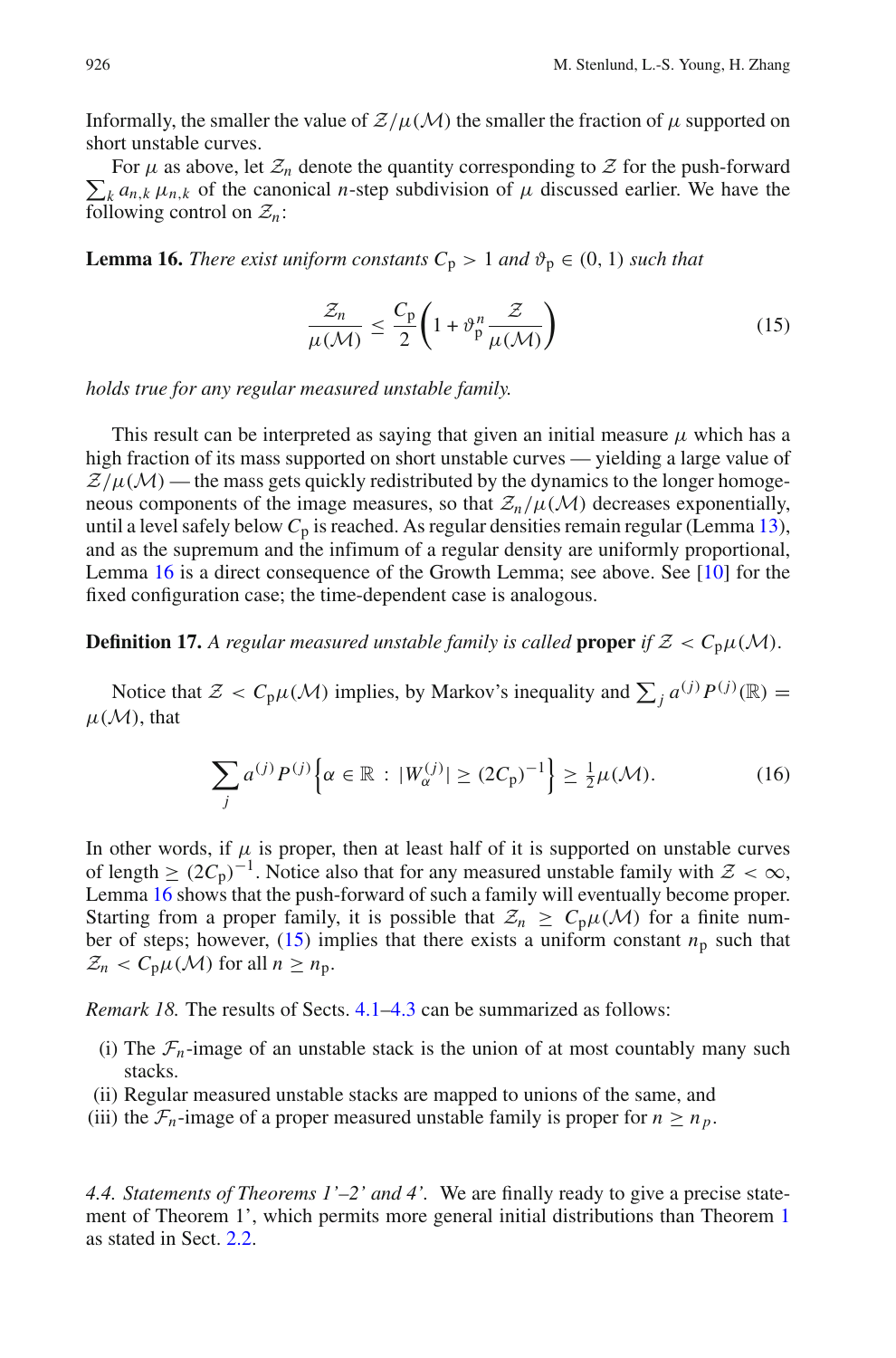Informally, the smaller the value of  $Z/\mu(M)$  the smaller the fraction of  $\mu$  supported on short unstable curves.

 $\sum_{k} a_{n,k} \mu_{n,k}$  of the canonical *n*-step subdivision of  $\mu$  discussed earlier. We have the For  $\mu$  as above, let  $\mathcal{Z}_n$  denote the quantity corresponding to  $\mathcal Z$  for the push-forward following control on  $\mathcal{Z}_n$ :

<span id="page-17-2"></span><span id="page-17-1"></span>**Lemma 16.** *There exist uniform constants*  $C_p > 1$  *and*  $\vartheta_p \in (0, 1)$  *such that* 

$$
\frac{\mathcal{Z}_n}{\mu(\mathcal{M})} \le \frac{C_p}{2} \left( 1 + \vartheta_p^n \frac{\mathcal{Z}}{\mu(\mathcal{M})} \right) \tag{15}
$$

*holds true for any regular measured unstable family.*

This result can be interpreted as saying that given an initial measure  $\mu$  which has a high fraction of its mass supported on short unstable curves — yielding a large value of  $Z/\mu(M)$  — the mass gets quickly redistributed by the dynamics to the longer homogeneous components of the image measures, so that  $\mathcal{Z}_n/\mu(\mathcal{M})$  decreases exponentially, until a level safely below  $C_p$  is reached. As regular densities remain regular (Lemma [13\)](#page-14-0), and as the supremum and the infimum of a regular density are uniformly proportional, Lemma [16](#page-17-1) is a direct consequence of the Growth Lemma; see above. See [\[10\]](#page-46-4) for the fixed configuration case; the time-dependent case is analogous.

<span id="page-17-4"></span>**Definition 17.** A regular measured unstable family is called **proper** if  $Z < C_p\mu(M)$ .

Notice that  $\mathcal{Z} < C_p \mu(\mathcal{M})$  implies, by Markov's inequality and  $\sum_j a^{(j)} P^{(j)}(\mathbb{R}) =$  $\mu(\mathcal{M})$ , that

$$
\sum_{j} a^{(j)} P^{(j)} \Big\{ \alpha \in \mathbb{R} : |W_{\alpha}^{(j)}| \ge (2C_{p})^{-1} \Big\} \ge \frac{1}{2} \mu(\mathcal{M}). \tag{16}
$$

In other words, if  $\mu$  is proper, then at least half of it is supported on unstable curves of length  $\geq (2C_p)^{-1}$ . Notice also that for any measured unstable family with  $\mathcal{Z} < \infty$ , Lemma [16](#page-17-1) shows that the push-forward of such a family will eventually become proper. Starting from a proper family, it is possible that  $\mathcal{Z}_n \geq C_p \mu(\mathcal{M})$  for a finite number of steps; however,  $(15)$  implies that there exists a uniform constant  $n<sub>p</sub>$  such that  $\mathcal{Z}_n < C_p \mu(\mathcal{M})$  for all  $n \geq n_p$ .

<span id="page-17-3"></span>*Remark 18.* The results of Sects. [4.1–](#page-13-3)[4.3](#page-15-1) can be summarized as follows:

- (i) The  $\mathcal{F}_n$ -image of an unstable stack is the union of at most countably many such stacks.
- (ii) Regular measured unstable stacks are mapped to unions of the same, and
- (iii) the  $\mathcal{F}_n$ -image of a proper measured unstable family is proper for  $n \geq n_p$ .

<span id="page-17-0"></span>*4.4. Statements of Theorems 1'–2' and 4'.* We are finally ready to give a precise statement of Theorem 1', which permits more general initial distributions than Theorem [1](#page-5-0) as stated in Sect. [2.2.](#page-5-3)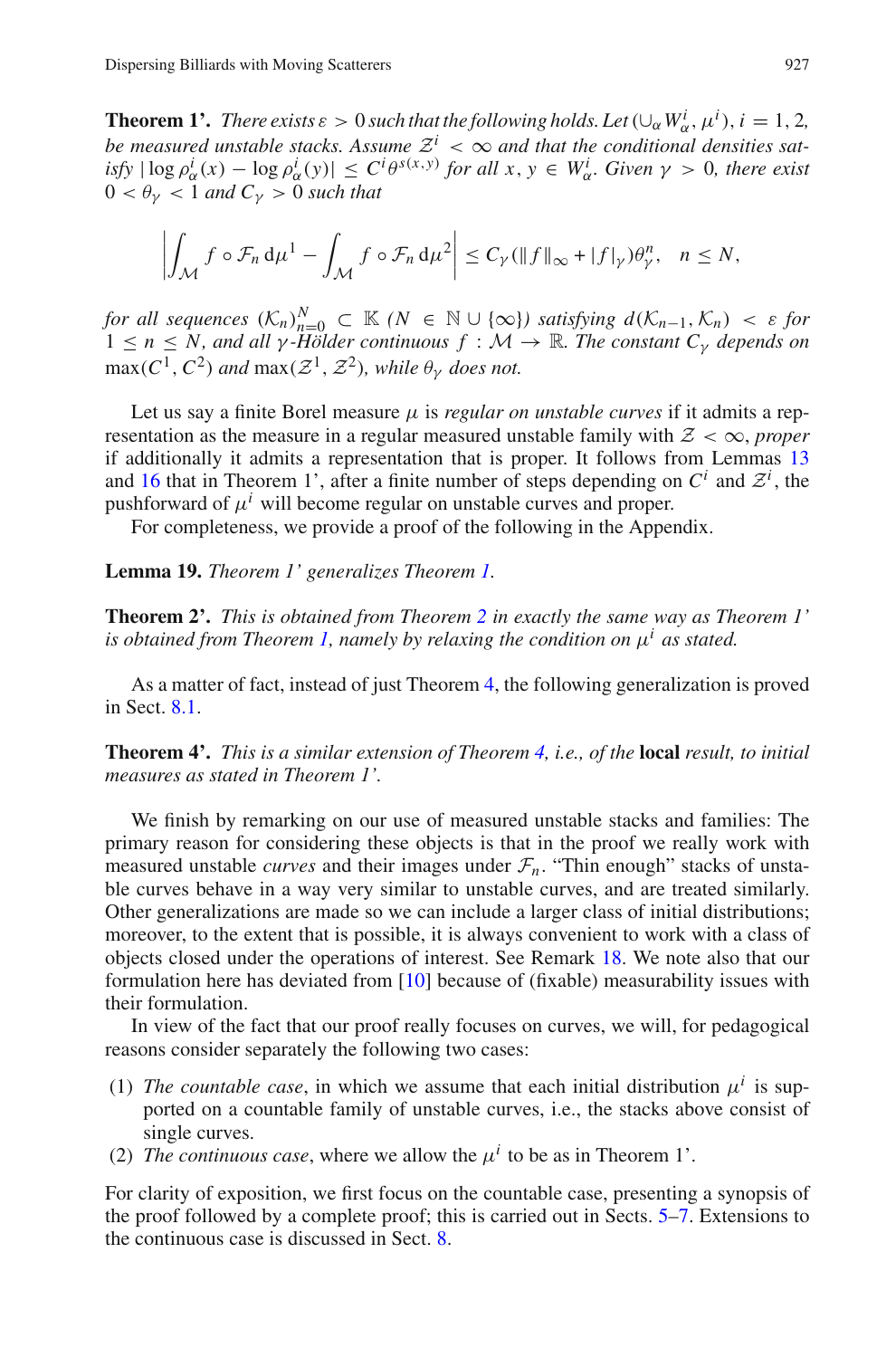**Theorem 1'.** *There exists*  $\varepsilon > 0$  *such that the following holds. Let*  $(\cup_{\alpha} W_{\alpha}^i, \mu^i), i = 1, 2,$ *be measured unstable stacks. Assume*  $\mathcal{Z}^i < \infty$  *and that the conditional densities sat* $i$ *sfy*  $|\log \rho_{\alpha}^{i}(x) - \log \rho_{\alpha}^{i}(y)| \leq C^{i} \theta^{s(x,y)}$  *for all x*,  $y \in W_{\alpha}^{i}$ *. Given*  $\gamma > 0$ *, there exist*  $0 < \theta_{\nu} < 1$  and  $C_{\nu} > 0$  such that

$$
\left|\int_{\mathcal{M}} f \circ \mathcal{F}_n \, \mathrm{d}\mu^1 - \int_{\mathcal{M}} f \circ \mathcal{F}_n \, \mathrm{d}\mu^2\right| \leq C_{\gamma} (\|f\|_{\infty} + |f|_{\gamma}) \theta_{\gamma}^n, \quad n \leq N,
$$

*for all sequences*  $(K_n)_{n=0}^N \subset \mathbb{K}$   $(N \in \mathbb{N} \cup \{\infty\})$  *satisfying*  $d(K_{n-1}, K_n) < \varepsilon$  *for*  $1 \le n \le N$ , and all  $\gamma$  *-Hölder continuous*  $f : \mathcal{M} \to \mathbb{R}$ *. The constant C<sub>γ</sub> depends on*  $\overline{\max(C^1, C^2)}$  *and*  $\max(\mathcal{Z}^1, \mathcal{Z}^2)$ *, while*  $\theta_{\gamma}$  *does not.* 

Let us say a finite Borel measure  $\mu$  is *regular on unstable curves* if it admits a representation as the measure in a regular measured unstable family with  $Z < \infty$ , *proper* if additionally it admits a representation that is proper. It follows from Lemmas [13](#page-14-0) and [16](#page-17-1) that in Theorem 1', after a finite number of steps depending on  $C^i$  and  $Z^i$ , the pushforward of  $\mu^{i}$  will become regular on unstable curves and proper.

For completeness, we provide a proof of the following in the Appendix.

#### <span id="page-18-0"></span>**Lemma 19.** *Theorem 1' generalizes Theorem [1.](#page-5-0)*

**Theorem 2'.** *This is obtained from Theorem [2](#page-6-1) in exactly the same way as Theorem 1' is obtained from Theorem [1,](#page-5-0) namely by relaxing the condition on* μ*<sup>i</sup> as stated.*

As a matter of fact, instead of just Theorem [4,](#page-8-0) the following generalization is proved in Sect. [8.1.](#page-38-1)

**Theorem 4'.** *This is a similar extension of Theorem [4,](#page-8-0) i.e., of the* **local** *result, to initial measures as stated in Theorem 1'.*

We finish by remarking on our use of measured unstable stacks and families: The primary reason for considering these objects is that in the proof we really work with measured unstable *curves* and their images under  $\mathcal{F}_n$ . "Thin enough" stacks of unstable curves behave in a way very similar to unstable curves, and are treated similarly. Other generalizations are made so we can include a larger class of initial distributions; moreover, to the extent that is possible, it is always convenient to work with a class of objects closed under the operations of interest. See Remark [18.](#page-17-3) We note also that our formulation here has deviated from [\[10\]](#page-46-4) because of (fixable) measurability issues with their formulation.

In view of the fact that our proof really focuses on curves, we will, for pedagogical reasons consider separately the following two cases:

- (1) *The countable case*, in which we assume that each initial distribution  $\mu^{i}$  is supported on a countable family of unstable curves, i.e., the stacks above consist of single curves.
- (2) *The continuous case*, where we allow the  $\mu^{i}$  to be as in Theorem 1'.

For clarity of exposition, we first focus on the countable case, presenting a synopsis of the proof followed by a complete proof; this is carried out in Sects. [5](#page-19-0)[–7.](#page-34-0) Extensions to the continuous case is discussed in Sect. [8.](#page-38-0)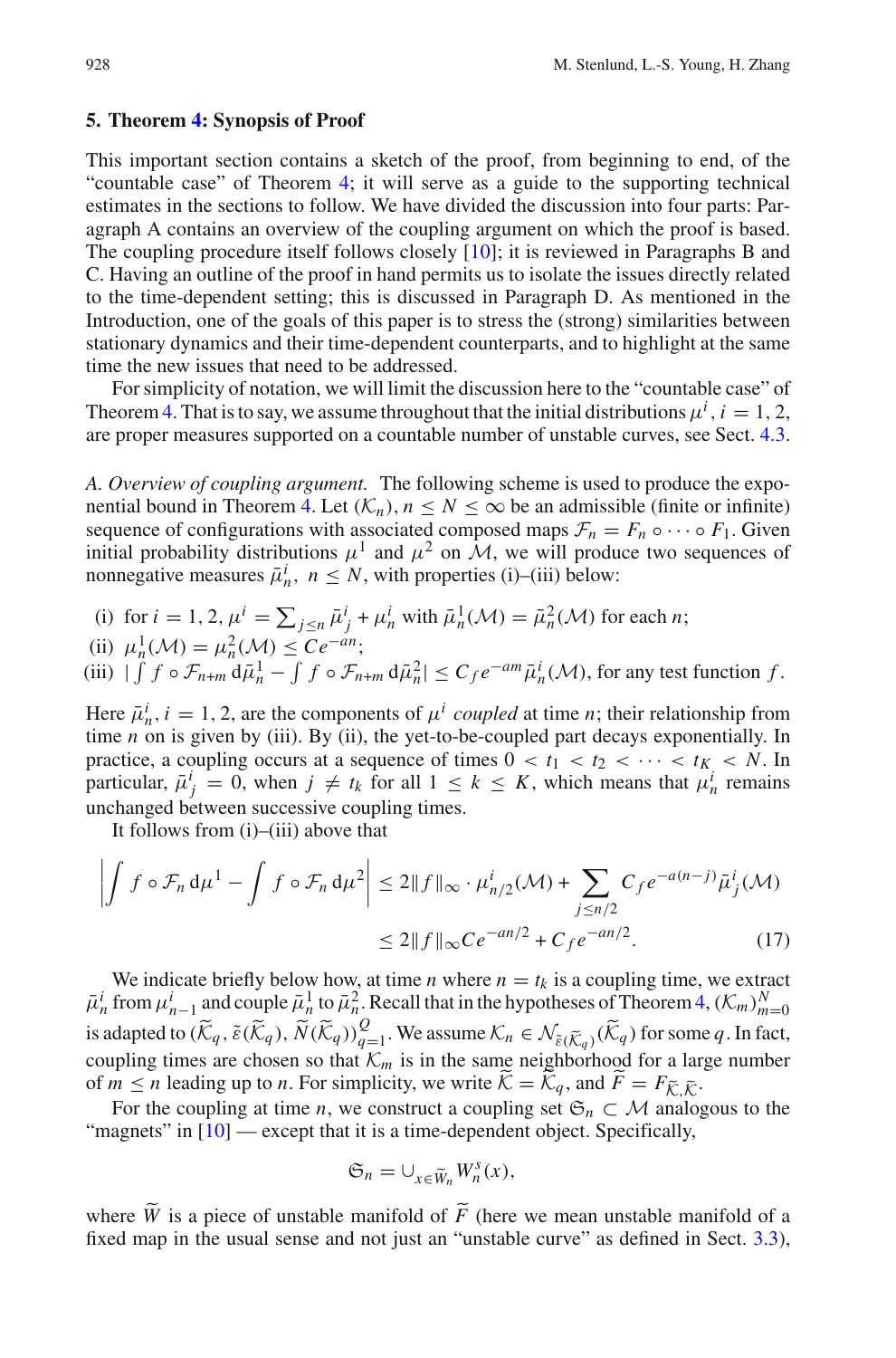#### <span id="page-19-0"></span>**5. Theorem [4:](#page-8-0) Synopsis of Proof**

This important section contains a sketch of the proof, from beginning to end, of the "countable case" of Theorem [4;](#page-8-0) it will serve as a guide to the supporting technical estimates in the sections to follow. We have divided the discussion into four parts: Paragraph A contains an overview of the coupling argument on which the proof is based. The coupling procedure itself follows closely [\[10\]](#page-46-4); it is reviewed in Paragraphs B and C. Having an outline of the proof in hand permits us to isolate the issues directly related to the time-dependent setting; this is discussed in Paragraph D. As mentioned in the Introduction, one of the goals of this paper is to stress the (strong) similarities between stationary dynamics and their time-dependent counterparts, and to highlight at the same time the new issues that need to be addressed.

For simplicity of notation, we will limit the discussion here to the "countable case" of Theorem [4.](#page-8-0) That is to say, we assume throughout that the initial distributions  $\mu^i$ ,  $i = 1, 2$ , are proper measures supported on a countable number of unstable curves, see Sect. [4.3.](#page-15-1)

*A. Overview of coupling argument.* The following scheme is used to produce the expo-nential bound in Theorem [4.](#page-8-0) Let  $(K_n)$ ,  $n \le N \le \infty$  be an admissible (finite or infinite) sequence of configurations with associated composed maps  $\mathcal{F}_n = F_n \circ \cdots \circ F_1$ . Given initial probability distributions  $\mu^1$  and  $\mu^2$  on  $\mathcal{M}$ , we will produce two sequences of nonnegative measures  $\bar{\mu}_n^i$ ,  $n \leq N$ , with properties (i)–(iii) below:

(i) for 
$$
i = 1, 2, \mu^i = \sum_{j \le n} \bar{\mu}^i_j + \mu^i_n
$$
 with  $\bar{\mu}^1_n(\mathcal{M}) = \bar{\mu}^2_n(\mathcal{M})$  for each *n*;

(ii) 
$$
\mu_n^1(\mathcal{M}) = \mu_n^2(\mathcal{M}) \le Ce^{-an}
$$
;

 $\int \int f \circ \mathcal{F}_{n+m} d\bar{\mu}_n^1 - \int f \circ \mathcal{F}_{n+m} d\bar{\mu}_n^2 \leq C_f e^{-am} \bar{\mu}_n^i(\mathcal{M})$ , for any test function  $f$ .

Here  $\bar{\mu}_n^i$ ,  $i = 1, 2$ , are the components of  $\mu^i$  *coupled* at time *n*; their relationship from time *n* on is given by (iii). By (ii), the yet-to-be-coupled part decays exponentially. In practice, a coupling occurs at a sequence of times  $0 < t_1 < t_2 < \cdots < t_K < N$ . In particular,  $\bar{\mu}^i_j = 0$ , when  $j \neq t_k$  for all  $1 \leq k \leq K$ , which means that  $\mu^i_n$  remains unchanged between successive coupling times.

It follows from (i)–(iii) above that

<span id="page-19-1"></span>
$$
\left| \int f \circ \mathcal{F}_n \, d\mu^1 - \int f \circ \mathcal{F}_n \, d\mu^2 \right| \le 2 \|f\|_{\infty} \cdot \mu_{n/2}^i(\mathcal{M}) + \sum_{j \le n/2} C_f e^{-a(n-j)} \bar{\mu}_j^i(\mathcal{M})
$$

$$
\le 2 \|f\|_{\infty} C e^{-an/2} + C_f e^{-an/2}.
$$
 (17)

We indicate briefly below how, at time *n* where  $n = t_k$  is a coupling time, we extract  $\bar{\mu}_n^i$  from  $\mu_{n-1}^i$  and couple  $\bar{\mu}_n^1$  to  $\bar{\mu}_n^2$ . Recall that in the hypotheses of Theorem [4,](#page-8-0)  $(\mathcal{K}_m)_{m=0}^N$ is adapted to  $(\widetilde{K}_q, \widetilde{\varepsilon}(\widetilde{K}_q), \widetilde{N}(\widetilde{K}_q))_{q=1}^Q$ . We assume  $\mathcal{K}_n \in \mathcal{N}_{\widetilde{\varepsilon}(\widetilde{K}_q)}(\widetilde{K}_q)$  for some *q*. In fact, coupling times are chosen so that  $K_m$  is in the same neighborhood for a large number of  $m \le n$  leading up to *n*. For simplicity, we write  $K = K_q$ , and  $F = F_{\tilde{K}, \tilde{K}}$ .<br>For the sounding at time *n* we construct a sounding set  $\tilde{K} \subset M$  spale

For the coupling at time *n*, we construct a coupling set  $\mathfrak{S}_n \subset \mathcal{M}$  analogous to the "magnets" in  $[10]$  $[10]$  — except that it is a time-dependent object. Specifically,

$$
\mathfrak{S}_n=\cup_{x\in \widetilde{W}_n}W_n^s(x),
$$

where *W* is a piece of unstable manifold of *F* (here we mean unstable manifold of a<br>fixed man in the usual sames and not just an "instable survay" as defined in Sect. 2.2) fixed map in the usual sense and not just an "unstable curve" as defined in Sect. [3.3\)](#page-11-2),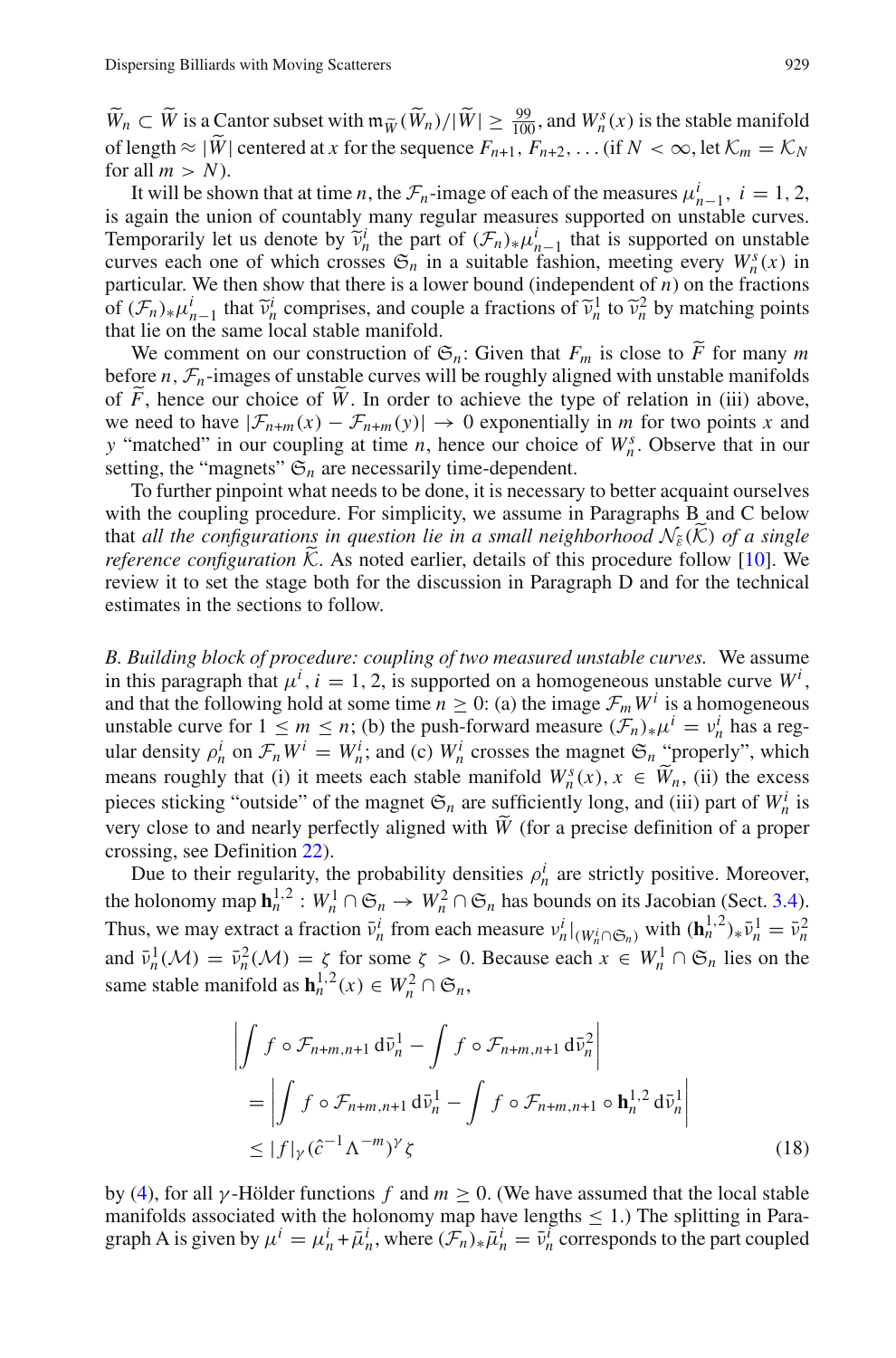$\widetilde{W}_n \subset \widetilde{W}$  is a Cantor subset with  $m_{\widetilde{W}}(\widetilde{W}_n)/|\widetilde{W}| \geq \frac{99}{100}$ , and  $W_n^s(x)$  is the stable manifold of length  $\approx |\widetilde{W}|$  centered at *x* for the sequence  $F_{n+1}, F_{n+2}, \ldots$  (if  $N < \infty$ , let  $\mathcal{K}_m = \mathcal{K}_N$ for all  $m > N$ ).

It will be shown that at time *n*, the  $\mathcal{F}_n$ -image of each of the measures  $\mu_{n-1}^i$ ,  $i = 1, 2$ , is again the union of countably many regular measures supported on unstable curves. Temporarily let us denote by  $\tilde{v}_n^i$  the part of  $(\mathcal{F}_n)_*\mu_{n-1}^i$  that is supported on unstable curves each one of which crosses  $\mathfrak{S}_n$  in a suitable fashion, meeting every  $W^s(x)$  in curves each one of which crosses  $\mathfrak{S}_n$  in a suitable fashion, meeting every  $W_n^s(x)$  in particular. We then show that there is a lower bound (independent of *n*) on the fractions of  $(F_n)_*\mu_{n-1}^i$  that  $\tilde{v}_n^i$  comprises, and couple a fractions of  $\tilde{v}_n^1$  to  $\tilde{v}_n^2$  by matching points that lie on the same local stable manifold that lie on the same local stable manifold.

We comment on our construction of  $\mathfrak{S}_n$ : Given that  $F_m$  is close to *F* for many *m* or  $\mathcal{F}_n$  images of unstable curves will be roughly aligned with unstable manifolds before  $n, \mathcal{F}_n$ -images of unstable curves will be roughly aligned with unstable manifolds of *F*, hence our choice of *W*. In order to achieve the type of relation in (iii) above, we need to have  $|\mathcal{F}_{n+m}(x) - \mathcal{F}_{n+m}(y)| \to 0$  exponentially in *m* for two points *x* and *y* "matched" in our coupling at time *n*, hence our choice of  $W_n^s$ . Observe that in our setting, the "magnets"  $\mathfrak{S}_n$  are necessarily time-dependent.

To further pinpoint what needs to be done, it is necessary to better acquaint ourselves with the coupling procedure. For simplicity, we assume in Paragraphs B and C below that *all the configurations in question lie in a small neighborhood*  $\mathcal{N}_{\tilde{\epsilon}}(\tilde{\mathcal{K}})$  *of a single reference configuration*  $\tilde{\mathcal{K}}$ . As noted earlier, details of this procedure follow [\[10](#page-46-4)]. We review it to set the stage both for the discussion in Paragraph D and for the technical estimates in the sections to follow.

*B. Building block of procedure: coupling of two measured unstable curves.* We assume in this paragraph that  $\mu^i$ ,  $i = 1, 2$ , is supported on a homogeneous unstable curve  $W^i$ , and that the following hold at some time  $n \geq 0$ : (a) the image  $\mathcal{F}_m W^i$  is a homogeneous unstable curve for  $1 \le m \le n$ ; (b) the push-forward measure  $(\mathcal{F}_n)_*\mu^i = v_n^i$  has a regular density  $\rho_n^i$  on  $\mathcal{F}_n W^i = W_n^i$ ; and (c)  $W_n^i$  crosses the magnet  $\mathfrak{S}_n$  "properly", which means roughly that (i) it meets each stable manifold  $W_n^s(x)$ ,  $x \in \widetilde{W}_n$ , (ii) the excess pieces sticking "outside" of the magnet  $\mathfrak{S}_n$  are sufficiently long, and (iii) part of  $W_n^i$  is very close to and nearly perfectly aligned with  $\widetilde{W}$  (for a precise definition of a proper crossing, see Definition [22\)](#page-27-0).

Due to their regularity, the probability densities  $\rho_n^i$  are strictly positive. Moreover, the holonomy map  $\mathbf{h}_n^{1,2}: W_n^1 \cap \mathfrak{S}_n \to W_n^2 \cap \mathfrak{S}_n$  has bounds on its Jacobian (Sect. [3.4\)](#page-12-4). Thus, we may extract a fraction  $\bar{v}_n^i$  from each measure  $v_n^i|_{(W_n^i \cap \mathfrak{S}_n)}$  with  $(\mathbf{h}_n^{1,2})_*\bar{v}_n^1 = \bar{v}_n^2$ and  $\bar{\nu}_n^1(\mathcal{M}) = \bar{\nu}_n^2(\mathcal{M}) = \zeta$  for some  $\zeta > 0$ . Because each  $x \in W_n^1 \cap \mathfrak{S}_n$  lies on the same stable manifold as  $\mathbf{h}_n^{1,2}(x) \in W_n^2 \cap \mathfrak{S}_n$ ,

$$
\left| \int f \circ \mathcal{F}_{n+m,n+1} d\bar{\nu}_n^1 - \int f \circ \mathcal{F}_{n+m,n+1} d\bar{\nu}_n^2 \right|
$$
  
= 
$$
\left| \int f \circ \mathcal{F}_{n+m,n+1} d\bar{\nu}_n^1 - \int f \circ \mathcal{F}_{n+m,n+1} \circ \mathbf{h}_n^{1,2} d\bar{\nu}_n^1 \right|
$$
  
\$\leq |f|\_{\gamma} (\hat{c}^{-1} \Lambda^{-m})^{\gamma} \zeta\$ (18)

<span id="page-20-0"></span>by [\(4\)](#page-10-1), for all  $\gamma$ -Hölder functions *f* and  $m > 0$ . (We have assumed that the local stable manifolds associated with the holonomy map have lengths  $\leq$  1.) The splitting in Paragraph A is given by  $\mu^i = \mu^i_n + \bar{\mu}^i_n$ , where  $(\bar{\mathcal{F}}_n)_* \bar{\mu}^i_n = \bar{\nu}^i_n$  corresponds to the part coupled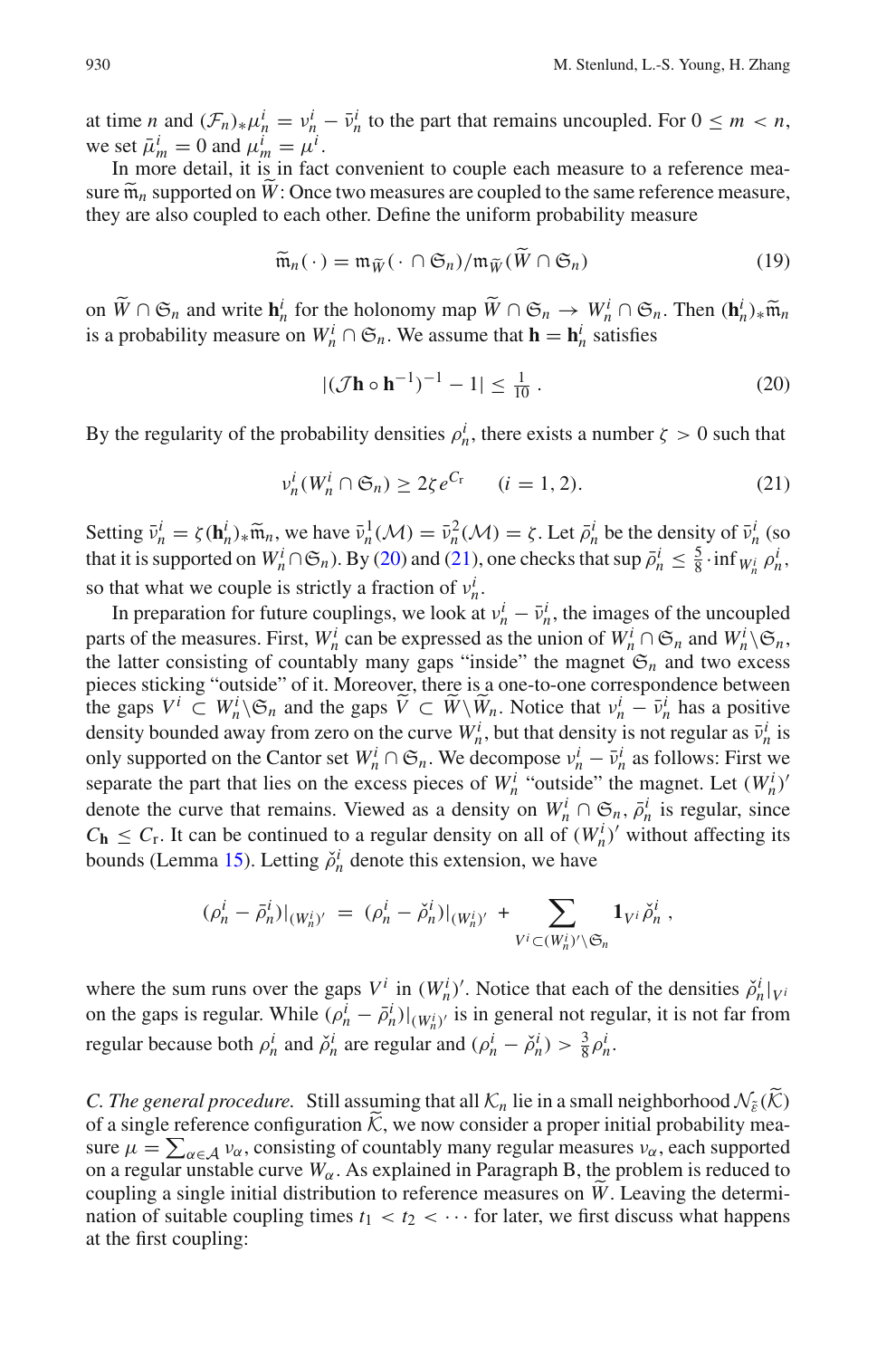at time *n* and  $(\mathcal{F}_n)_*\mu_n^i = \nu_n^i - \bar{\nu}_n^i$  to the part that remains uncoupled. For  $0 \leq m < n$ , we set  $\bar{\mu}_m^i = 0$  and  $\mu_m^i = \mu^i$ .

In more detail, it is in fact convenient to couple each measure to a reference measure  $\widetilde{\mathfrak{m}}_n$  supported on  $W$ : Once two measures are coupled to the same reference measure, they are also coupled to each other. Define the uniform probability measure

$$
\widetilde{\mathfrak{m}}_n(\cdot) = \mathfrak{m}_{\widetilde{W}}(\cdot \cap \mathfrak{S}_n) / \mathfrak{m}_{\widetilde{W}}(\widetilde{W} \cap \mathfrak{S}_n)
$$
\n(19)

<span id="page-21-2"></span>on  $\widetilde{W} \cap \mathfrak{S}_n$  and write  $\mathbf{h}_n^i$  for the holonomy map  $\widetilde{W} \cap \mathfrak{S}_n \to W_n^i \cap \mathfrak{S}_n$ . Then  $(\mathbf{h}_n^i)_* \widetilde{\mathfrak{m}}_n$ <br>is a probability measure on  $W^i \cap \mathfrak{S}_n$ . We assume that  $\mathbf{h} = \mathbf{h}^i$  satisfie is a probability measure on  $W_n^i \cap \mathfrak{S}_n$ . We assume that  $\mathbf{h} = \mathbf{h}_n^i$  satisfies

$$
|(\mathcal{J}\mathbf{h} \circ \mathbf{h}^{-1})^{-1} - 1| \le \frac{1}{10} \,. \tag{20}
$$

<span id="page-21-0"></span>By the regularity of the probability densities  $\rho_n^i$ , there exists a number  $\zeta > 0$  such that

$$
\nu_n^i(W_n^i \cap \mathfrak{S}_n) \ge 2\zeta e^{C_\mathbf{r}} \qquad (i = 1, 2). \tag{21}
$$

<span id="page-21-1"></span>Setting  $\bar{v}_n^i = \zeta(\mathbf{h}_n^i)_* \tilde{m}_n$ , we have  $\bar{v}_n^1(\mathcal{M}) = \bar{v}_n^2(\mathcal{M}) = \zeta$ . Let  $\bar{\rho}_n^i$  be the density of  $\bar{v}_n^i$  (so that it is approximated on  $W^i \cap \mathcal{F}$ ). By (20) and (21), are abacked that sup  $\bar{$ that it is supported on  $W_n^i \cap \mathfrak{S}_n$ ). By [\(20\)](#page-21-0) and [\(21\)](#page-21-1), one checks that sup  $\bar{\rho}_n^i \leq \frac{5}{8} \cdot \inf_{W_n^i} \rho_n^i$ , so that what we couple is strictly a fraction of  $v_n^i$ .

In preparation for future couplings, we look at  $v_n^i - \bar{v}_n^i$ , the images of the uncoupled parts of the measures. First,  $W_n^i$  can be expressed as the union of  $W_n^i \cap \mathfrak{S}_n$  and  $W_n^i \setminus \mathfrak{S}_n$ , the latter consisting of countably many gaps "inside" the magnet  $\mathcal{E}_n$  and two excess pieces sticking "outside" of it. Moreover, there is a one-to-one correspondence between the gaps  $V^i \subset W^i \setminus \mathfrak{S}_n$  and the gaps  $\widetilde{V} \subset \widetilde{W} \setminus \widetilde{W}_n$ . Notice that  $v^i_n - \overline{v}^i_n$  has a positive density bounded away from zero on the curve  $W_n^i$ , but that density is not regular as  $\bar{v}_n^i$  is only supported on the Cantor set  $W_n^i \cap \mathfrak{S}_n$ . We decompose  $v_n^i - \bar{v}_n^i$  as follows: First we separate the part that lies on the excess pieces of  $W^i_n$  "outside" the magnet. Let  $(W^i_n)$ " denote the curve that remains. Viewed as a density on  $W_n^i \cap \mathfrak{S}_n$ ,  $\overline{\rho}_n^i$  is regular, since  $C_{\bf h} \leq C_{\bf r}$ . It can be continued to a regular density on all of  $(W_n^i)'$  without affecting its bounds (Lemma [15\)](#page-15-2). Letting  $\check{\rho}_n^i$  denote this extension, we have

$$
(\rho_n^i - \bar{\rho}_n^i)|_{(W_n^i)'} = (\rho_n^i - \check{\rho}_n^i)|_{(W_n^i)'} + \sum_{V^i \subset (W_n^i)' \backslash \mathfrak{S}_n} \mathbf{1}_{V^i} \check{\rho}_n^i ,
$$

where the sum runs over the gaps  $V^i$  in  $(W^i_n)'$ . Notice that each of the densities  $\tilde{\rho}^i_n|_{V^i}$ on the gaps is regular. While  $(\rho_n^i - \bar{\rho}_n^i)|_{(W_n^i)'}$  is in general not regular, it is not far from regular because both  $\rho_n^i$  and  $\check{\rho}_n^i$  are regular and  $(\rho_n^i - \check{\rho}_n^i) > \frac{3}{8}\rho_n^i$ .

*C. The general procedure.* Still assuming that all  $K_n$  lie in a small neighborhood  $\mathcal{N}_{\tilde{\epsilon}}(\tilde{\mathcal{K}})$ of a single reference configuration  $\hat{K}$ , we now consider a proper initial probability measure  $\mu = \sum_{\alpha \in \mathcal{A}} v_{\alpha}$ , consisting of countably many regular measures  $v_{\alpha}$ , each supported on a regular unstable curve  $W_\alpha$ . As explained in Paragraph B, the problem is reduced to coupling a single initial distribution to reference measures on *<sup>W</sup>*. Leaving the determination of suitable coupling times  $t_1 < t_2 < \cdots$  for later, we first discuss what happens at the first coupling: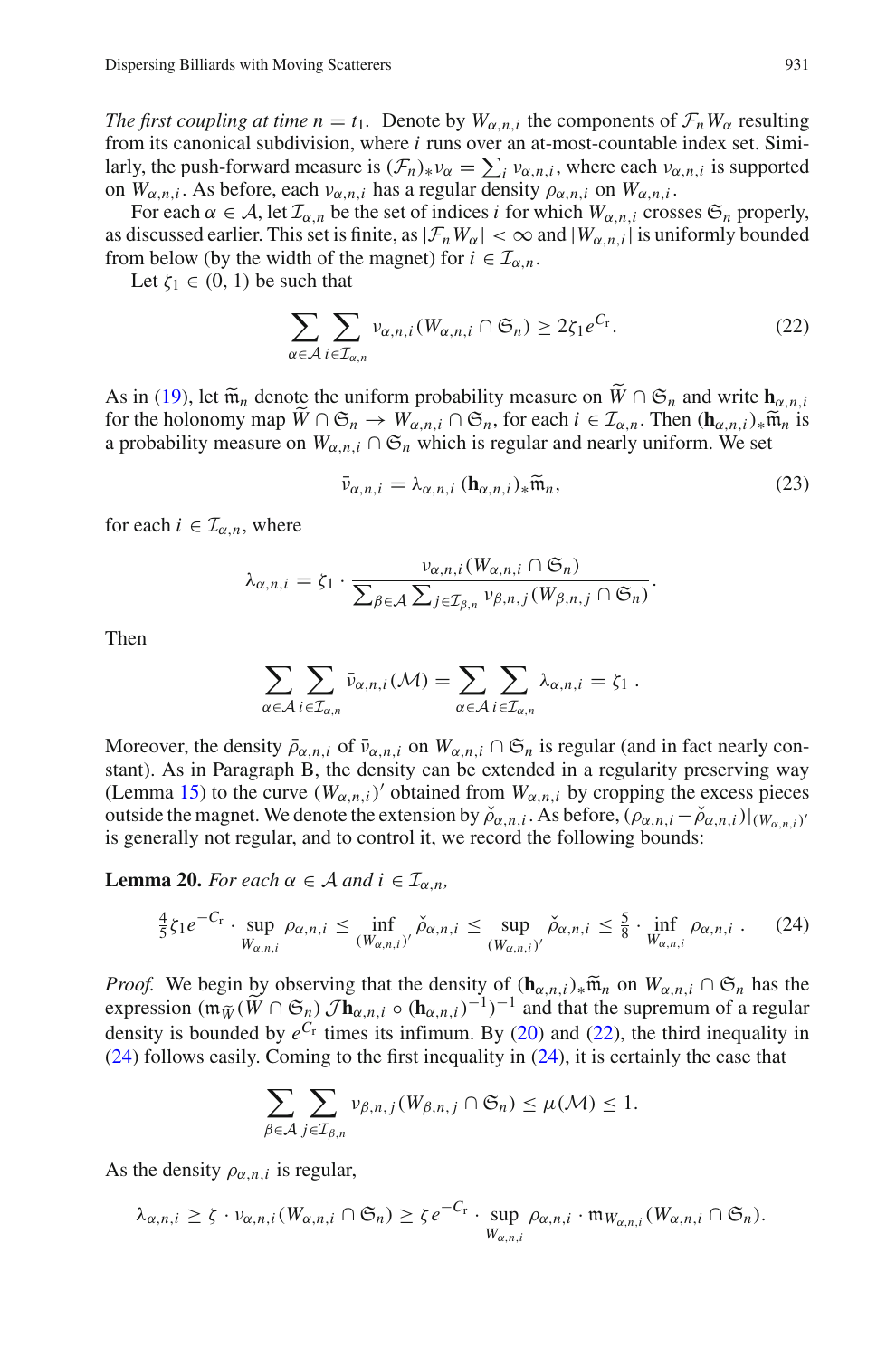*The first coupling at time n* = *t*<sub>1</sub>. Denote by  $W_{\alpha,n,i}$  the components of  $\mathcal{F}_n W_{\alpha}$  resulting from its canonical subdivision, where *i* runs over an at-most-countable index set. Similarly, the push-forward measure is  $(\mathcal{F}_n)_{*\nu_\alpha} = \sum_i \nu_{\alpha,n,i}$ , where each  $\nu_{\alpha,n,i}$  is supported on  $W_{\alpha,n,i}$ . As before, each  $v_{\alpha,n,i}$  has a regular density  $\rho_{\alpha,n,i}$  on  $W_{\alpha,n,i}$ .

For each  $\alpha \in A$ , let  $\mathcal{I}_{\alpha,n}$  be the set of indices *i* for which  $W_{\alpha,n,i}$  crosses  $\mathfrak{S}_n$  properly, as discussed earlier. This set is finite, as  $|\mathcal{F}_nW_\alpha| < \infty$  and  $|W_{\alpha,n,i}|$  is uniformly bounded from below (by the width of the magnet) for  $i \in I_{\alpha,n}$ .

<span id="page-22-0"></span>Let  $\zeta_1 \in (0, 1)$  be such that

$$
\sum_{\alpha \in \mathcal{A}} \sum_{i \in \mathcal{I}_{\alpha,n}} \nu_{\alpha,n,i} (W_{\alpha,n,i} \cap \mathfrak{S}_n) \ge 2\zeta_1 e^{C_r}.
$$
 (22)

As in [\(19\)](#page-21-2), let  $\widetilde{\mathfrak{m}}_n$  denote the uniform probability measure on  $W \cap \mathfrak{S}_n$  and write  $\mathbf{h}_{\alpha,n,i}$ for the holonomy map  $\widetilde{W} \cap \mathfrak{S}_n \to W_{\alpha,n,i} \cap \mathfrak{S}_n$ , for each  $i \in \mathcal{I}_{\alpha,n}$ . Then  $(\mathbf{h}_{\alpha,n,i})_*\widetilde{\mathfrak{m}}_n$  is a probability measure on  $W_{\alpha,n,i} \cap \mathfrak{S}_n$  which is regular and nearly uniform. We set

$$
\bar{\nu}_{\alpha,n,i} = \lambda_{\alpha,n,i} (\mathbf{h}_{\alpha,n,i})_* \widetilde{\mathfrak{m}}_n, \tag{23}
$$

for each  $i \in I_{\alpha,n}$ , where

<span id="page-22-3"></span>
$$
\lambda_{\alpha,n,i} = \zeta_1 \cdot \frac{\nu_{\alpha,n,i}(W_{\alpha,n,i} \cap \mathfrak{S}_n)}{\sum_{\beta \in \mathcal{A}} \sum_{j \in \mathcal{I}_{\beta,n}} \nu_{\beta,n,j}(W_{\beta,n,j} \cap \mathfrak{S}_n)}.
$$

Then

$$
\sum_{\alpha \in \mathcal{A}} \sum_{i \in \mathcal{I}_{\alpha,n}} \bar{\nu}_{\alpha,n,i}(\mathcal{M}) = \sum_{\alpha \in \mathcal{A}} \sum_{i \in \mathcal{I}_{\alpha,n}} \lambda_{\alpha,n,i} = \zeta_1.
$$

Moreover, the density  $\bar{\rho}_{\alpha,n,i}$  of  $\bar{v}_{\alpha,n,i}$  on  $W_{\alpha,n,i} \cap \mathfrak{S}_n$  is regular (and in fact nearly constant). As in Paragraph B, the density can be extended in a regularity preserving way (Lemma [15\)](#page-15-2) to the curve  $(W_{\alpha,n,i})'$  obtained from  $W_{\alpha,n,i}$  by cropping the excess pieces outside the magnet. We denote the extension by  $\tilde{\rho}_{\alpha,n,i}$ . As before,  $(\rho_{\alpha,n,i} - \tilde{\rho}_{\alpha,n,i})|_{(W_{\alpha,n,i})'}$ is generally not regular, and to control it, we record the following bounds:

<span id="page-22-2"></span><span id="page-22-1"></span>**Lemma 20.** *For each*  $\alpha \in A$  *and*  $i \in I_{\alpha,n}$ *,* 

$$
\frac{4}{5}\zeta_1 e^{-C_r} \cdot \sup_{W_{\alpha,n,i}} \rho_{\alpha,n,i} \le \inf_{(W_{\alpha,n,i})'} \check{\rho}_{\alpha,n,i} \le \sup_{(W_{\alpha,n,i})'} \check{\rho}_{\alpha,n,i} \le \frac{5}{8} \cdot \inf_{W_{\alpha,n,i}} \rho_{\alpha,n,i} . \tag{24}
$$

*Proof.* We begin by observing that the density of  $(\mathbf{h}_{\alpha,n,i})_*\tilde{\mathfrak{m}}_n$  on  $W_{\alpha,n,i} \cap \mathfrak{S}_n$  has the expression  $(\mathfrak{m}_{\widetilde{W}}(\widetilde{W} \cap \mathfrak{S}_n) \mathcal{J} \mathbf{h}_{\alpha,n,i} \circ (\mathbf{h}_{\alpha,n,i})^{-1})^{-1}$  and that the supremum of a regular density is bounded by  $e^{C_r}$  times its infimum. By [\(20\)](#page-21-0) and [\(22\)](#page-22-0), the third inequality in [\(24\)](#page-22-1) follows easily. Coming to the first inequality in [\(24\)](#page-22-1), it is certainly the case that

$$
\sum_{\beta \in \mathcal{A}} \sum_{j \in \mathcal{I}_{\beta,n}} \nu_{\beta,n,j}(W_{\beta,n,j} \cap \mathfrak{S}_n) \leq \mu(\mathcal{M}) \leq 1.
$$

As the density  $\rho_{\alpha,n,i}$  is regular,

$$
\lambda_{\alpha,n,i} \geq \zeta \cdot \nu_{\alpha,n,i}(W_{\alpha,n,i} \cap \mathfrak{S}_n) \geq \zeta e^{-C_{\mathbf{r}}} \cdot \sup_{W_{\alpha,n,i}} \rho_{\alpha,n,i} \cdot \mathfrak{m}_{W_{\alpha,n,i}}(W_{\alpha,n,i} \cap \mathfrak{S}_n).
$$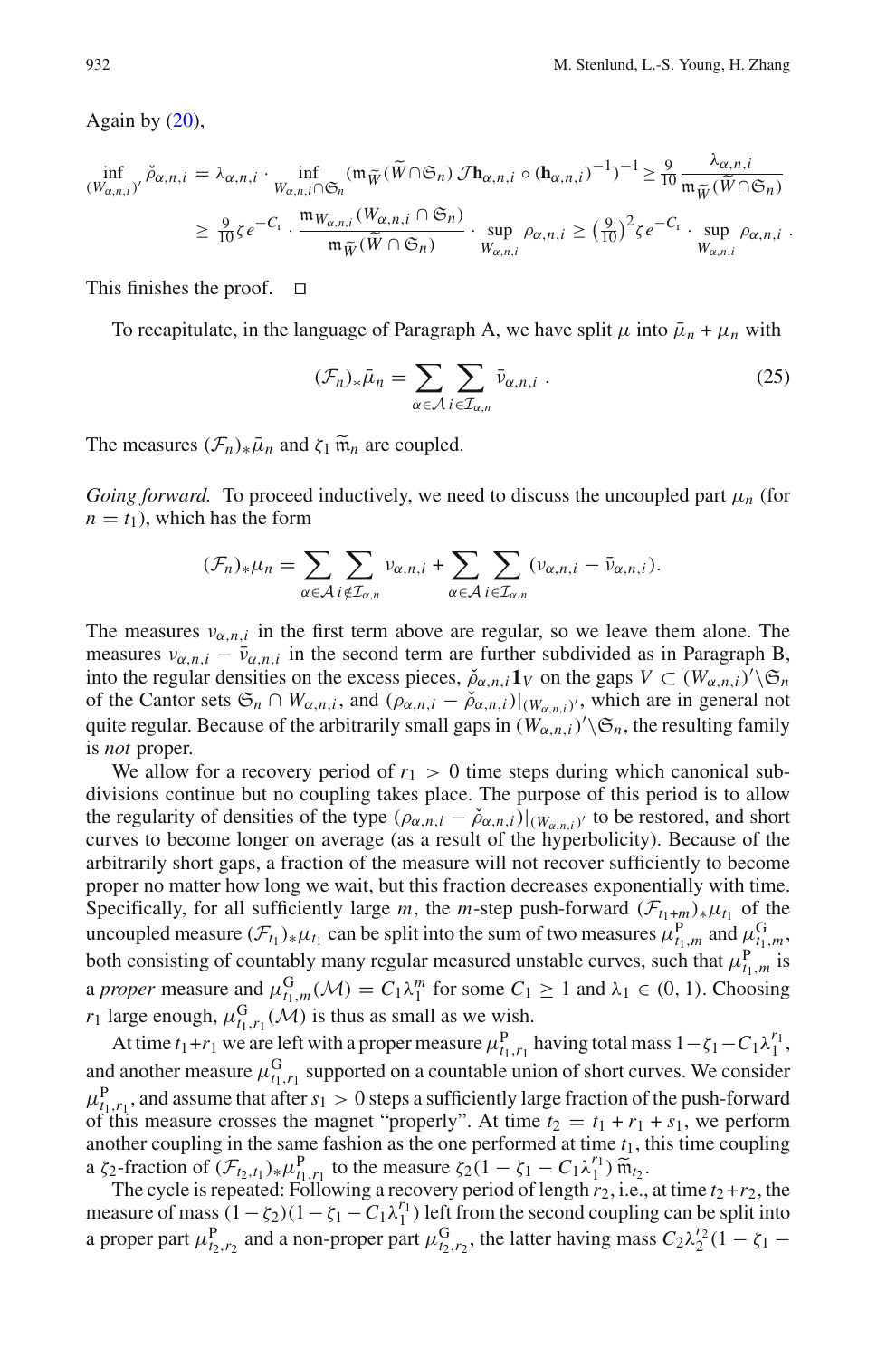Again by  $(20)$ ,

$$
\inf_{(W_{\alpha,n,i})'} \check{\rho}_{\alpha,n,i} = \lambda_{\alpha,n,i} \cdot \inf_{W_{\alpha,n,i} \cap \mathfrak{S}_n} (\mathfrak{m}_{\widetilde{W}}(\widetilde{W} \cap \mathfrak{S}_n) \mathcal{J} \mathbf{h}_{\alpha,n,i} \circ (\mathbf{h}_{\alpha,n,i})^{-1})^{-1} \geq \frac{9}{10} \frac{\lambda_{\alpha,n,i}}{\mathfrak{m}_{\widetilde{W}}(\widetilde{W} \cap \mathfrak{S}_n)} \newline \geq \frac{9}{10} \zeta e^{-C_{\Gamma}} \cdot \frac{\mathfrak{m}_{W_{\alpha,n,i}}(W_{\alpha,n,i} \cap \mathfrak{S}_n)}{\mathfrak{m}_{\widetilde{W}}(\widetilde{W} \cap \mathfrak{S}_n)} \cdot \sup_{W_{\alpha,n,i}} \rho_{\alpha,n,i} \geq (\frac{9}{10})^2 \zeta e^{-C_{\Gamma}} \cdot \sup_{W_{\alpha,n,i}} \rho_{\alpha,n,i}.
$$

This finishes the proof.  $\Box$ 

<span id="page-23-0"></span>To recapitulate, in the language of Paragraph A, we have split  $\mu$  into  $\bar{\mu}_n + \mu_n$  with

$$
(\mathcal{F}_n)_*\bar{\mu}_n = \sum_{\alpha \in \mathcal{A}} \sum_{i \in \mathcal{I}_{\alpha,n}} \bar{\nu}_{\alpha,n,i} . \tag{25}
$$

The measures  $(\mathcal{F}_n)_*\bar{\mu}_n$  and  $\zeta_1 \widetilde{\mathfrak{m}}_n$  are coupled.

*Going forward.* To proceed inductively, we need to discuss the uncoupled part μ*<sup>n</sup>* (for  $n = t_1$ , which has the form

$$
(\mathcal{F}_n)_*\mu_n = \sum_{\alpha \in \mathcal{A}} \sum_{i \notin \mathcal{I}_{\alpha,n}} v_{\alpha,n,i} + \sum_{\alpha \in \mathcal{A}} \sum_{i \in \mathcal{I}_{\alpha,n}} (v_{\alpha,n,i} - \bar{v}_{\alpha,n,i}).
$$

The measures  $v_{\alpha,n,i}$  in the first term above are regular, so we leave them alone. The measures  $v_{\alpha,n,i} - \bar{v}_{\alpha,n,i}$  in the second term are further subdivided as in Paragraph B, into the regular densities on the excess pieces,  $\check{\rho}_{\alpha,n,i} \mathbf{1}_V$  on the gaps  $V \subset (W_{\alpha,n,i})^{\hat{\ }}\setminus \mathfrak{S}_n$ of the Cantor sets  $\mathfrak{S}_n \cap W_{\alpha,n,i}$ , and  $(\rho_{\alpha,n,i} - \check{\rho}_{\alpha,n,i})|_{(W_{\alpha,n,i})'}$ , which are in general not quite regular. Because of the arbitrarily small gaps in  $(W_{\alpha,n,i})' \backslash \mathfrak{S}_n$ , the resulting family is *not* proper.

We allow for a recovery period of  $r_1 > 0$  time steps during which canonical subdivisions continue but no coupling takes place. The purpose of this period is to allow the regularity of densities of the type  $(\rho_{\alpha,n,i} - \check{\rho}_{\alpha,n,i})|_{(W_{\alpha,n,i})'}$  to be restored, and short curves to become longer on average (as a result of the hyperbolicity). Because of the arbitrarily short gaps, a fraction of the measure will not recover sufficiently to become proper no matter how long we wait, but this fraction decreases exponentially with time. Specifically, for all sufficiently large *m*, the *m*-step push-forward  $(\mathcal{F}_{t_1+m})_*\mu_{t_1}$  of the uncoupled measure  $(\mathcal{F}_{t_1})_* \mu_{t_1}$  can be split into the sum of two measures  $\mu_{t_1,m}^P$  and  $\mu_{t_1,m}^G$ , both consisting of countably many regular measured unstable curves, such that  $\mu_{t_1,m}^{\text{P}}$  is a *proper* measure and  $\mu_{t_1,m}^G(\mathcal{M}) = C_1 \lambda_1^m$  for some  $C_1 \ge 1$  and  $\lambda_1 \in (0, 1)$ . Choosing *r*<sub>1</sub> large enough,  $\mu_{t_1, r_1}^G(\mathcal{M})$  is thus as small as we wish.

At time  $t_1+r_1$  we are left with a proper measure  $\mu_{t_1,r_1}^P$  having total mass  $1-\zeta_1-C_1\lambda_1^{r_1}$ , and another measure  $\mu_{t_1,r_1}^G$  supported on a countable union of short curves. We consider  $\mu_{t_1, t_1}^{\text{P}}$ , and assume that after  $s_1 > 0$  steps a sufficiently large fraction of the push-forward of this measure crosses the magnet "properly". At time  $t_2 = t_1 + r_1 + s_1$ , we perform another coupling in the same fashion as the one performed at time *t*1, this time coupling a  $\zeta_2$ -fraction of  $(F_{t_2,t_1})_* \mu_{t_1,r_1}^P$  to the measure  $\zeta_2(1 - \zeta_1 - C_1 \lambda_1^{r_1}) \widetilde{m}_{t_2}$ .<br>The cycle is repeated: Following a recovery period of length  $r_2$  i.e.

The cycle is repeated: Following a recovery period of length  $r_2$ , i.e., at time  $t_2 + r_2$ , the measure of mass  $(1 - \zeta_2)(1 - \zeta_1 - C_1\lambda_1^{r_1})$  left from the second coupling can be split into a proper part  $\mu_{t_2,r_2}^P$  and a non-proper part  $\mu_{t_2,r_2}^G$ , the latter having mass  $C_2\lambda_2^{r_2}(1-\zeta_1-\zeta_2)$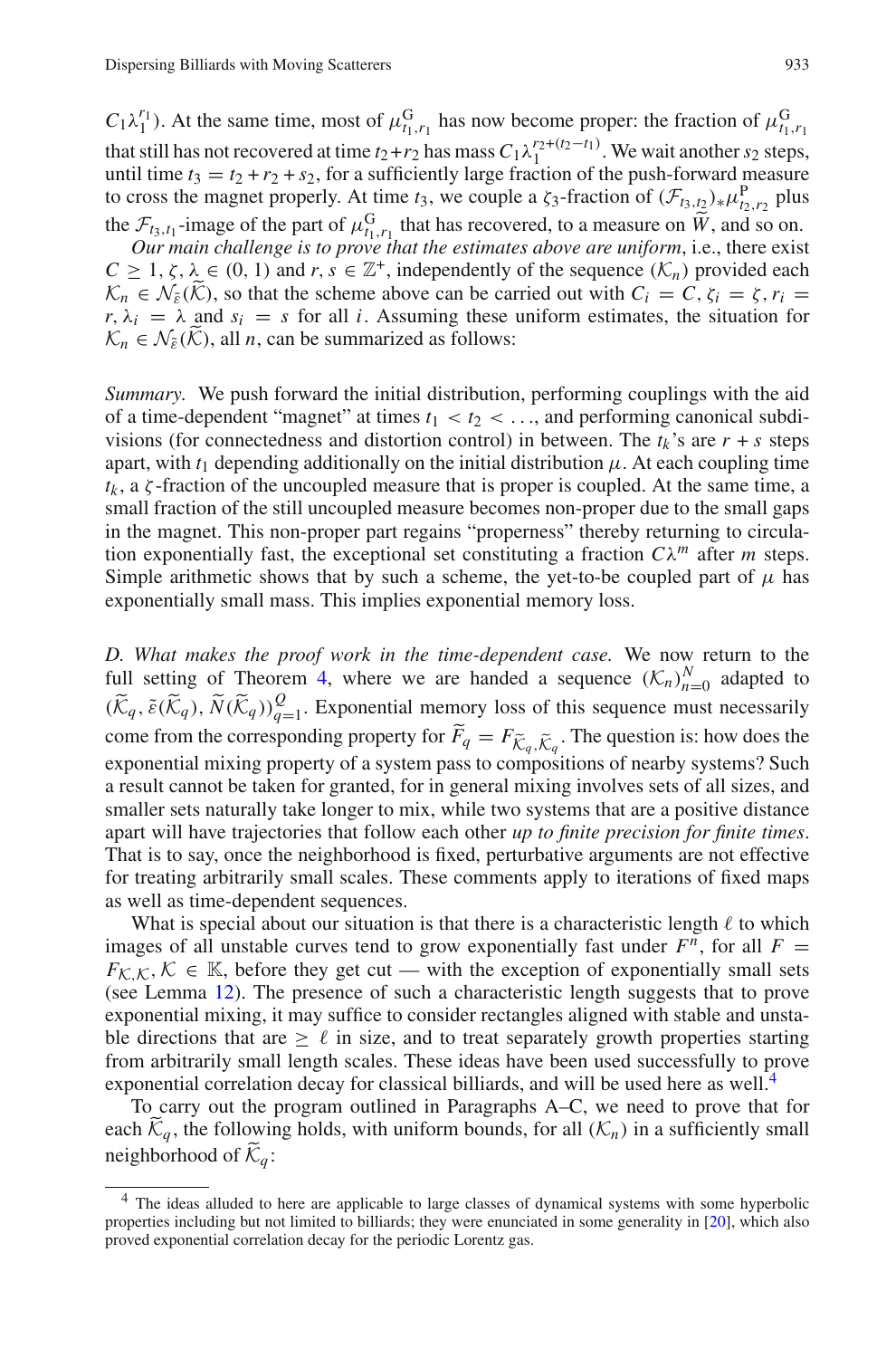$C_1 \lambda_1^{r_1}$ ). At the same time, most of  $\mu_{t_1,r_1}^G$  has now become proper: the fraction of  $\mu_{t_1,r_1}^G$ that still has not recovered at time  $t_2+r_2$  has mass  $C_1\lambda_1^{r_2+(t_2-t_1)}$ . We wait another  $s_2$  steps, until time  $t_3 = t_2 + r_2 + s_2$ , for a sufficiently large fraction of the push-forward measure to cross the magnet properly. At time *t*<sub>3</sub>, we couple a  $\zeta_3$ -fraction of  $(\mathcal{F}_{t_3,t_2})_* \mu_{t_2,r_2}^{\text{P}}$  plus the  $\mathcal{F}_{t_3,t_1}$ -image of the part of  $\mu_{t_1,t_1}^G$  that has recovered, to a measure on  $\tilde{W}$ , and so on.

*Our main challenge is to prove that the estimates above are uniform*, i.e., there exist  $C \geq 1, \zeta, \lambda \in (0, 1)$  and  $r, s \in \mathbb{Z}^+$ , independently of the sequence  $(\mathcal{K}_n)$  provided each  $K_n \in \mathcal{N}_{\tilde{\varepsilon}}(\tilde{\mathcal{K}})$ , so that the scheme above can be carried out with  $C_i = C$ ,  $\zeta_i = \zeta$ ,  $r_i =$  $r, \lambda_i = \lambda$  and  $s_i = s$  for all *i*. Assuming these uniform estimates, the situation for  $\mathcal{K}_n \in \mathcal{N}_{\tilde{\epsilon}}(\mathcal{K})$ , all *n*, can be summarized as follows:

*Summary.* We push forward the initial distribution, performing couplings with the aid of a time-dependent "magnet" at times  $t_1 < t_2 < ...$ , and performing canonical subdivisions (for connectedness and distortion control) in between. The  $t_k$ 's are  $r + s$  steps apart, with  $t_1$  depending additionally on the initial distribution  $\mu$ . At each coupling time  $t_k$ , a  $\zeta$ -fraction of the uncoupled measure that is proper is coupled. At the same time, a small fraction of the still uncoupled measure becomes non-proper due to the small gaps in the magnet. This non-proper part regains "properness" thereby returning to circulation exponentially fast, the exceptional set constituting a fraction  $C\lambda^m$  after *m* steps. Simple arithmetic shows that by such a scheme, the yet-to-be coupled part of  $\mu$  has exponentially small mass. This implies exponential memory loss.

*D. What makes the proof work in the time-dependent case.* We now return to the full setting of Theorem [4,](#page-8-0) where we are handed a sequence  $(K_n)_{n=0}^N$  adapted to  $(\widetilde{K}_q, \widetilde{\varepsilon}(\widetilde{K}_q), \widetilde{N}(\widetilde{K}_q))_{q=1}^{\mathcal{Q}}$ . Exponential memory loss of this sequence must necessarily come from the corresponding property for  $F_q = F_{\tilde{K}_q, \tilde{K}_q}$ . The question is: how does the exponential mixing property of a system pass to compositions of nearby systems? Such a result cannot be taken for granted, for in general mixing involves sets of all sizes, and smaller sets naturally take longer to mix, while two systems that are a positive distance apart will have trajectories that follow each other *up to finite precision for finite times*. That is to say, once the neighborhood is fixed, perturbative arguments are not effective for treating arbitrarily small scales. These comments apply to iterations of fixed maps as well as time-dependent sequences.

What is special about our situation is that there is a characteristic length  $\ell$  to which images of all unstable curves tend to grow exponentially fast under  $F^n$ , for all  $F =$  $F_{\mathcal{K},\mathcal{K}},\mathcal{K} \in \mathbb{K}$ , before they get cut — with the exception of exponentially small sets (see Lemma [12\)](#page-13-4). The presence of such a characteristic length suggests that to prove exponential mixing, it may suffice to consider rectangles aligned with stable and unstable directions that are  $\geq \ell$  in size, and to treat separately growth properties starting from arbitrarily small length scales. These ideas have been used successfully to prove exponential correlation decay for classical billiards, and will be used here as well.<sup>4</sup>

To carry out the program outlined in Paragraphs A–C, we need to prove that for each  $\tilde{\mathcal{K}}_q$ , the following holds, with uniform bounds, for all  $(\mathcal{K}_n)$  in a sufficiently small neighborhood of  $K_q$ :

<span id="page-24-0"></span><sup>&</sup>lt;sup>4</sup> The ideas alluded to here are applicable to large classes of dynamical systems with some hyperbolic properties including but not limited to billiards; they were enunciated in some generality in [\[20](#page-46-2)], which also proved exponential correlation decay for the periodic Lorentz gas.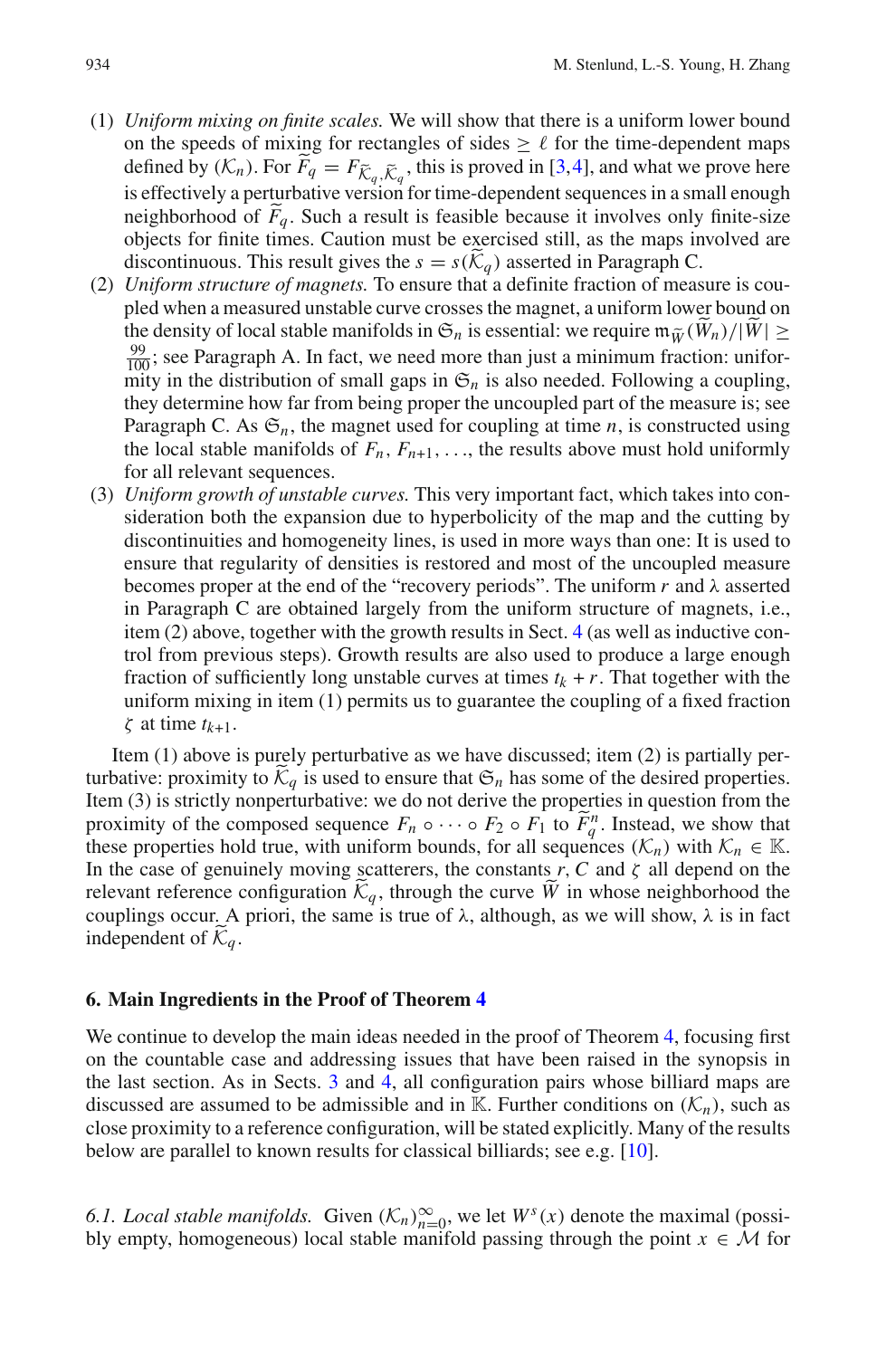- (1) *Uniform mixing on finite scales.* We will show that there is a uniform lower bound on the speeds of mixing for rectangles of sides  $\geq \ell$  for the time-dependent maps defined by  $(K_n)$ . For  $F_q = F_{\tilde{K}_q, \tilde{K}_q}$ , this is proved in [\[3,](#page-45-1)[4\]](#page-45-2), and what we prove here is effectively a perturbative version for time-dependent sequences in a small enough neighborhood of  $F_q$ . Such a result is feasible because it involves only finite-size<br>chiects for finite times. Coutien must be exercised still as the mans involved are objects for finite times. Caution must be exercised still, as the maps involved are discontinuous. This result gives the  $s = s(\widetilde{K}_q)$  asserted in Paragraph C.
- (2) *Uniform structure of magnets.* To ensure that a definite fraction of measure is coupled when a measured unstable curve crosses the magnet, a uniform lower bound on the density of local stable manifolds in  $\mathfrak{S}_n$  is essential: we require  $\mathfrak{m}_{\tilde{W}}(\tilde{W}_n)/|\tilde{W}| \ge$  $\frac{99}{100}$ ; see Paragraph A. In fact, we need more than just a minimum fraction: uniformity in the distribution of small gaps in  $\mathfrak{S}_n$  is also needed. Following a coupling, they determine how far from being proper the uncoupled part of the measure is; see Paragraph C. As  $\mathfrak{S}_n$ , the magnet used for coupling at time *n*, is constructed using the local stable manifolds of  $F_n$ ,  $F_{n+1}$ , ..., the results above must hold uniformly for all relevant sequences.
- (3) *Uniform growth of unstable curves.* This very important fact, which takes into consideration both the expansion due to hyperbolicity of the map and the cutting by discontinuities and homogeneity lines, is used in more ways than one: It is used to ensure that regularity of densities is restored and most of the uncoupled measure becomes proper at the end of the "recovery periods". The uniform  $r$  and  $\lambda$  asserted in Paragraph C are obtained largely from the uniform structure of magnets, i.e., item (2) above, together with the growth results in Sect. [4](#page-13-0) (as well as inductive control from previous steps). Growth results are also used to produce a large enough fraction of sufficiently long unstable curves at times  $t_k + r$ . That together with the uniform mixing in item (1) permits us to guarantee the coupling of a fixed fraction ζ at time *tk*+1.

Item (1) above is purely perturbative as we have discussed; item (2) is partially perturbative: proximity to  $K_q$  is used to ensure that  $\mathfrak{S}_n$  has some of the desired properties. Item (3) is strictly nonperturbative: we do not derive the properties in question from the proximity of the composed sequence  $F_n \circ \cdots \circ F_2 \circ F_1$  to  $\widetilde{F}_q^n$ . Instead, we show that these properties hold true, with uniform bounds for all sequences  $(K)$  with  $K \subset \mathbb{K}$ these properties hold true, with uniform bounds, for all sequences  $(\mathcal{K}_n)$  with  $\mathcal{K}_n \in \mathbb{K}$ . In the case of genuinely moving scatterers, the constants  $r$ ,  $C$  and  $\zeta$  all depend on the relevant reference configuration  $K_q$ , through the curve  $\tilde{W}$  in whose neighborhood the couplings occur. A priori, the same is true of  $\lambda$ , although, as we will show,  $\lambda$  is in fact independent of  $K_a$ .

#### <span id="page-25-0"></span>**6. Main Ingredients in the Proof of Theorem [4](#page-8-0)**

We continue to develop the main ideas needed in the proof of Theorem [4,](#page-8-0) focusing first on the countable case and addressing issues that have been raised in the synopsis in the last section. As in Sects. [3](#page-9-0) and [4,](#page-13-0) all configuration pairs whose billiard maps are discussed are assumed to be admissible and in K. Further conditions on  $(K_n)$ , such as close proximity to a reference configuration, will be stated explicitly. Many of the results below are parallel to known results for classical billiards; see e.g. [\[10\]](#page-46-4).

<span id="page-25-1"></span>6.1. Local stable manifolds. Given  $(K_n)_{n=0}^{\infty}$ , we let  $W^s(x)$  denote the maximal (possibly empty, homogeneous) local stable manifold passing through the point  $x \in M$  for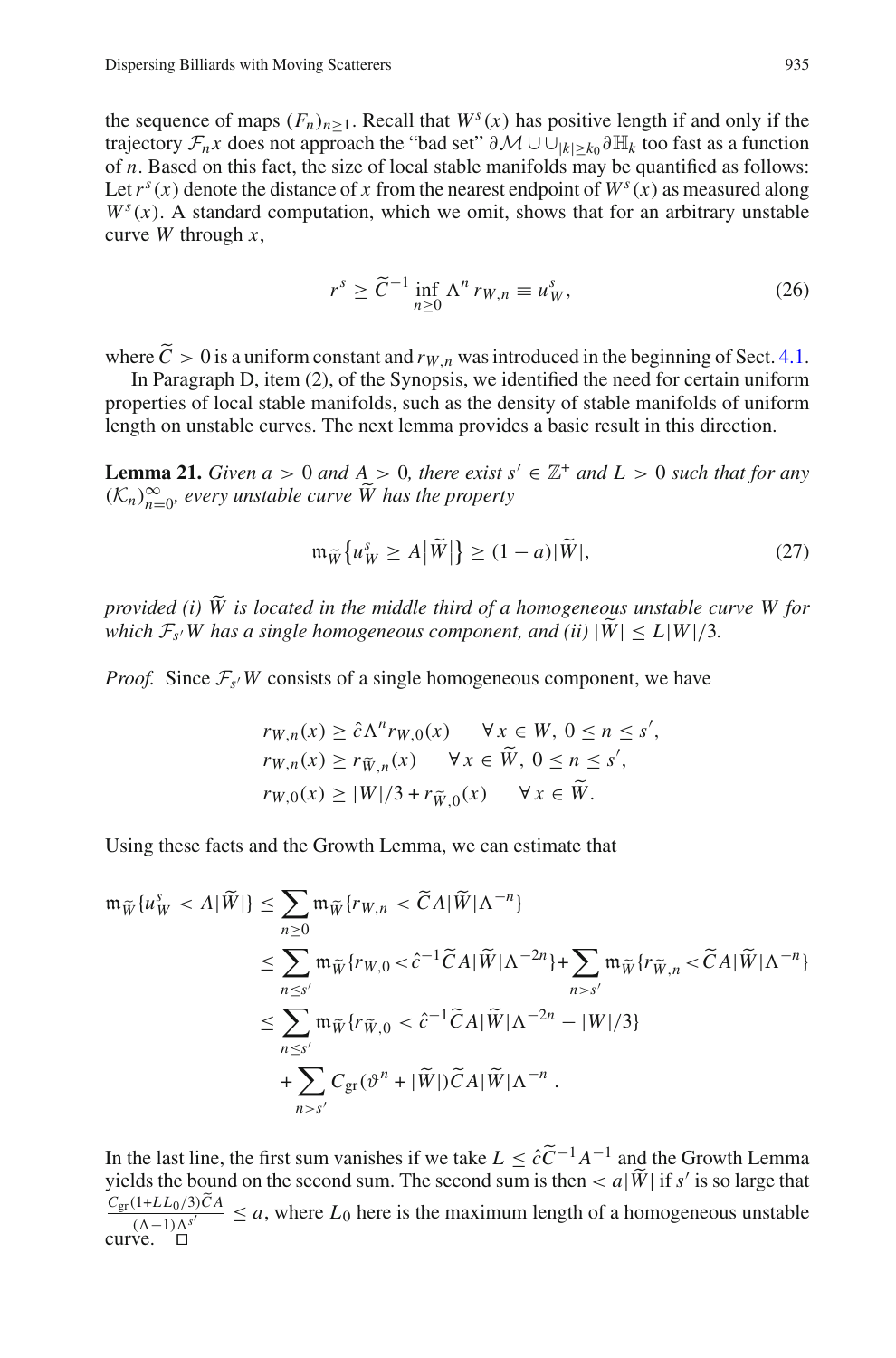the sequence of maps  $(F_n)_{n>1}$ . Recall that  $W^s(x)$  has positive length if and only if the trajectory  $\mathcal{F}_n x$  does not approach the "bad set"  $\partial \mathcal{M} \cup \cup_{|k| > k_0} \partial \mathbb{H}_k$  too fast as a function of *n*. Based on this fact, the size of local stable manifolds may be quantified as follows: Let  $r^s(x)$  denote the distance of *x* from the nearest endpoint of  $W^s(x)$  as measured along  $W<sup>s</sup>(x)$ . A standard computation, which we omit, shows that for an arbitrary unstable curve *W* through *x*,

$$
r^{s} \ge \widetilde{C}^{-1} \inf_{n \ge 0} \Lambda^{n} r_{W,n} \equiv u_{W}^{s}, \tag{26}
$$

where  $C > 0$  is a uniform constant and  $r_{W,n}$  was introduced in the beginning of Sect. [4.1.](#page-13-3)<br>In Persensia D, item (2), of the Symonic, we identified the need for extein uniform

In Paragraph D, item (2), of the Synopsis, we identified the need for certain uniform properties of local stable manifolds, such as the density of stable manifolds of uniform length on unstable curves. The next lemma provides a basic result in this direction.

<span id="page-26-0"></span>**Lemma 21.** *Given a* > 0 *and*  $A$  > 0, *there exist*  $s' \in \mathbb{Z}^+$  *and*  $L$  > 0 *such that for any*  $(\mathcal{K}_n)_{n=0}^{\infty}$ , every unstable curve  $\widetilde{W}$  has the property

$$
\mathfrak{m}_{\widetilde{W}}\big\{u_{W}^{s}\geq A\big|\widetilde{W}\big|\big\}\geq(1-a)|\widetilde{W}|,\tag{27}
$$

*provided (i) W is located in the middle third of a homogeneous unstable curve W for which*  $\mathcal{F}_{s'}$ *W* has a single homogeneous component, and (ii)  $|\widetilde{W}| \le L|W|/3$ .

*Proof.* Since  $\mathcal{F}_{s}$ *W* consists of a single homogeneous component, we have

$$
rw,n(x) \ge \hat{c}\Lambdanrw,0(x) \quad \forall x \in W, 0 \le n \le s',
$$
  
\n
$$
rw,n(x) \ge r\tilde{w},n(x) \quad \forall x \in \tilde{W}, 0 \le n \le s',
$$
  
\n
$$
rw,0(x) \ge |W|/3 + r\tilde{w},0(x) \quad \forall x \in \tilde{W}.
$$

Using these facts and the Growth Lemma, we can estimate that

$$
\begin{split} \mathfrak{m}_{\widetilde{W}}\{u_{W}^{s} &< A|\widetilde{W}|\} \leq \sum_{n\geq 0} \mathfrak{m}_{\widetilde{W}}\{r_{W,n} &< \widetilde{C}A|\widetilde{W}|\Lambda^{-n}\} \\ &\leq \sum_{n\leq s'} \mathfrak{m}_{\widetilde{W}}\{r_{W,0} < \widehat{c}^{-1}\widetilde{C}A|\widetilde{W}|\Lambda^{-2n}\} + \sum_{n>s'} \mathfrak{m}_{\widetilde{W}}\{r_{\widetilde{W},n} < \widetilde{C}A|\widetilde{W}|\Lambda^{-n}\} \\ &\leq \sum_{n\leq s'} \mathfrak{m}_{\widetilde{W}}\{r_{\widetilde{W},0} < \widehat{c}^{-1}\widetilde{C}A|\widetilde{W}|\Lambda^{-2n} - |W|/3\} \\ &+ \sum_{n>s'} C_{\mathrm{gr}}(\vartheta^{n} + |\widetilde{W}|)\widetilde{C}A|\widetilde{W}|\Lambda^{-n} \, .\end{split}
$$

In the last line, the first sum vanishes if we take  $L \leq \hat{c}\tilde{C}^{-1}A^{-1}$  and the Growth Lemma yields the bound on the second sum. The second sum is then  $\langle a|\tilde{W}|\right)$  if *s'* is so large that  $\frac{C_{\text{gr}}(1+LL_0/3)CA}{(\Lambda-1)\Lambda^{s'}} \leq a$ , where  $L_0$  here is the maximum length of a homogeneous unstable curve.  $\Box$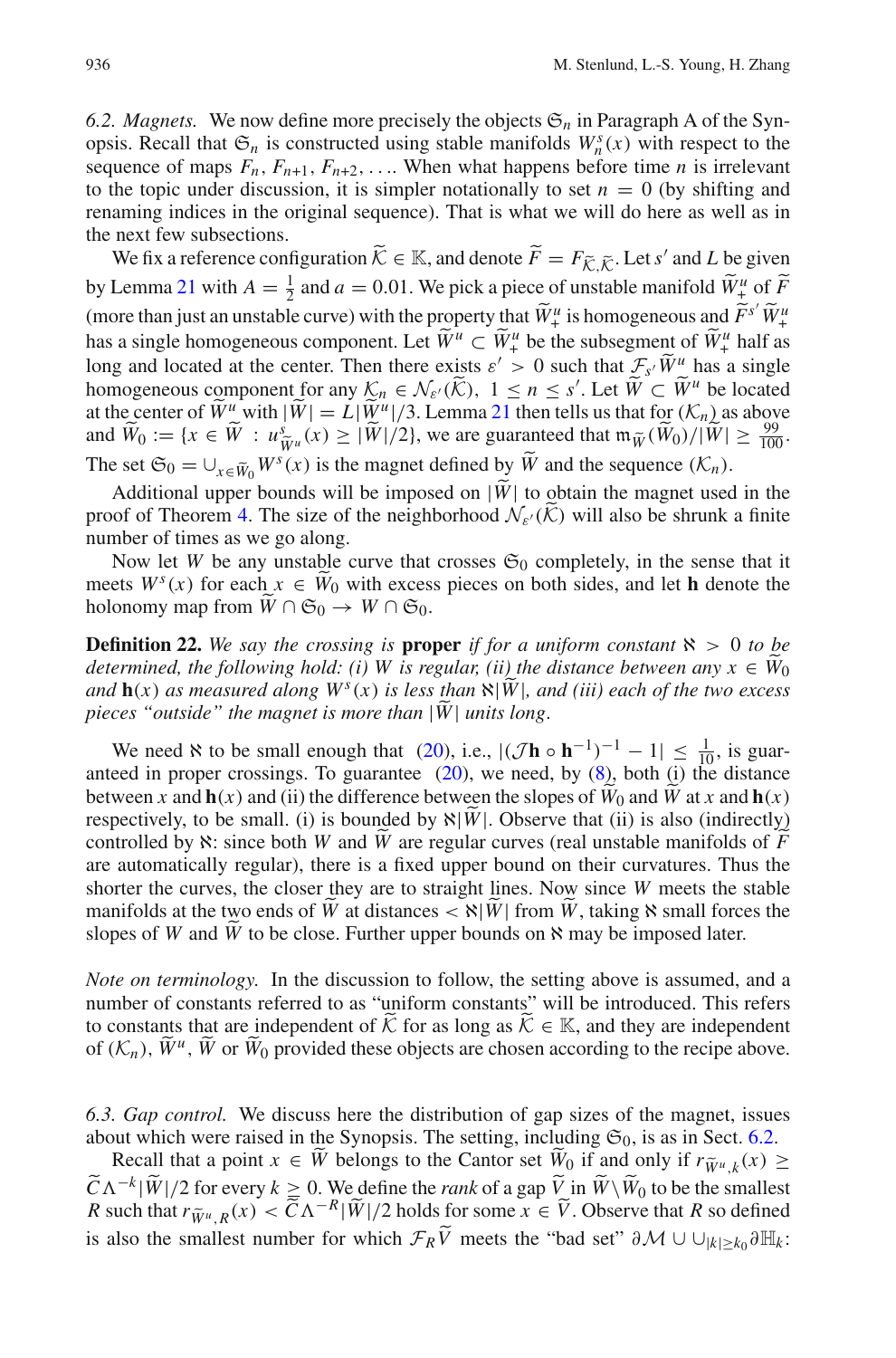<span id="page-27-1"></span>6.2. *Magnets.* We now define more precisely the objects  $\mathfrak{S}_n$  in Paragraph A of the Synopsis. Recall that  $\mathfrak{S}_n$  is constructed using stable manifolds  $W_n^s(x)$  with respect to the sequence of maps  $F_n$ ,  $F_{n+1}$ ,  $F_{n+2}$ , .... When what happens before time *n* is irrelevant to the topic under discussion, it is simpler notationally to set  $n = 0$  (by shifting and renaming indices in the original sequence). That is what we will do here as well as in the next few subsections.

We fix a reference configuration  $\widetilde{\mathcal{K}} \in \mathbb{K}$ , and denote  $\widetilde{F} = F_{\widetilde{\mathcal{K}}, \widetilde{\mathcal{K}}}$ . Let *s'* and *L* be given by Lemma [21](#page-26-0) with  $A = \frac{1}{2}$  and  $a = 0.01$ . We pick a piece of unstable manifold  $\widetilde{W}^u_+$  of  $\widetilde{F}$ (more than just an unstable curve) with the property that  $\widetilde{W}^{\mu}_{+}$  is homogeneous and  $\widetilde{F}^{s'}\widetilde{W}^{\mu}_{+}$ <br>here eximals homogeneous comparent  $I \star \widetilde{W}^{\mu}_{-} \subset \widetilde{W}^{\mu}_{+}$  be the subsequent of  $\widetilde{W}^{\mu}_{$ has a single homogeneous component. Let  $\widetilde{W}^u \subset \widetilde{W}^u$  be the subsegment of  $\widetilde{W}^u_+$  half as long and located at the center. Then there exists  $\varepsilon' > 0$  such that  $\mathcal{F}_{s'}\widetilde{W}^u$  has a single homogeneous component for any  $\mathcal{K}_n \in \mathcal{N}_{\varepsilon'}(\widetilde{\mathcal{K}})$ ,  $1 \le n \le s'$ . Let  $\widetilde{W} \subset \widetilde{W}^u$  be located at the contex of  $\widetilde{W}^u$  with  $|\widetilde{W}| = L|\widetilde{W}^u|/2$ . Lemma 21 than talls us that for  $(K)$  as shown at the center of  $\widetilde{W}^u$  with  $|\widetilde{W}| = L|\widetilde{W}^u|/3$ . Lemma [21](#page-26-0) then tells us that for  $(\mathcal{K}_n)$  as above<br>and  $\widetilde{W}$ ,  $:=$   $(x \in \widetilde{W}$ ,  $y \in \widetilde{W}$ ,  $(y) > |\widetilde{W}^u|/2$ , we are guaranteed that  $\mathbf{m} \approx (\widetilde{W} \setminus (|\$ and  $\widetilde{W}_0 := \{x \in \widetilde{W} : u \widetilde{W}_u(x) \geq |\widetilde{W}|/2\}$ , we are guaranteed that  $\mathfrak{m}_{\widetilde{W}}(\widetilde{W}_0)/|\widetilde{W}| \geq \frac{99}{100}$ . The set  $\mathfrak{S}_0 = \bigcup_{x \in \widetilde{W}_0} W^s(x)$  is the magnet defined by  $\widetilde{W}$  and the sequence  $(\mathcal{K}_n)$ .

Additional upper bounds will be imposed on  $|\widetilde{W}|$  to obtain the magnet used in the proof of Theorem [4.](#page-8-0) The size of the neighborhood  $\mathcal{N}_{\varepsilon}(\mathcal{K})$  will also be shrunk a finite number of times as we go along.

Now let *W* be any unstable curve that crosses  $\mathfrak{S}_0$  completely, in the sense that it meets  $W^s(x)$  for each  $x \in W_0$  with excess pieces on both sides, and let **h** denote the holonomy map from  $W \cap \mathfrak{S}_0 \to W \cap \mathfrak{S}_0$ .

<span id="page-27-0"></span>**Definition 22.** We say the crossing is **proper** if for a uniform constant  $\aleph > 0$  to be *determined, the following hold: (i) W is regular, (ii) the distance between any*  $x \in W_0$ *and*  $\mathbf{h}(x)$  *as measured along*  $W^s(x)$  *is less than*  $\aleph |W|$ *, and (iii) each of the two excess pieces "outside" the magnet is more than* <sup>|</sup>*W*<sup>|</sup> *units long*.

We need  $\aleph$  to be small enough that [\(20\)](#page-21-0), i.e.,  $|(\mathcal{J} \mathbf{h} \circ \mathbf{h}^{-1})^{-1} - 1| \leq \frac{1}{10}$ , is guaranteed in proper crossings. To guarantee  $(20)$ , we need, by  $(8)$ , both  $(i)$  the distance between *x* and  $h(x)$  and (ii) the difference between the slopes of  $W_0$  and  $W$  at *x* and  $h(x)$ respectively, to be small. (i) is bounded by  $\aleph |W|$ . Observe that (ii) is also (indirectly) controlled by <sup>ℵ</sup>: since both *<sup>W</sup>* and *<sup>W</sup>* are regular curves (real unstable manifolds of *<sup>F</sup>* are automatically regular), there is a fixed upper bound on their curvatures. Thus the shorter the curves, the closer they are to straight lines. Now since *W* meets the stable manifolds at the two ends of *W* at distances  $\langle \aleph |W|$  from *W*, taking  $\aleph$  small forces the slopes of *W* and *W* to be close. Further upper bounds on  $\aleph$  may be imposed later.

*Note on terminology.* In the discussion to follow, the setting above is assumed, and a number of constants referred to as "uniform constants" will be introduced. This refers to constants that are independent of  $K$  for as long as  $K \in \mathbb{K}$ , and they are independent of  $(K_n)$ ,  $\widetilde{W}^u$ ,  $\widetilde{W}$  or  $\widetilde{W}_0$  provided these objects are chosen according to the recipe above.

<span id="page-27-2"></span>*6.3. Gap control.* We discuss here the distribution of gap sizes of the magnet, issues about which were raised in the Synopsis. The setting, including  $\mathfrak{S}_0$ , is as in Sect. [6.2.](#page-27-1)

Recall that a point  $x \in \tilde{W}$  belongs to the Cantor set  $\tilde{W}_0$  if and only if  $r_{\tilde{W}^u k}(x) \ge$  $\widetilde{C}\Lambda^{-k}|\widetilde{W}|/2$  for every  $k \ge 0$ . We define the *rank* of a gap  $\widetilde{V}$  in  $\widetilde{W}\setminus\widetilde{W}_0$  to be the smallest *R* and the true  $\widetilde{V}_k(x) \in \widetilde{C}\Lambda^{-k}|\widetilde{W}_k|/2$  halds for some  $y \in \widetilde{V}_k$ . Observe that *R* such that  $r_{\widetilde{W}^u, R}(x) < \widetilde{C} \Lambda^{-R} |\widetilde{W}|/2$  holds for some  $x \in \widetilde{V}$ . Observe that *R* so defined is also the smallest number for which  $\mathcal{F}_R \tilde{V}$  meets the "bad set"  $\partial \mathcal{M} \cup \bigcup_{|k| \ge k_0} \partial \mathbb{H}_k$ :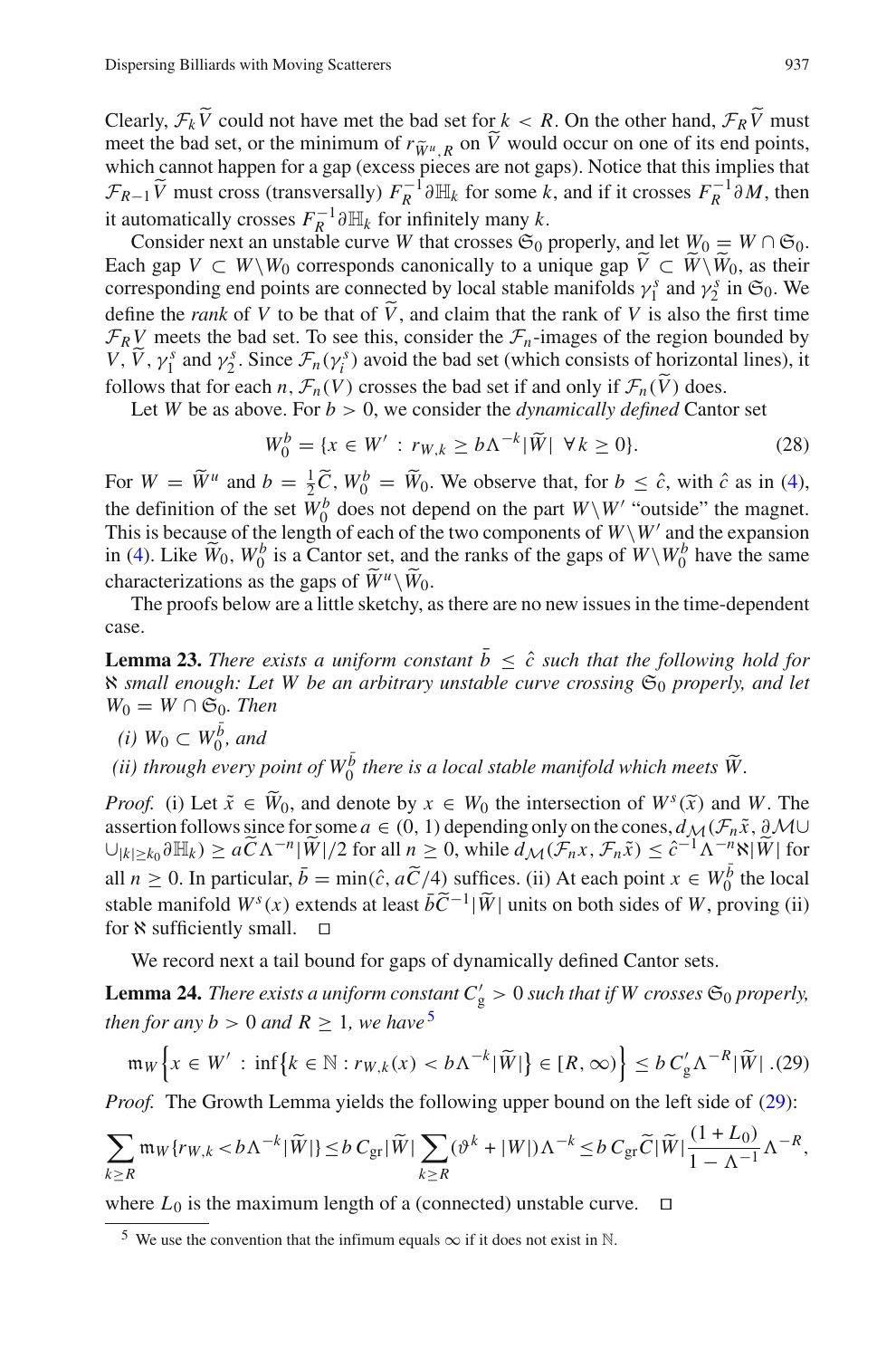Clearly,  $\mathcal{F}_k V$  could not have met the bad set for  $k < R$ . On the other hand,  $\mathcal{F}_R V$  must<br>meet the bad set or the minimum of  $r \sim \Omega$ . On  $\tilde{V}$  would occur on one of its and points meet the bad set, or the minimum of  $r_{\tilde{W}^u, R}$  on *V* would occur on one of its end points, which cannot happen for a gap (excess pieces are not gaps). Notice that this implies that which cannot happen for a gap (excess pieces are not gaps). Notice that this implies that  $\mathcal{F}_{R-1}$   $\tilde{V}$  must cross (transversally)  $F_R^{-1} \partial \mathbb{H}_k$  for some *k*, and if it crosses  $F_R^{-1} \partial M$ , then it automatically crosses  $F_R^{-1} \partial \mathbb{H}_k$  for infinitely many *k*.

Consider next an unstable curve *W* that crosses  $\mathfrak{S}_0$  properly, and let  $W_0 = W \cap \mathfrak{S}_0$ . Each gap  $V \subset W \backslash W_0$  corresponds canonically to a unique gap  $V \subset W \backslash W_0$ , as their corresponding end points are connected by local stable manifolds  $\gamma_1^s$  and  $\gamma_2^s$  in  $\mathfrak{S}_0$ . We define the *rank* of *V* to be that of *V*, and claim that the rank of *V* is also the first time  $F_R V$  meets the bad set. To see this, consider the  $F_n$ -images of the region bounded by *V*,  $\tilde{V}$ ,  $\gamma_1^s$  and  $\gamma_2^s$ . Since  $\mathcal{F}_n(\gamma_i^s)$  avoid the bad set (which consists of horizontal lines), it follows that for each *n*,  $\mathcal{F}_n(V)$  crosses the bad set if and only if  $\mathcal{F}_n(V)$  does.<br>Let *W* be as above. For *b* > 0, we consider the *dynamically defined* Conta

<span id="page-28-3"></span>Let *W* be as above. For  $b > 0$ , we consider the *dynamically defined* Cantor set

$$
W_0^b = \{ x \in W' : r_{W,k} \ge b\Lambda^{-k} |\widetilde{W}| \ \forall k \ge 0 \}. \tag{28}
$$

For  $W = \widetilde{W}^u$  and  $b = \frac{1}{2}\widetilde{C}$ ,  $W_0^b = \widetilde{W}_0$ . We observe that, for  $b \leq \hat{c}$ , with  $\hat{c}$  as in [\(4\)](#page-10-1), the definition of the set  $W_0^b$  does not depend on the part  $W\setminus W'$  "outside" the magnet. This is because of the length of each of the two components of  $W\setminus W'$  and the expansion in [\(4\)](#page-10-1). Like  $\widetilde{W}_0$ ,  $W_0^b$  is a Cantor set, and the ranks of the gaps of  $W\setminus W_0^b$  have the same characterizations as the gaps of  $\widetilde{W}^u\backslash \widetilde{W}_0$ .

<span id="page-28-4"></span>The proofs below are a little sketchy, as there are no new issues in the time-dependent case.

**Lemma 23.** *There exists a uniform constant*  $\overline{b} \leq \hat{c}$  such that the following hold for ℵ *small enough: Let W be an arbitrary unstable curve crossing* S<sup>0</sup> *properly, and let*  $W_0 = W \cap \mathfrak{S}_0$ *. Then* 

- *(i)*  $W_0$  ⊂  $W_0^{\overline{b}}$ *, and*
- *(ii) through every point of*  $W_0^{\bar{b}}$  *there is a local stable manifold which meets*  $\widetilde{W}$ .

*Proof.* (i) Let  $\tilde{x} \in \tilde{W}_0$ , and denote by  $x \in W_0$  the intersection of  $W^s(\tilde{x})$  and W. The assertion follows since for some  $a \in (0, 1)$  depending only on the cones,  $d_M(\mathcal{F}_n \tilde{x}, \partial M \cup$  $\cup_{|k|\geq k_0} \partial \mathbb{H}_k$   $\geq a\widetilde{C}\Lambda^{-n}|\widetilde{W}|/2$  for all  $n \geq 0$ , while  $\tilde{d}_{\mathcal{M}}(\mathcal{F}_n x, \mathcal{F}_n \tilde{x}) \leq \hat{c}^{-1}\Lambda^{-n} \aleph |\widetilde{W}|$  for all  $n \ge 0$ . In particular,  $\bar{b} = \min(\hat{c}, a\tilde{C}/4)$  suffices. (ii) At each point  $x \in W_0^{\bar{b}}$  the local stable manifold  $W^s(x)$  extends at least  $b\tilde{C}^{-1}|\tilde{W}|$  units on both sides of *W*, proving (ii) for  $\aleph$  sufficiently small.  $\Box$ 

We record next a tail bound for gaps of dynamically defined Cantor sets.

<span id="page-28-2"></span>**Lemma 24.** *There exists a uniform constant*  $C'_{\text{g}} > 0$  *such that if* W *crosses*  $\mathfrak{S}_0$  *properly, then for any b* > 0 *and R* > 1*, we have*<sup>[5](#page-28-0)</sup>

$$
\mathfrak{m}_W\Big\{x\in W':\inf\big\{k\in\mathbb{N}:r_{W,k}(x)
$$

<span id="page-28-1"></span>*Proof.* The Growth Lemma yields the following upper bound on the left side of [\(29\)](#page-28-1):

$$
\sum_{k\geq R} \mathfrak{m}_W\{r_{W,k} < b\Lambda^{-k}|\widetilde{W}|\} \leq b\ C_{\text{gr}}|\widetilde{W}|\sum_{k\geq R} (\vartheta^k + |W|)\Lambda^{-k} \leq b\ C_{\text{gr}}\widetilde{C}|\widetilde{W}|\frac{(1+L_0)}{1-\Lambda^{-1}}\Lambda^{-R},
$$

where  $L_0$  is the maximum length of a (connected) unstable curve.  $\Box$ 

<span id="page-28-0"></span><sup>5</sup> We use the convention that the infimum equals  $\infty$  if it does not exist in N.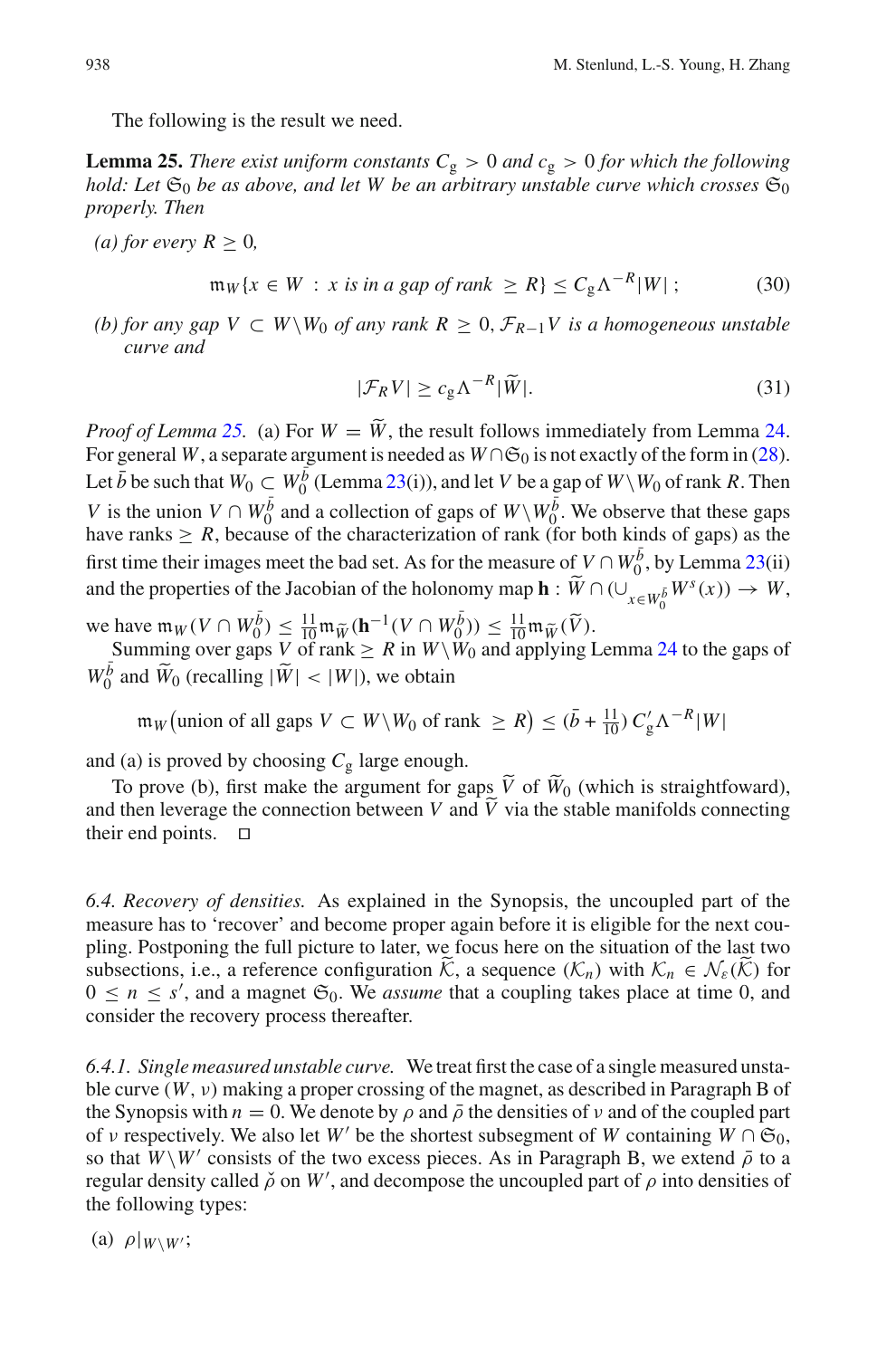The following is the result we need.

<span id="page-29-0"></span>**Lemma 25.** *There exist uniform constants*  $C_g > 0$  *and*  $c_g > 0$  *for which the following hold: Let*  $\mathfrak{S}_0$  *be as above, and let W be an arbitrary unstable curve which crosses*  $\mathfrak{S}_0$ *properly. Then*

*(a) for every*  $R \geq 0$ *,* 

<span id="page-29-1"></span>
$$
\mathfrak{m}_W\{x \in W : x \text{ is in a gap of rank } \geq R\} \leq C_g \Lambda^{-R}|W| \, ; \tag{30}
$$

<span id="page-29-2"></span>*(b) for any gap V* ⊂ *W* $\setminus$ *W*<sub>0</sub> *of any rank R* ≥ 0,  $\mathcal{F}_{R-1}$ *V is a homogeneous unstable curve and*

$$
|\mathcal{F}_R V| \ge c_g \Lambda^{-R} |\widetilde{W}|.
$$
 (31)

*Proof of Lemma* [25.](#page-29-0) (a) For  $W = \tilde{W}$ , the result follows immediately from Lemma [24.](#page-28-2) For general *W*, a separate argument is needed as  $W \cap \mathfrak{S}_0$  is not exactly of the form in [\(28\)](#page-28-3). Let  $\bar{b}$  be such that  $W_0 \subset W_0^{\bar{b}}$  (Lemma [23\(](#page-28-4)i)), and let *V* be a gap of  $W\setminus W_0$  of rank *R*. Then *V* is the union *V* ∩ *W*<sup>*b*</sub> $\overline{0}$  and a collection of gaps of *W* \*W*<sub>0</sub><sup>*b*</sup>. We observe that these gaps</sup> have ranks  $\geq R$ , because of the characterization of rank (for both kinds of gaps) as the first time their images meet the bad set. As for the measure of  $V \cap W_0^{\bar{b}}$ , by Lemma [23\(](#page-28-4)ii) and the properties of the Jacobian of the holonomy map  $\mathbf{h}: \widetilde{W} \cap (\cup_{x \in W_0^{\bar{b}}} W^s(x)) \to W$ ,

we have  $\mathfrak{m}_W(V \cap W_0^{\overline{b}}) \leq \frac{11}{10} \mathfrak{m}_{\widetilde{W}}(\mathbf{h}^{-1}(V \cap W_0^{\overline{b}})) \leq \frac{11}{10} \mathfrak{m}_{\widetilde{W}}(\widetilde{V})$ .<br>Summing over gaps V of rank  $\geq R$  in  $W \setminus W_0$  and applying Lemma [24](#page-28-2) to the gaps of

 $W_0^{\bar{b}}$  and  $\widetilde{W}_0$  (recalling  $|\widetilde{W}| < |W|$ ), we obtain

 $m_W$  (union of all gaps  $V \subset W \setminus W_0$  of rank  $\ge R$ )  $\le (\bar{b} + \frac{11}{10}) C'_g \Lambda^{-R} |W|$ 

and (a) is proved by choosing  $C_g$  large enough.

To prove (b), first make the argument for gaps *V* of  $W_0$  (which is straightfoward), and then leverage the connection between *V* and *V* via the stable manifolds connecting their and points.  $\Box$ their end points.  $\Box$ 

<span id="page-29-3"></span>*6.4. Recovery of densities.* As explained in the Synopsis, the uncoupled part of the measure has to 'recover' and become proper again before it is eligible for the next coupling. Postponing the full picture to later, we focus here on the situation of the last two subsections, i.e., a reference configuration  $\hat{K}$ , a sequence  $(\mathcal{K}_n)$  with  $\mathcal{K}_n \in \mathcal{N}_{\varepsilon}(\hat{K})$  for  $0 \le n \le s'$ , and a magnet  $\mathfrak{S}_0$ . We *assume* that a coupling takes place at time 0, and consider the recovery process thereafter.

*6.4.1. Single measured unstable curve.* We treat first the case of a single measured unstable curve  $(W, v)$  making a proper crossing of the magnet, as described in Paragraph B of the Synopsis with  $n = 0$ . We denote by  $\rho$  and  $\bar{\rho}$  the densities of v and of the coupled part of v respectively. We also let *W'* be the shortest subsegment of *W* containing  $W \cap \mathfrak{S}_0$ , so that  $W\setminus W'$  consists of the two excess pieces. As in Paragraph B, we extend  $\overline{\rho}$  to a regular density called  $\check{\rho}$  on W', and decompose the uncoupled part of  $\rho$  into densities of the following types:

(a)  $\rho|_{W\setminus W'}$ ;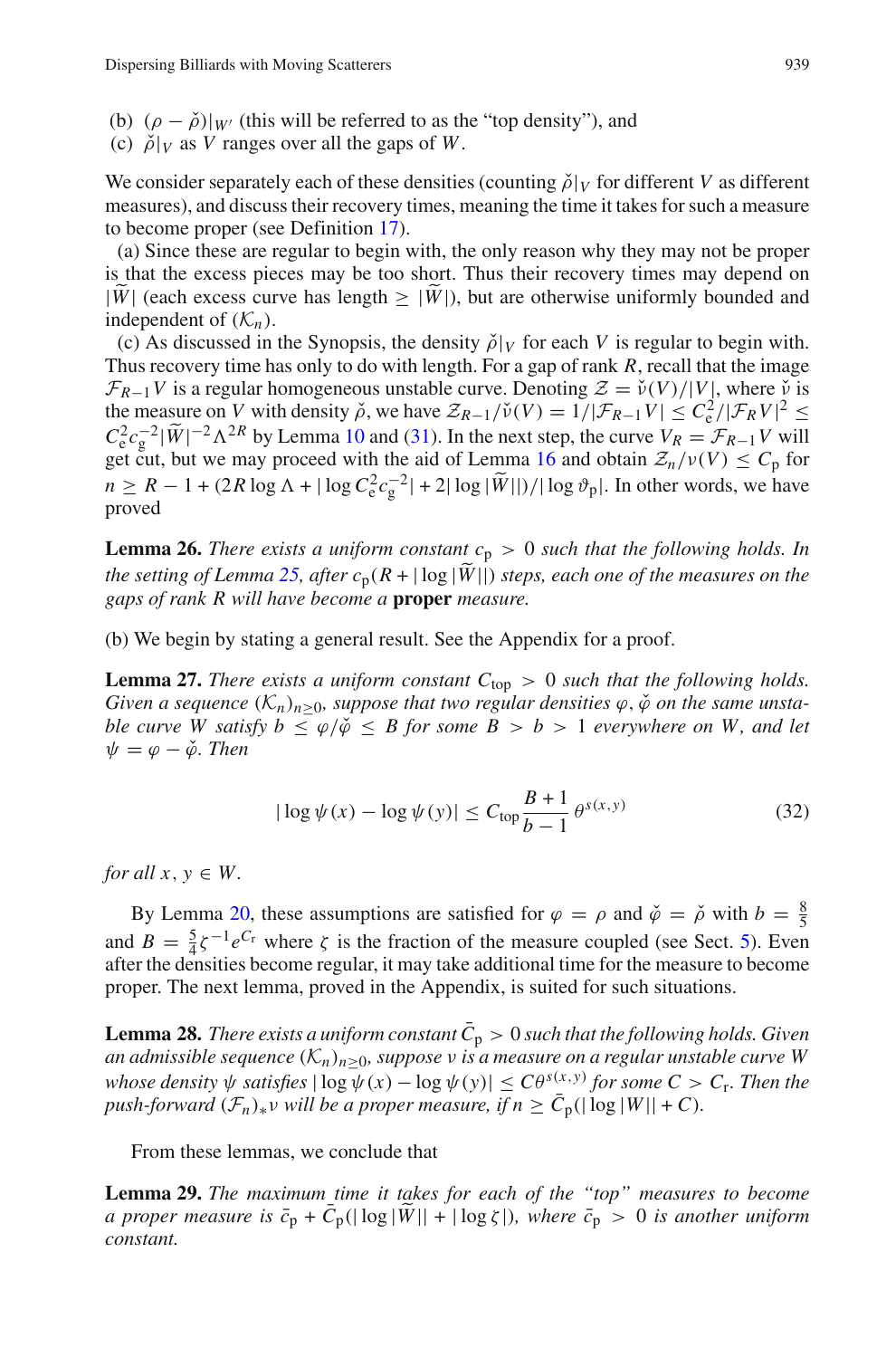- (b)  $(\rho \check{\rho})|_{W'}$  (this will be referred to as the "top density"), and
- (c)  $\tilde{\rho}|_V$  as *V* ranges over all the gaps of *W*.

We consider separately each of these densities (counting  $\tilde{\rho}|_V$  for different *V* as different measures), and discuss their recovery times, meaning the time it takes for such a measure to become proper (see Definition [17\)](#page-17-4).

(a) Since these are regular to begin with, the only reason why they may not be proper is that the excess pieces may be too short. Thus their recovery times may depend on  $|\widetilde{W}|$  (each excess curve has length  $\geq |\widetilde{W}|$ ), but are otherwise uniformly bounded and independent of  $(K_n)$ .

(c) As discussed in the Synopsis, the density  $\tilde{\rho}|_V$  for each *V* is regular to begin with. Thus recovery time has only to do with length. For a gap of rank *R*, recall that the image  $\mathcal{F}_{R-1}V$  is a regular homogeneous unstable curve. Denoting  $\mathcal{Z} = \check{\nu}(V)/|V|$ , where  $\check{\nu}$  is the measure on *V* with density  $\tilde{\rho}$ , we have  $Z_{R-1}/\tilde{\nu}(V) = 1/|\mathcal{F}_{R-1}V| \leq C_e^2/|\mathcal{F}_RV|^2 \leq$  $C_e^2 c_g^{-2} |\tilde{W}|^{-2} \Lambda^{2R}$  by Lemma [10](#page-12-1) and [\(31\)](#page-29-1). In the next step, the curve  $V_R = \mathcal{F}_{R-1} V$  will get cut, but we may proceed with the aid of Lemma [16](#page-17-1) and obtain  $\mathcal{Z}_n/\nu(V) \leq C_p$  for  $n \ge R - 1 + (2R \log \Lambda + |\log C_e^2 c_g^{-2}| + 2|\log |\widetilde{W}||)/|\log \vartheta_p|.$  In other words, we have proved

<span id="page-30-1"></span>**Lemma 26.** *There exists a uniform constant*  $c_p > 0$  *such that the following holds. In the setting of Lemma* [25,](#page-29-0) after  $c_p(R + |\log|W||)$  *steps, each one of the measures on the gaps of rank R will have become a* **proper** *measure.*

(b) We begin by stating a general result. See the Appendix for a proof.

**Lemma 27.** *There exists a uniform constant*  $C_{\text{top}} > 0$  *such that the following holds. Given a sequence*  $(K_n)_{n>0}$ *, suppose that two regular densities*  $\varphi$ *,* $\check{\varphi}$  *on the same unstable curve W satisfy*  $b \leq \varphi/\check{\varphi} \leq B$  *for some*  $B > b > 1$  *everywhere on W, and let*  $\psi = \varphi - \check{\varphi}$ *. Then* 

<span id="page-30-2"></span>
$$
|\log \psi(x) - \log \psi(y)| \le C_{\text{top}} \frac{B+1}{b-1} \theta^{s(x,y)}
$$
 (32)

<span id="page-30-3"></span>*for all x*,  $y \in W$ .

By Lemma [20,](#page-22-2) these assumptions are satisfied for  $\varphi = \rho$  and  $\check{\varphi} = \check{\rho}$  with  $b = \frac{8}{5}$ and  $B = \frac{5}{4}\zeta^{-1}e^{C_r}$  where  $\zeta$  is the fraction of the measure coupled (see Sect. [5\)](#page-19-0). Even after the densities become regular, it may take additional time for the measure to become proper. The next lemma, proved in the Appendix, is suited for such situations.

<span id="page-30-4"></span>**Lemma 28.** *There exists a uniform constant*  $\overline{C}_p > 0$  *such that the following holds. Given an admissible sequence* (*Kn*)*n*≥0*, suppose* ν *is a measure on a regular unstable curve W whose density*  $\psi$  *satisfies*  $|\log \psi(x) - \log \psi(y)| \leq C\theta^{s(x,y)}$  *for some*  $C > C_r$ *. Then the push-forward*  $(\mathcal{F}_n)_* v$  *will be a proper measure, if*  $n \geq \overline{C}_p(|\log |W|| + C)$ *.* 

<span id="page-30-0"></span>From these lemmas, we conclude that

**Lemma 29.** *The maximum time it takes for each of the "top" measures to become a proper measure is*  $\bar{c}_p + \bar{C}_p(|\log|\tilde{W}|| + |\log \zeta|)$ *, where*  $\bar{c}_p > 0$  *is another uniform constant.*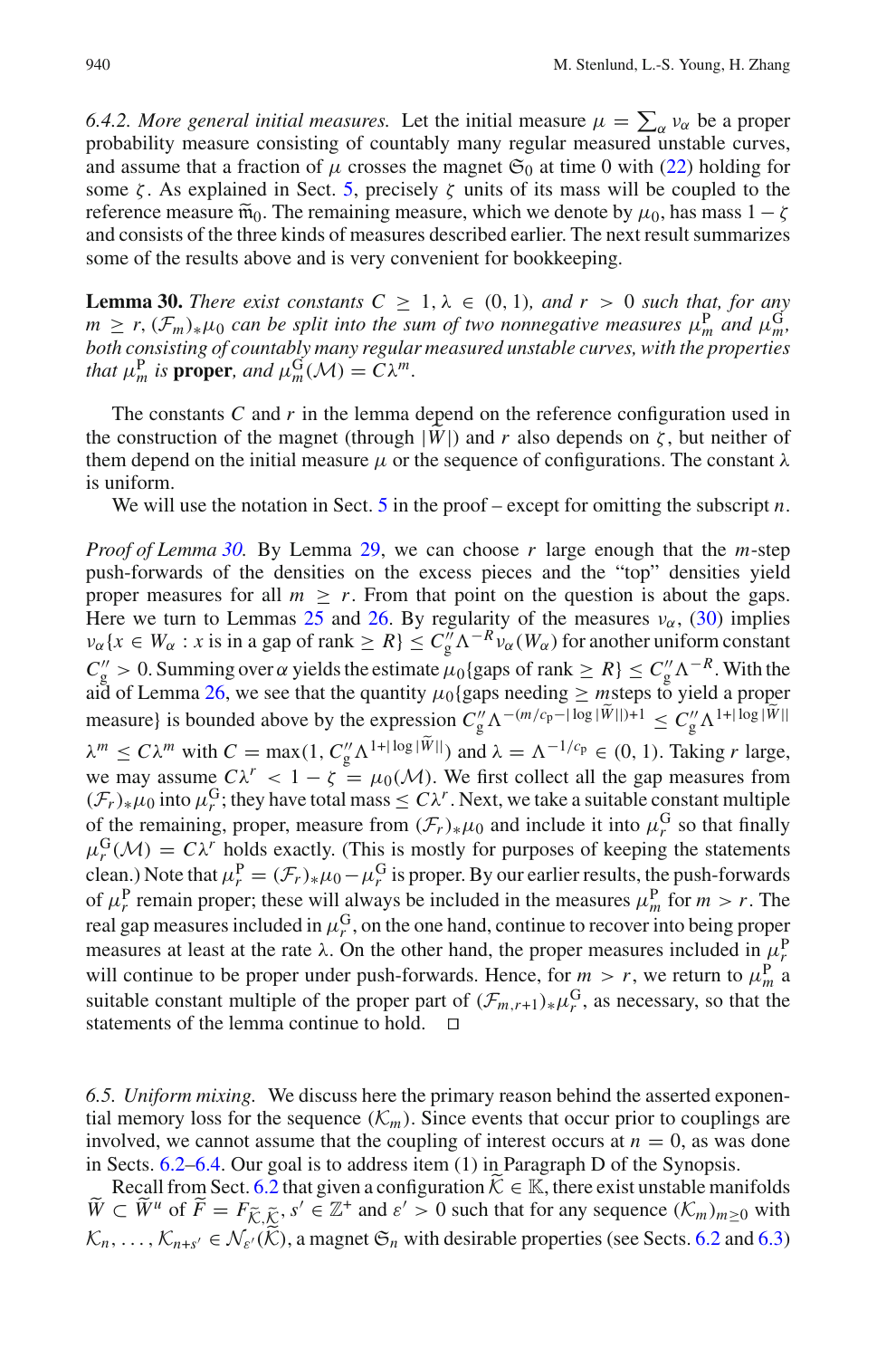6.4.2. More general initial measures. Let the initial measure  $\mu = \sum_{\alpha} v_{\alpha}$  be a proper probability measure consisting of countably many regular measured unstable curves, and assume that a fraction of  $\mu$  crosses the magnet  $\mathfrak{S}_0$  at time 0 with [\(22\)](#page-22-0) holding for some  $\zeta$ . As explained in Sect. [5,](#page-19-0) precisely  $\zeta$  units of its mass will be coupled to the reference measure  $\tilde{m}_0$ . The remaining measure, which we denote by  $\mu_0$ , has mass  $1 - \zeta$ and consists of the three kinds of measures described earlier. The next result summarizes some of the results above and is very convenient for bookkeeping.

<span id="page-31-0"></span>**Lemma 30.** *There exist constants*  $C \geq 1, \lambda \in (0, 1)$ *, and*  $r > 0$  *such that, for any*  $m \geq r$ ,  $(\mathcal{F}_m)_*\mu_0$  *can be split into the sum of two nonnegative measures*  $\mu_m^P$  *and*  $\mu_m^G$ , *both consisting of countably many regular measured unstable curves, with the properties that*  $\mu_m^{\text{P}}$  *is* **proper***, and*  $\mu_m^{\text{G}}(\mathcal{M}) = C\lambda^m$ *.* 

The constants *C* and *r* in the lemma depend on the reference configuration used in the construction of the magnet (through  $|\tilde{W}|$ ) and r also depends on  $\zeta$ , but neither of them depend on the initial measure  $\mu$  or the sequence of configurations. The constant  $\lambda$ is uniform.

We will use the notation in Sect. [5](#page-19-0) in the proof – except for omitting the subscript *n*.

*Proof of Lemma [30.](#page-31-0)* By Lemma [29,](#page-30-0) we can choose *r* large enough that the *m*-step push-forwards of the densities on the excess pieces and the "top" densities yield proper measures for all  $m \geq r$ . From that point on the question is about the gaps. Here we turn to Lemmas [25](#page-29-0) and [26.](#page-30-1) By regularity of the measures  $v_\alpha$ , [\(30\)](#page-29-2) implies  $v_{\alpha}$  { $x \in W_{\alpha}$ : *x* is in a gap of rank  $\geq R$ }  $\leq C_{g}^{\gamma} \Lambda^{-R} v_{\alpha}(W_{\alpha})$  for another uniform constant  $C_g'' > 0$ . Summing over  $\alpha$  yields the estimate  $\mu_0$ {gaps of rank  $\geq R$ }  $\leq C_g'' \Lambda^{-R}$ . With the aid of Lemma [26,](#page-30-1) we see that the quantity  $\mu_0$ {gaps needing  $\geq$  msteps to yield a proper measure} is bounded above by the expression  $C''_g \Lambda^{-(m/c_p - |\log |W||)+1} \leq C''_g \Lambda^{1+|\log |W||}$  $\lambda^m \le C\lambda^m$  with  $C = \max(1, C_g'' \Lambda^{1+|\log|W||})$  and  $\lambda = \Lambda^{-1/c_p} \in (0, 1)$ . Taking *r* large, we may assume  $C\lambda^r < 1 - \zeta = \mu_0(\mathcal{M})$ . We first collect all the gap measures from  $(\mathcal{F}_r)_*\mu_0$  into  $\mu_r^G$ ; they have total mass  $\leq C\lambda^r$ . Next, we take a suitable constant multiple of the remaining, proper, measure from  $(\mathcal{F}_r)_*\mu_0$  and include it into  $\mu_r^G$  so that finally  $\mu_r^G(\mathcal{M}) = C\lambda^r$  holds exactly. (This is mostly for purposes of keeping the statements clean.) Note that  $\mu_r^P = (\mathcal{F}_r)_*\mu_0 - \mu_r^G$  is proper. By our earlier results, the push-forwards of  $\mu_r^P$  remain proper; these will always be included in the measures  $\mu_m^P$  for  $m > r$ . The real gap measures included in  $\mu_r^G$ , on the one hand, continue to recover into being proper measures at least at the rate  $\lambda$ . On the other hand, the proper measures included in  $\mu_r^P$ will continue to be proper under push-forwards. Hence, for  $m > r$ , we return to  $\mu_m^P$  a suitable constant multiple of the proper part of  $(\mathcal{F}_{m,r+1})_* \mu_r^G$ , as necessary, so that the statements of the lemma continue to hold.  $\square$ 

<span id="page-31-1"></span>*6.5. Uniform mixing.* We discuss here the primary reason behind the asserted exponential memory loss for the sequence  $(\mathcal{K}_m)$ . Since events that occur prior to couplings are involved, we cannot assume that the coupling of interest occurs at  $n = 0$ , as was done in Sects. [6.2–](#page-27-1)[6.4.](#page-29-3) Our goal is to address item (1) in Paragraph D of the Synopsis.

Recall from Sect. [6.2](#page-27-1) that given a configuration  $\hat{K} \in \mathbb{K}$ , there exist unstable manifolds  $\widetilde{W} \subset \widetilde{W}^u$  of  $\widetilde{F} = F_{\widetilde{K},\widetilde{K}}$ ,  $s' \in \mathbb{Z}^+$  and  $s' > 0$  such that for any sequence  $(\mathcal{K}_m)_{m \geq 0}$  with  $K_n, \ldots, K_{n+s'} \in \mathcal{N}_{\varepsilon}(\widetilde{\mathcal{K}})$ , a magnet  $\mathfrak{S}_n$  with desirable properties (see Sects. [6.2](#page-27-1) and [6.3\)](#page-27-2)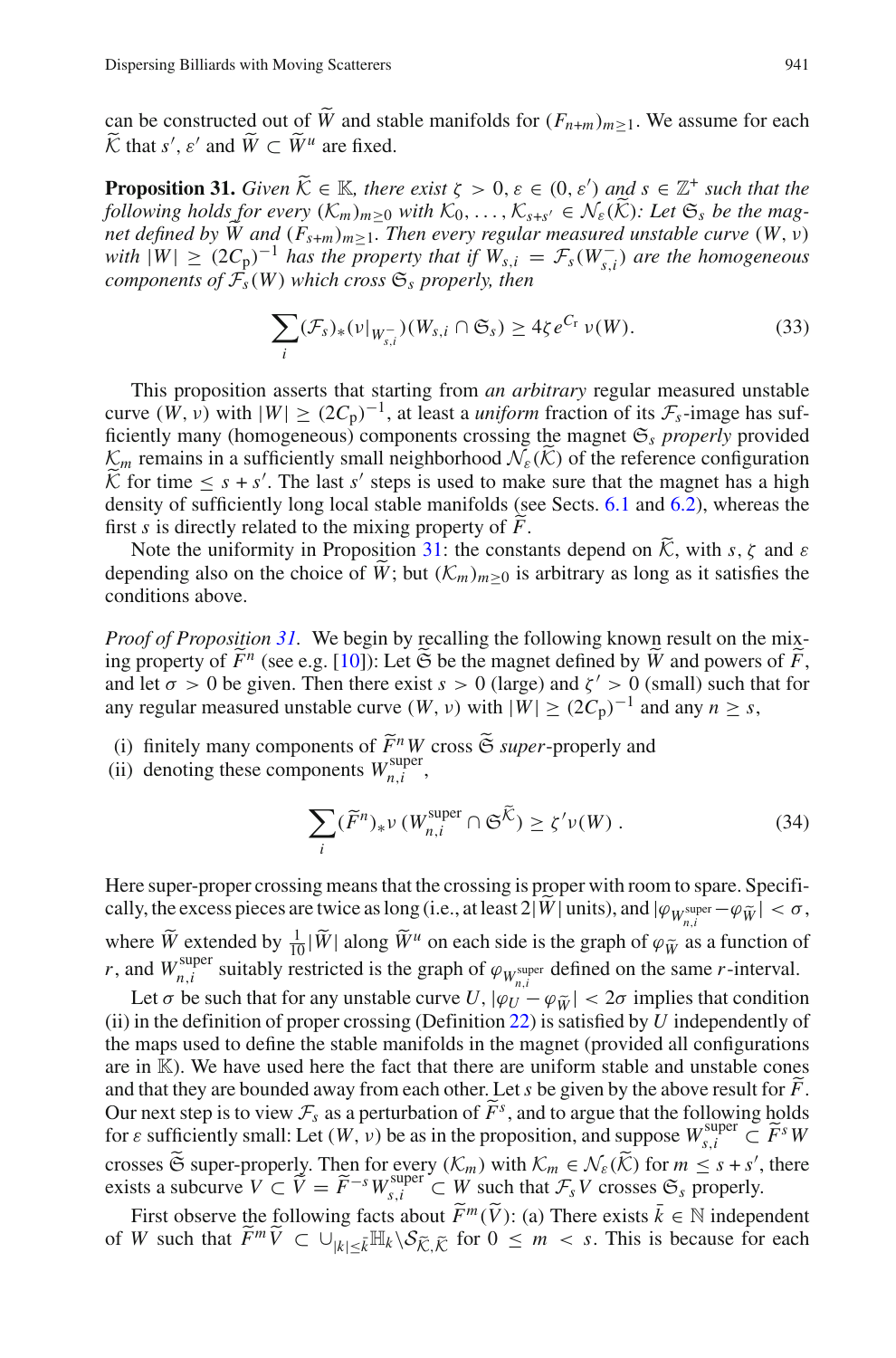<span id="page-32-0"></span>can be constructed out of  $\widetilde{W}$  and stable manifolds for  $(F_{n+m})_{m>1}$ . We assume for each  $\widetilde{\mathcal{K}}$  that *s'*,  $\varepsilon'$  and  $\widetilde{W} \subset \widetilde{W}^u$  are fixed.

**Proposition 31.** *Given*  $\widetilde{K} \in \mathbb{K}$ *, there exist*  $\zeta > 0$ ,  $\varepsilon \in (0, \varepsilon')$  *and*  $s \in \mathbb{Z}^+$  *such that the*<br>*following holds for gyary*  $(K)$ , a with  $K$ ,  $K$ ,  $\zeta \in \mathcal{N}(\widetilde{K})$ , Let  $\mathfrak{S}$ , he the was *following holds for every*  $(K_m)_{m>0}$  *with*  $K_0, \ldots, K_{s+s'} \in \mathcal{N}_{\varepsilon}(\widetilde{K})$ *: Let*  $\mathfrak{S}_s$  *be the magnet defined by*  $\tilde{W}$  and  $(F_{s+m})_{m>1}$ . Then every regular measured unstable curve  $(W, v)$ *with*  $|W| \ge (2C_p)^{-1}$  *has the property that if*  $\overline{W}_{s,i} = \mathcal{F}_s(W_{s,i}^-)$  *are the homogeneous components of*  $\mathcal{F}_s(W)$  *which cross*  $\mathfrak{S}_s$  *properly, then* 

$$
\sum_{i} (\mathcal{F}_s)_*(\nu|_{W_{s,i}^-}) (W_{s,i} \cap \mathfrak{S}_s) \ge 4\zeta e^{C_\Gamma} \nu(W). \tag{33}
$$

<span id="page-32-1"></span>This proposition asserts that starting from *an arbitrary* regular measured unstable curve  $(W, v)$  with  $|W| \ge (2C_p)^{-1}$ , at least a *uniform* fraction of its  $\mathcal{F}_s$ -image has sufficiently many (homogeneous) components crossing the magnet  $\mathfrak{S}_s$  *properly* provided  $K_m$  remains in a sufficiently small neighborhood  $\mathcal{N}_{\varepsilon}(\tilde{\mathcal{K}})$  of the reference configuration  $\widetilde{K}$  for time  $\leq s + s'$ . The last *s'* steps is used to make sure that the magnet has a high density of sufficiently long local steple monifolds (see Sects 6.1 and 6.2) whereas the density of sufficiently long local stable manifolds (see Sects. [6.1](#page-25-1) and [6.2\)](#page-27-1), whereas the first *s* is directly related to the mixing property of *F*.<br>Note the uniformity in Proposition 21; the constant

Note the uniformity in Proposition [31:](#page-32-0) the constants depend on  $\widetilde{K}$ , with *s*,  $\zeta$  and  $\varepsilon$ depending also on the choice of  $\tilde{W}$ ; but  $(\mathcal{K}_m)_{m>0}$  is arbitrary as long as it satisfies the conditions above.

*Proof of Proposition* [31.](#page-32-0) We begin by recalling the following known result on the mixing property of  $\tilde{F}^n$  (see e.g. [\[10\]](#page-46-4)): Let  $\tilde{\mathfrak{S}}$  be the magnet defined by  $\tilde{W}$  and powers of  $\tilde{F}$ , and let  $\sigma > 0$  be given. Then there exist  $s > 0$  (large) and  $\zeta' > 0$  (small) such that for any regular measured unstable curve  $(W, v)$  with  $|W| \ge (2C_p)^{-1}$  and any  $n > s$ ,

- (i) finitely many components of  $\widetilde{F}^n W$  cross  $\widetilde{\mathfrak{S}}$  *super*-properly and (ii) denoting these components  $W_{n,i}^{\text{super}}$ ,
- 

$$
\sum_{i} (\widetilde{F}^{n})_{*} \nu \left( W_{n,i}^{\text{super}} \cap \mathfrak{S}^{\widetilde{\mathcal{K}}}\right) \geq \zeta' \nu(W) . \tag{34}
$$

Here super-proper crossing means that the crossing is proper with room to spare. Specifically, the excess pieces are twice as long (i.e., at least  $2|\hat{W}|$  units), and  $|\varphi_{W_{n,i}^{\text{super}}} - \varphi_{\tilde{W}}| < \sigma$ , where  $\tilde{W}$  extended by  $\frac{1}{10}|\tilde{W}|$  along  $\tilde{W}^u$  on each side is the graph of  $\varphi_{\tilde{W}}$  as a function of *r*, and  $W_{n,i}^{\text{super}}$  suitably restricted is the graph of  $\varphi_{W_{n,i}^{\text{super}}}$  defined on the same *r*-interval.

Let  $\sigma$  be such that for any unstable curve *U*,  $|\varphi_U - \varphi_{\tilde{W}}| < 2\sigma$  implies that condition (ii) in the definition of proper crossing (Definition [22\)](#page-27-0) is satisfied by *U* independently of the maps used to define the stable manifolds in the magnet (provided all configurations are in K). We have used here the fact that there are uniform stable and unstable cones and that they are bounded away from each other. Let *s* be given by the above result for *F*.<br>Our next stan is to view  $\mathcal{T}$  as a porturbation of  $\widetilde{F}^s$  and to example that the following holds Our next step is to view  $\mathcal{F}_s$  as a perturbation of  $\widetilde{F}^s$ , and to argue that the following holds for a sufficiently small: Let  $(W, y)$  be as in the proposition, and suppose  $W^{\text{super}} \subset \widetilde{E}^s W$ for  $\varepsilon$  sufficiently small: Let  $(W, \nu)$  be as in the proposition, and suppose  $W_{s,i}^{\text{super}} \subset \widetilde{F}^s W$ crosses  $\widetilde{\mathfrak{S}}$  super-properly. Then for every  $(\mathcal{K}_m)$  with  $\mathcal{K}_m \in \mathcal{N}_{\varepsilon}(\widetilde{\mathcal{K}})$  for  $m \leq s + s'$ , there exists a subcurve  $V \subset \tilde{V} = \tilde{F}^{-s}W_{s,i}^{\text{super}} \subset W$  such that  $\mathcal{F}_sV$  crosses  $\mathfrak{S}_s$  properly.

First observe the following facts about  $\widetilde{F}^m(\widetilde{V})$ : (a) There exists  $\overline{k} \in \mathbb{N}$  independent of W such that  $\widetilde{F}^m \widetilde{V} \subset \bigcup_{|k| \leq \overline{k}} \mathbb{H}_k \setminus \mathcal{S}_{\widetilde{K}, \widetilde{K}}$  for  $0 \leq m < s$ . This is because for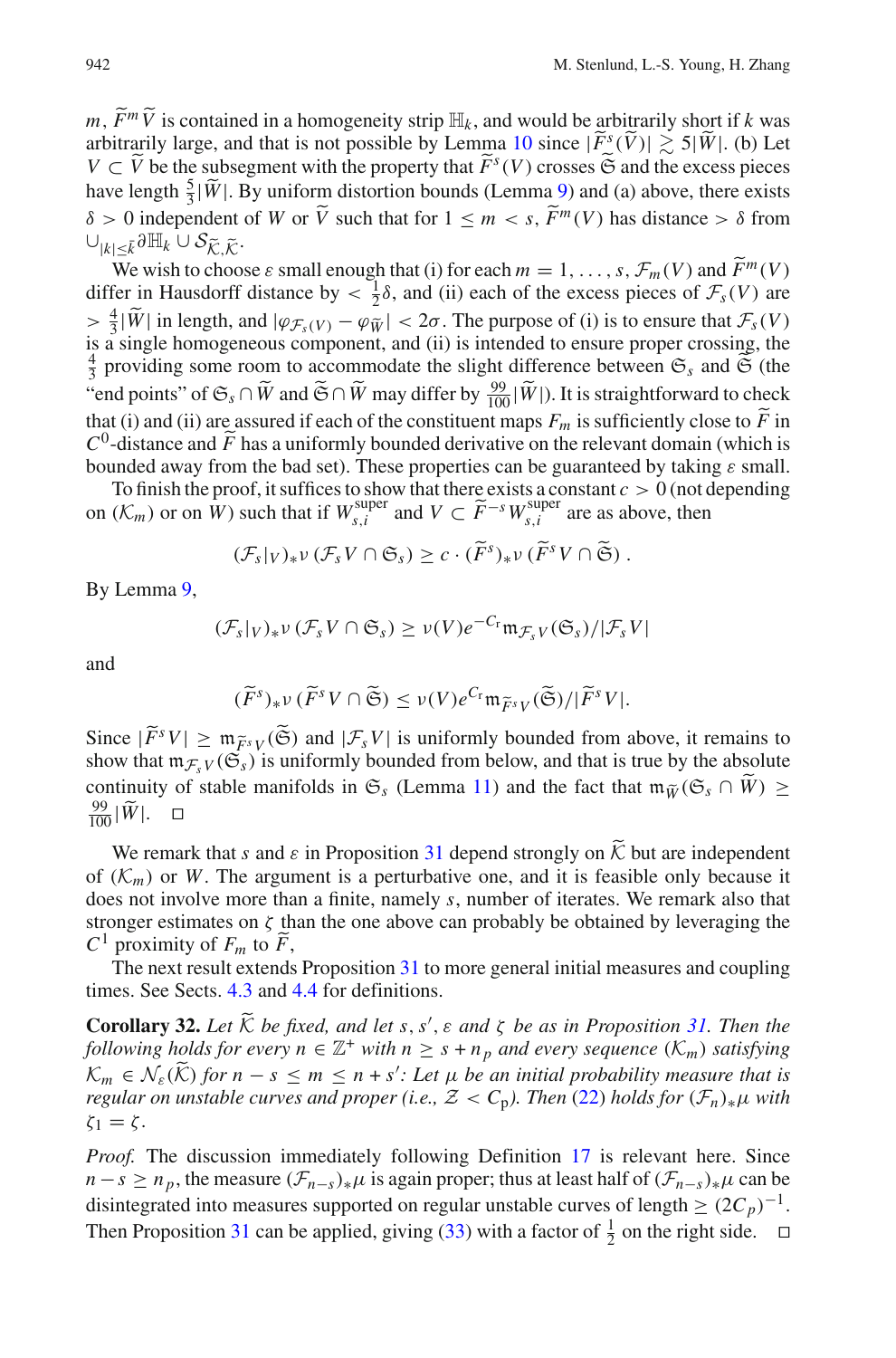*m*,  $\widetilde{F}^m \widetilde{V}$  is contained in a homogeneity strip  $\mathbb{H}_k$ , and would be arbitrarily short if *k* was arbitrarily large, and that is not possible by Lemma [10](#page-12-1) since  $|\tilde{F}^s(\tilde{V})| \gtrsim 5|\tilde{W}|$ . (b) Let  $V \subset \tilde{V}$  be the subsegment with the property that  $\tilde{F}^s(V)$  crosses  $\tilde{\mathfrak{S}}$  and the excess pieces have length  $\frac{5}{3}|\tilde{W}|$ . By uniform distortion bounds (Lemma [9\)](#page-12-0) and (a) above, there exists  $δ > 0$  independent of *W* or  $\overline{V}$  such that for  $1 \le m < s$ ,  $\overline{F}^m(V)$  has distance > δ from  $\cup_{|k|<\bar{k}}\partial \mathbb{H}_k$   $\cup$   $\mathcal{S}_{\widetilde{\mathcal{K}}}\right)$   $\widetilde{\mathcal{K}}$ .

We wish to choose  $\varepsilon$  small enough that (i) for each  $m = 1, \ldots, s$ ,  $\mathcal{F}_m(V)$  and  $\tilde{F}^m(V)$ <br>for in Haugherff distance by  $\leq \frac{1}{2}$  and (ii) each of the excess pieces of  $\mathcal{F}_m(V)$  are differ in Hausdorff distance by  $\langle \frac{1}{2} \delta \rangle$ , and (ii) each of the excess pieces of  $\mathcal{F}_s(V)$  are  $> \frac{4}{3}|\widetilde{W}|$  in length, and  $|\varphi_{\mathcal{F}_s(V)} - \varphi_{\widetilde{W}}| < 2\sigma$ . The purpose of (i) is to ensure that  $\mathcal{F}_s(V)$ is a single homogeneous component, and (ii) is intended to ensure proper crossing, the  $\frac{4}{3}$  providing some room to accommodate the slight difference between  $\mathfrak{S}_s$  and  $\widetilde{\mathfrak{S}}$  (the "end points" of  $\mathfrak{S}_s \cap \widetilde{W}$  and  $\widetilde{\mathfrak{S}} \cap \widetilde{W}$  may differ by  $\frac{99}{100}|\widetilde{W}|$ ). It is straightforward to check that (i) and (ii) are assured if each of the constituent maps  $F_m$  is sufficiently close to *F* in  $C^0$  distance and  $\tilde{F}$  has a uniformly bounded derivative on the relevant domain (which is  $C^0$ -distance and  $\tilde{F}$  has a uniformly bounded derivative on the relevant domain (which is<br>hounded away from the had set). These properties can be quaranteed by taking a small bounded away from the bad set). These properties can be guaranteed by taking  $\varepsilon$  small.

To finish the proof, it suffices to show that there exists a constant  $c > 0$  (not depending on  $(K_m)$  or on W) such that if  $W_{s,i}^{\text{super}}$  and  $V \subset \widetilde{F}^{-s}W_{s,i}^{\text{super}}$  are as above, then

$$
(\mathcal{F}_s|_V)_*\nu (\mathcal{F}_s V \cap \mathfrak{S}_s) \geq c \cdot (\widetilde{F}^s)_*\nu (\widetilde{F}^s V \cap \widetilde{\mathfrak{S}}).
$$

By Lemma [9,](#page-12-0)

$$
(\mathcal{F}_s|_V)_* \nu (\mathcal{F}_s V \cap \mathfrak{S}_s) \ge \nu(V) e^{-C_r} \mathfrak{m}_{\mathcal{F}_s V}(\mathfrak{S}_s) / |\mathcal{F}_s V|
$$

and

$$
(\widetilde{F}^s)_*\nu(\widetilde{F}^sV\cap\widetilde{\mathfrak{S}})\leq\nu(V)e^{C_{\Gamma}}\mathfrak{m}_{\widetilde{F}^sV}(\widetilde{\mathfrak{S}})/|\widetilde{F}^sV|.
$$

Since  $|\tilde{F}^s V| \ge m_{\tilde{F}^s V}(\tilde{\mathfrak{S}})$  and  $|\mathcal{F}_s V|$  is uniformly bounded from above, it remains to show that  $m \in \mathcal{C}(\tilde{\mathfrak{S}})$  is uniformly bounded from below and that is true by the absolute show that  $m_{\mathcal{F}_sV}(\mathfrak{S}_s)$  is uniformly bounded from below, and that is true by the absolute continuity of stable manifolds in  $\mathfrak{S}_s$  (Lemma [11\)](#page-12-2) and the fact that  $\mathfrak{m}_{\widetilde{W}}(\mathfrak{S}_s \cap \widetilde{W}) \geq$  $\frac{99}{100}$  $|\tilde{W}|$ .  $\Box$ 

We remark that *s* and  $\varepsilon$  in Proposition [31](#page-32-0) depend strongly on  $\widetilde{K}$  but are independent of  $(K_m)$  or W. The argument is a perturbative one, and it is feasible only because it does not involve more than a finite, namely *s*, number of iterates. We remark also that stronger estimates on  $\zeta$  than the one above can probably be obtained by leveraging the  $C^1$  proximity of  $F_m$  to  $\widetilde{F}_n$ ,

The next result extends Proposition [31](#page-32-0) to more general initial measures and coupling times. See Sects. [4.3](#page-15-1) and [4.4](#page-17-0) for definitions.

<span id="page-33-0"></span>**Corollary 32.** Let  $\widetilde{K}$  be fixed, and let s, s',  $\varepsilon$  and  $\zeta$  be as in Proposition [31.](#page-32-0) Then the *following holds for every n*  $\in \mathbb{Z}^+$  *with n*  $\geq$  *s* + *n<sub>p</sub> and every sequence* ( $K_m$ ) *satisfying*  $\mathcal{K}_m \in \mathcal{N}_{\varepsilon}(\widetilde{\mathcal{K}})$  for  $n - s \leq m \leq n + s'$ : Let  $\mu$  be an initial probability measure that is *regular on unstable curves and proper (i.e.,*  $Z < C_p$ ). Then [\(22\)](#page-22-0) holds for  $(\mathcal{F}_n)_*\mu$  with  $\zeta_1 = \zeta$ .

*Proof.* The discussion immediately following Definition [17](#page-17-4) is relevant here. Since  $n - s \geq n_p$ , the measure  $(\mathcal{F}_{n-s})_*\mu$  is again proper; thus at least half of  $(\mathcal{F}_{n-s})_*\mu$  can be disintegrated into measures supported on regular unstable curves of length  $\geq (2C_p)^{-1}$ . Then Proposition [31](#page-32-0) can be applied, giving [\(33\)](#page-32-1) with a factor of  $\frac{1}{2}$  on the right side.  $\Box$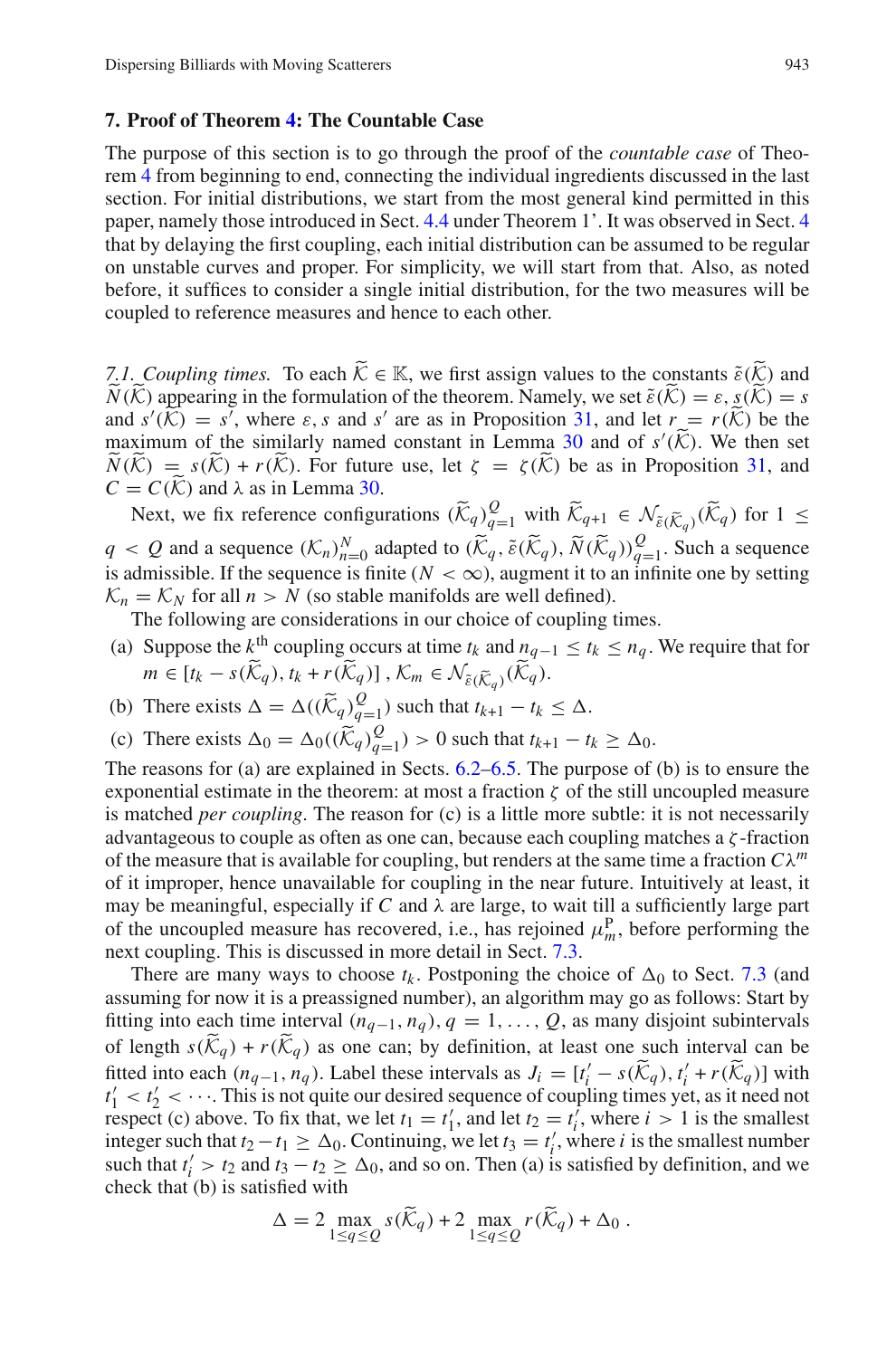#### <span id="page-34-0"></span>**7. Proof of Theorem [4:](#page-8-0) The Countable Case**

The purpose of this section is to go through the proof of the *countable case* of Theorem [4](#page-8-0) from beginning to end, connecting the individual ingredients discussed in the last section. For initial distributions, we start from the most general kind permitted in this paper, namely those introduced in Sect. [4.4](#page-17-0) under Theorem 1'. It was observed in Sect. [4](#page-13-0) that by delaying the first coupling, each initial distribution can be assumed to be regular on unstable curves and proper. For simplicity, we will start from that. Also, as noted before, it suffices to consider a single initial distribution, for the two measures will be coupled to reference measures and hence to each other.

<span id="page-34-1"></span>*7.1. Coupling times.* To each  $\widetilde{K} \in \mathbb{K}$ , we first assign values to the constants  $\widetilde{\varepsilon}(\widetilde{K})$  and *N*(*K*) appearing in the formulation of the theorem. Namely, we set  $\tilde{\varepsilon}$ (*K*) =  $\varepsilon$ ,  $s(K) = s$ and  $s'(\widetilde{K}) = s^{\overline{f}}$ , where  $\varepsilon$ , *s* and *s'* are as in Proposition [31,](#page-32-0) and let  $r = r(\widetilde{K})$  be the movimum of the similarly named constant in I amma 30 and of  $s'(\widetilde{K})$ . We then set maximum of the similarly named constant in Lemma [30](#page-31-0) and of  $s'(\widetilde{K})$ . We then set  $N(K) = s(K) + r(K)$ . For future use, let  $\zeta = \zeta(K)$  be as in Proposition [31,](#page-32-0) and  $C = C(\widetilde{K})$  and l as in Lamma 30.  $C = C(K)$  and  $\lambda$  as in Lemma [30.](#page-31-0)

Next, we fix reference configurations  $(\widetilde{K}_q)_{q=1}^Q$  with  $\widetilde{K}_{q+1} \in \mathcal{N}_{\tilde{\varepsilon}}(\widetilde{K}_q) (\widetilde{K}_q)$  for  $1 \leq$  $q < Q$  and a sequence  $(K_n)_{n=0}^N$  adapted to  $(\widetilde{K}_q, \widetilde{\varepsilon}(\widetilde{K}_q), \widetilde{N}(\widetilde{K}_q))_{q=1}^Q$ . Such a sequence is admissible. If the sequence is finite ( $N < \infty$ ), augment it to an infinite one by setting  $K_n = K_N$  for all  $n > N$  (so stable manifolds are well defined).

The following are considerations in our choice of coupling times.

- (a) Suppose the  $k^{\text{th}}$  coupling occurs at time  $t_k$  and  $n_{q-1} \le t_k \le n_q$ . We require that for *m* ∈  $[t_k - s(\widetilde{K}_q), t_k + r(\widetilde{K}_q)]$ ,  $K_m \in \mathcal{N}_{\widetilde{\varepsilon}(\widetilde{K}_q)}(\widetilde{K}_q)$ .
- (b) There exists  $\Delta = \Delta((\widetilde{K}_q)_{q=1}^Q)$  such that  $t_{k+1} t_k \leq \Delta$ .
- (c) There exists  $\Delta_0 = \Delta_0((\widetilde{K}_q)_{q=1}^Q) > 0$  such that  $t_{k+1} t_k \ge \Delta_0$ .

The reasons for (a) are explained in Sects. [6.2–](#page-27-1)[6.5.](#page-31-1) The purpose of (b) is to ensure the exponential estimate in the theorem: at most a fraction  $\zeta$  of the still uncoupled measure is matched *per coupling*. The reason for (c) is a little more subtle: it is not necessarily advantageous to couple as often as one can, because each coupling matches a  $\zeta$ -fraction of the measure that is available for coupling, but renders at the same time a fraction  $C\lambda^m$ of it improper, hence unavailable for coupling in the near future. Intuitively at least, it may be meaningful, especially if *C* and  $\lambda$  are large, to wait till a sufficiently large part of the uncoupled measure has recovered, i.e., has rejoined  $\mu_m^P$ , before performing the next coupling. This is discussed in more detail in Sect. [7.3.](#page-35-0)

There are many ways to choose  $t_k$ . Postponing the choice of  $\Delta_0$  to Sect. [7.3](#page-35-0) (and assuming for now it is a preassigned number), an algorithm may go as follows: Start by fitting into each time interval  $(n_{q-1}, n_q)$ ,  $q = 1, \ldots, Q$ , as many disjoint subintervals of length  $s(\widetilde{K}_q) + r(\widetilde{K}_q)$  as one can; by definition, at least one such interval can be fitted into each  $(n_{q-1}, n_q)$ . Label these intervals as  $J_i = [t'_i - s(\tilde{K}_q), t'_i + r(\tilde{K}_q)]$  with  $t'_1 < t'_2 < \cdots$ . This is not quite our desired sequence of coupling times yet, as it need not respect (c) above. To fix that, we let  $t_1 = t'_1$ , and let  $t_2 = t'_i$ , where  $i > 1$  is the smallest integer such that  $t_2 - t_1 \ge \Delta_0$ . Continuing, we let  $t_3 = t'_i$ , where *i* is the smallest number such that  $t'_i > t_2$  and  $t_3 - t_2 \ge \Delta_0$ , and so on. Then (a) is satisfied by definition, and we check that (b) is satisfied with

$$
\Delta = 2 \max_{1 \le q \le Q} s(\widetilde{K}_q) + 2 \max_{1 \le q \le Q} r(\widetilde{K}_q) + \Delta_0.
$$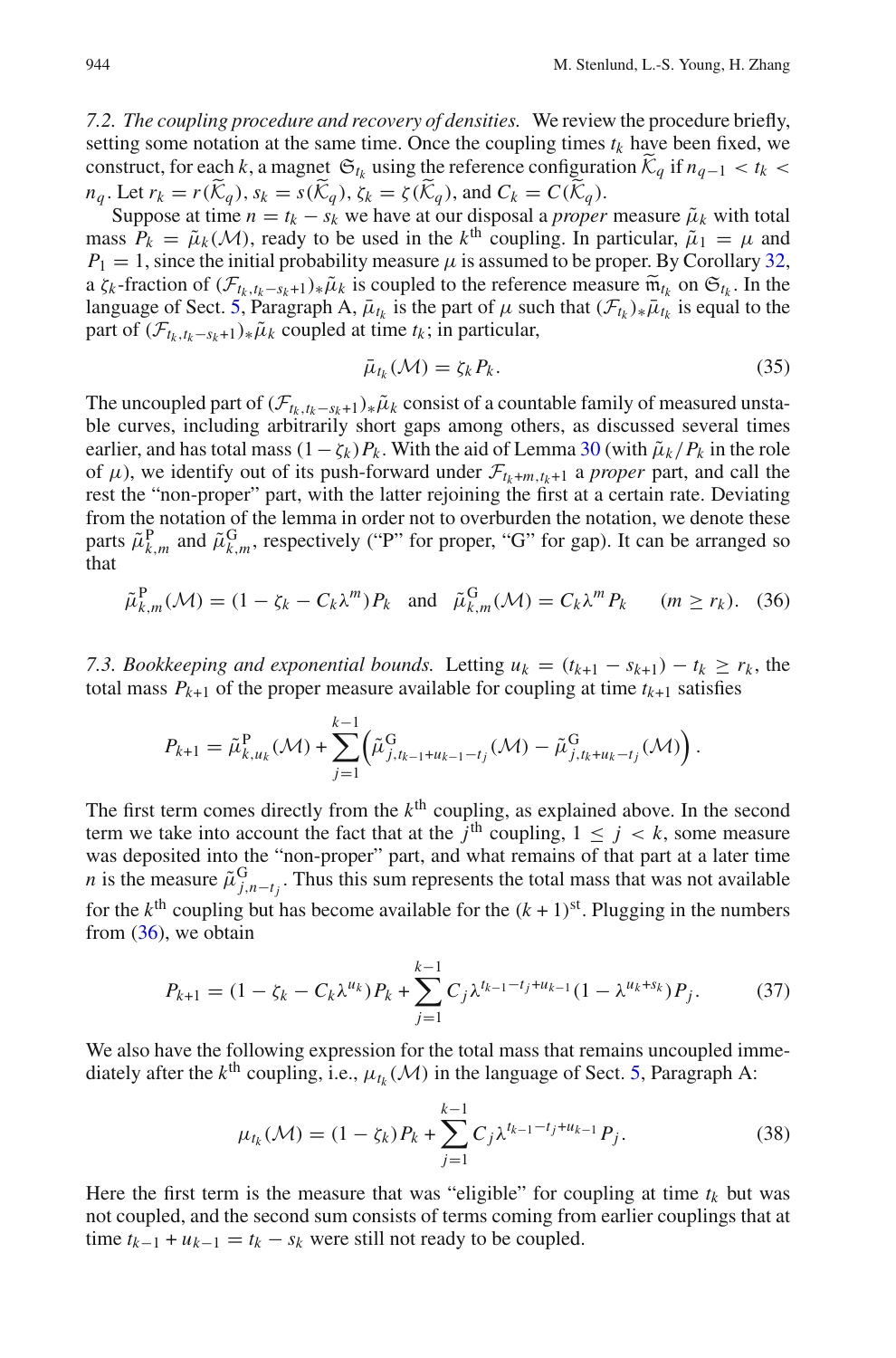<span id="page-35-5"></span>*7.2. The coupling procedure and recovery of densities.* We review the procedure briefly, setting some notation at the same time. Once the coupling times  $t_k$  have been fixed, we construct, for each *k*, a magnet  $\mathfrak{S}_{t_k}$  using the reference configuration  $\widetilde{\mathcal{K}}_q$  if  $n_{q-1} < t_k$  $n_q$ . Let  $r_k = r(\widetilde{K}_q)$ ,  $s_k = s(\widetilde{K}_q)$ ,  $\zeta_k = \zeta(\widetilde{K}_q)$ , and  $C_k = C(\widetilde{K}_q)$ .

Suppose at time  $n = t_k - s_k$  we have at our disposal a *proper* measure  $\tilde{\mu}_k$  with total mass  $P_k = \tilde{\mu}_k(\mathcal{M})$ , ready to be used in the *k*<sup>th</sup> coupling. In particular,  $\tilde{\mu}_1 = \mu$  and  $P_1 = 1$ , since the initial probability measure  $\mu$  is assumed to be proper. By Corollary [32,](#page-33-0) a  $\zeta_k$ -fraction of  $(\mathcal{F}_{t_k,t_k-s_k+1})_*\tilde{\mu}_k$  is coupled to the reference measure  $\tilde{m}_{t_k}$  on  $\mathfrak{S}_{t_k}$ . In the language of Sect. [5,](#page-19-0) Paragraph A,  $\bar{\mu}_{t_k}$  is the part of  $\mu$  such that  $(\mathcal{F}_{t_k})_*\bar{\mu}_{t_k}$  is equal to the part of  $(\mathcal{F}_{t_k,t_k-s_k+1})_*\tilde{\mu}_k$  coupled at time  $t_k$ ; in particular,

$$
\bar{\mu}_{t_k}(\mathcal{M}) = \zeta_k P_k. \tag{35}
$$

<span id="page-35-4"></span>The uncoupled part of  $(\mathcal{F}_{t_k,t_k-s_k+1})_*\tilde{\mu}_k$  consist of a countable family of measured unstable curves, including arbitrarily short gaps among others, as discussed several times earlier, and has total mass  $(1 - \zeta_k)P_k$ . With the aid of Lemma [30](#page-31-0) (with  $\tilde{\mu}_k/P_k$  in the role of  $\mu$ ), we identify out of its push-forward under  $\mathcal{F}_{t_k+m,t_{k+1}}$  a *proper* part, and call the rest the "non-proper" part, with the latter rejoining the first at a certain rate. Deviating from the notation of the lemma in order not to overburden the notation, we denote these parts  $\tilde{\mu}_{k,m}^{\text{P}}$  and  $\tilde{\mu}_{k,m}^{\text{G}}$ , respectively ("P" for proper, "G" for gap). It can be arranged so that

$$
\tilde{\mu}_{k,m}^{\mathbf{P}}(\mathcal{M}) = (1 - \zeta_k - C_k \lambda^m) P_k \quad \text{and} \quad \tilde{\mu}_{k,m}^{\mathbf{G}}(\mathcal{M}) = C_k \lambda^m P_k \qquad (m \ge r_k). \tag{36}
$$

<span id="page-35-1"></span><span id="page-35-0"></span>*7.3. Bookkeeping and exponential bounds.* Letting  $u_k = (t_{k+1} - s_{k+1}) - t_k \ge r_k$ , the total mass  $P_{k+1}$  of the proper measure available for coupling at time  $t_{k+1}$  satisfies

$$
P_{k+1} = \tilde{\mu}_{k,u_k}^{\mathrm{P}}(\mathcal{M}) + \sum_{j=1}^{k-1} \left( \tilde{\mu}_{j,t_{k-1}+u_{k-1}-t_j}^{\mathrm{G}}(\mathcal{M}) - \tilde{\mu}_{j,t_k+u_k-t_j}^{\mathrm{G}}(\mathcal{M}) \right).
$$

The first term comes directly from the  $k<sup>th</sup>$  coupling, as explained above. In the second term we take into account the fact that at the  $j^{\text{th}}$  coupling,  $1 \leq j \leq k$ , some measure was deposited into the "non-proper" part, and what remains of that part at a later time *n* is the measure  $\tilde{\mu}_{j,n-t_j}^G$ . Thus this sum represents the total mass that was not available for the  $k^{\text{th}}$  coupling but has become available for the  $(k + 1)^{\text{st}}$ . Plugging in the numbers from  $(36)$ , we obtain

$$
P_{k+1} = (1 - \zeta_k - C_k \lambda^{u_k}) P_k + \sum_{j=1}^{k-1} C_j \lambda^{t_{k-1} - t_j + u_{k-1}} (1 - \lambda^{u_k + s_k}) P_j.
$$
 (37)

<span id="page-35-2"></span>We also have the following expression for the total mass that remains uncoupled immediately after the  $k^{\text{th}}$  coupling, i.e.,  $\mu_{t_k}(\mathcal{M})$  in the language of Sect. [5,](#page-19-0) Paragraph A:

$$
\mu_{t_k}(\mathcal{M}) = (1 - \zeta_k) P_k + \sum_{j=1}^{k-1} C_j \lambda^{t_{k-1} - t_j + u_{k-1}} P_j.
$$
\n(38)

<span id="page-35-3"></span>Here the first term is the measure that was "eligible" for coupling at time  $t_k$  but was not coupled, and the second sum consists of terms coming from earlier couplings that at time  $t_{k-1} + u_{k-1} = t_k - s_k$  were still not ready to be coupled.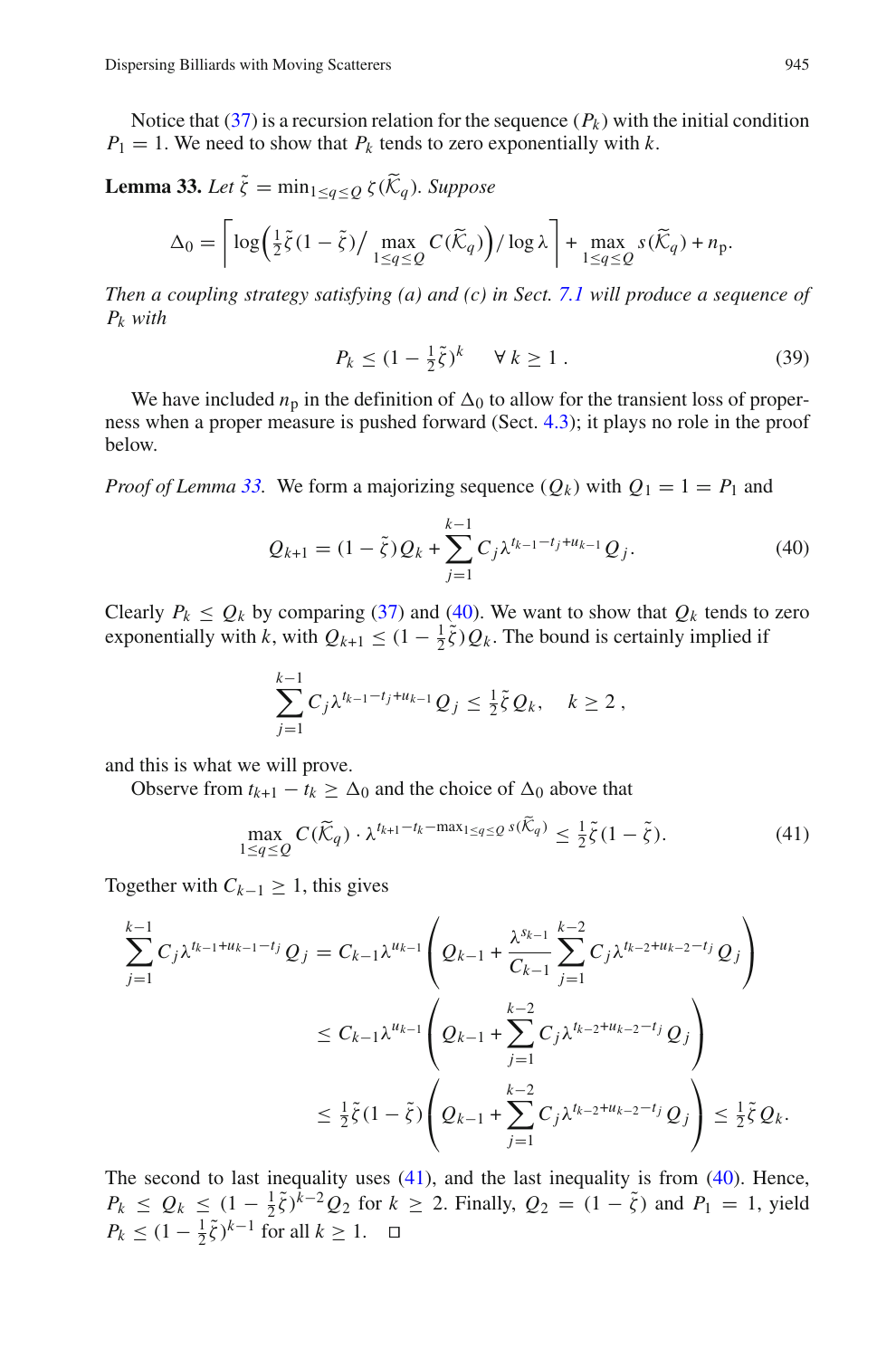<span id="page-36-0"></span>Notice that  $(37)$  is a recursion relation for the sequence  $(P_k)$  with the initial condition  $P_1 = 1$ . We need to show that  $P_k$  tends to zero exponentially with  $k$ .

**Lemma 33.** *Let*  $\tilde{\zeta} = \min_{1 \leq q \leq O} \zeta(\tilde{\mathcal{K}}_q)$ *. Suppose* 

$$
\Delta_0 = \left\lceil \log \left( \frac{1}{2} \tilde{\zeta} (1 - \tilde{\zeta}) / \max_{1 \le q \le Q} C(\widetilde{\mathcal{K}}_q) \right) / \log \lambda \right\rceil + \max_{1 \le q \le Q} s(\widetilde{\mathcal{K}}_q) + n_p.
$$

*Then a coupling strategy satisfying (a) and (c) in Sect. [7.1](#page-34-1) will produce a sequence of Pk with*

$$
P_k \le (1 - \frac{1}{2}\tilde{\zeta})^k \quad \forall \, k \ge 1 \,. \tag{39}
$$

<span id="page-36-3"></span>We have included  $n<sub>p</sub>$  in the definition of  $\Delta_0$  to allow for the transient loss of properness when a proper measure is pushed forward (Sect. [4.3\)](#page-15-1); it plays no role in the proof below.

<span id="page-36-1"></span>*Proof of Lemma* [33.](#page-36-0) We form a majorizing sequence  $(Q_k)$  with  $Q_1 = 1 = P_1$  and

$$
Q_{k+1} = (1 - \tilde{\zeta})Q_k + \sum_{j=1}^{k-1} C_j \lambda^{t_{k-1} - t_j + u_{k-1}} Q_j.
$$
 (40)

Clearly  $P_k \leq Q_k$  by comparing [\(37\)](#page-35-2) and [\(40\)](#page-36-1). We want to show that  $Q_k$  tends to zero exponentially with *k*, with  $Q_{k+1} \leq (1 - \frac{1}{2}\tilde{\zeta})Q_k$ . The bound is certainly implied if

$$
\sum_{j=1}^{k-1} C_j \lambda^{t_{k-1}-t_j+u_{k-1}} Q_j \leq \frac{1}{2} \tilde{\zeta} Q_k, \quad k \geq 2,
$$

and this is what we will prove.

Observe from  $t_{k+1} - t_k \ge \Delta_0$  and the choice of  $\Delta_0$  above that

$$
\max_{1 \le q \le Q} C(\widetilde{\mathcal{K}}_q) \cdot \lambda^{t_{k+1} - t_k - \max_{1 \le q \le Q} s(\widetilde{\mathcal{K}}_q)} \le \frac{1}{2} \widetilde{\zeta} (1 - \widetilde{\zeta}). \tag{41}
$$

<span id="page-36-2"></span>Together with  $C_{k-1} \geq 1$ , this gives

$$
\sum_{j=1}^{k-1} C_j \lambda^{t_{k-1}+u_{k-1}-t_j} Q_j = C_{k-1} \lambda^{u_{k-1}} \left( Q_{k-1} + \frac{\lambda^{s_{k-1}}}{C_{k-1}} \sum_{j=1}^{k-2} C_j \lambda^{t_{k-2}+u_{k-2}-t_j} Q_j \right)
$$
  

$$
\leq C_{k-1} \lambda^{u_{k-1}} \left( Q_{k-1} + \sum_{j=1}^{k-2} C_j \lambda^{t_{k-2}+u_{k-2}-t_j} Q_j \right)
$$
  

$$
\leq \frac{1}{2} \tilde{\zeta} (1 - \tilde{\zeta}) \left( Q_{k-1} + \sum_{j=1}^{k-2} C_j \lambda^{t_{k-2}+u_{k-2}-t_j} Q_j \right) \leq \frac{1}{2} \tilde{\zeta} Q_k.
$$

<span id="page-36-4"></span>The second to last inequality uses  $(41)$ , and the last inequality is from  $(40)$ . Hence,  $P_k \leq Q_k \leq (1 - \frac{1}{2}\tilde{\zeta})^{\tilde{k}-2}Q_2$  for  $k \geq 2$ . Finally,  $Q_2 = (1 - \tilde{\zeta})$  and  $P_1 = 1$ , yield  $P_k$  ≤  $(1 - \frac{1}{2}\tilde{\zeta})^{k-1}$  for all  $k \ge 1$ .  $\Box$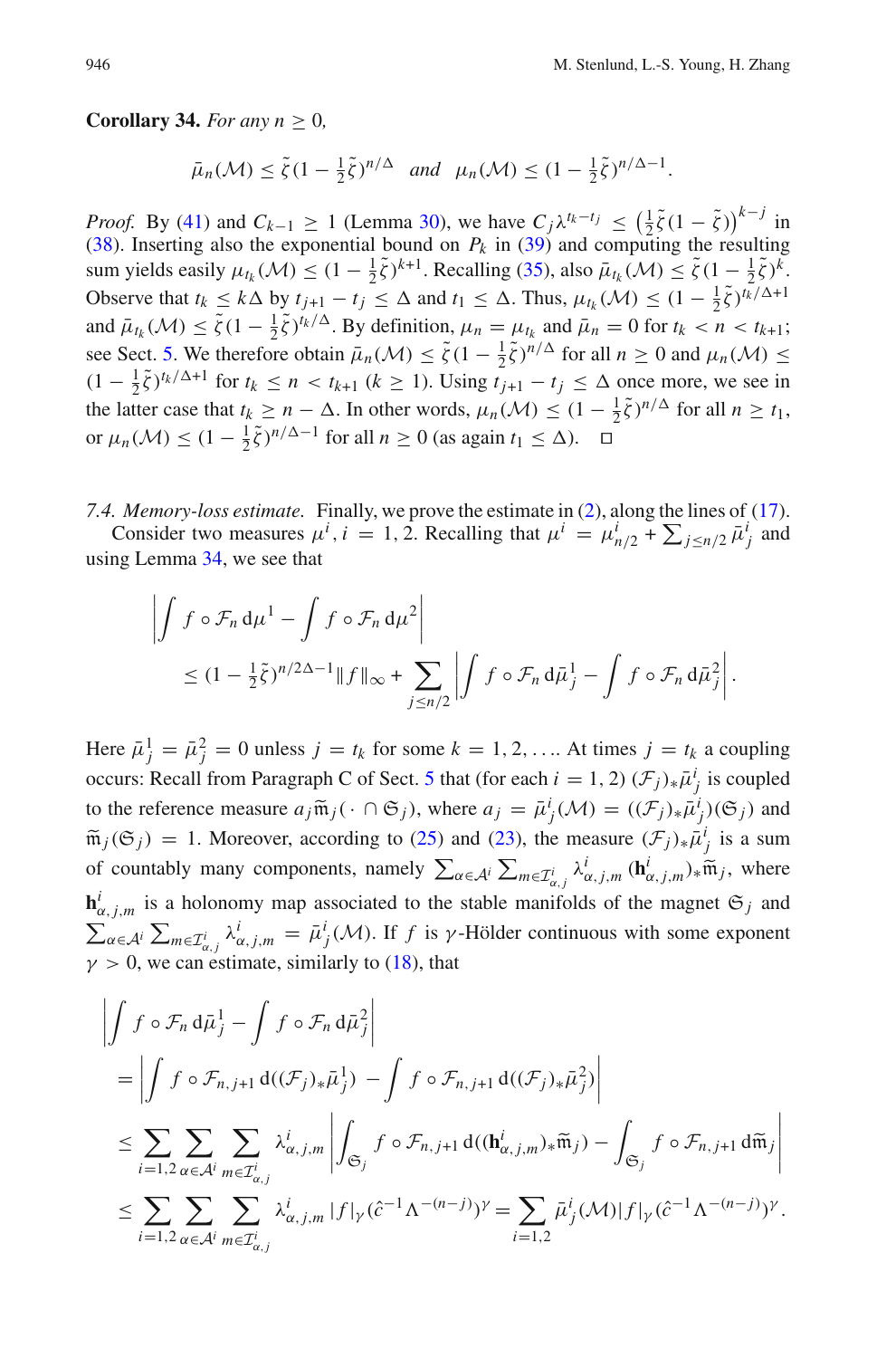**Corollary 34.** *For any n*  $> 0$ *,* 

$$
\bar{\mu}_n(\mathcal{M}) \le \tilde{\zeta} (1 - \frac{1}{2}\tilde{\zeta})^{n/\Delta} \quad \text{and} \quad \mu_n(\mathcal{M}) \le (1 - \frac{1}{2}\tilde{\zeta})^{n/\Delta - 1}.
$$

*Proof.* By [\(41\)](#page-36-2) and  $C_{k-1} \ge 1$  (Lemma [30\)](#page-31-0), we have  $C_j \lambda^{t_k-t_j} \le (\frac{1}{2}\tilde{\zeta}(1-\tilde{\zeta}))^{k-j}$  in [\(38\)](#page-35-3). Inserting also the exponential bound on  $P_k$  in [\(39\)](#page-36-3) and computing the resulting sum yields easily  $\mu_{t_k}(\mathcal{M}) \leq (1 - \frac{1}{2}\tilde{\zeta})^{k+1}$ . Recalling [\(35\)](#page-35-4), also  $\bar{\mu}_{t_k}(\mathcal{M}) \leq \tilde{\zeta}(1 - \frac{1}{2}\tilde{\zeta})^k$ . Observe that  $t_k \leq k \Delta$  by  $t_{j+1} - t_j \leq \Delta$  and  $t_1 \leq \Delta$ . Thus,  $\mu_{t_k}(\mathcal{M}) \leq (1 - \frac{1}{2}\tilde{\zeta})^{t_k/\Delta + 1}$ and  $\bar{\mu}_{t_k}(\mathcal{M}) \le \tilde{\zeta}(1 - \frac{1}{2}\tilde{\zeta})^{t_k/\Delta}$ . By definition,  $\mu_n = \mu_{t_k}$  and  $\bar{\mu}_n = 0$  for  $t_k < n < t_{k+1}$ ; see Sect. [5.](#page-19-0) We therefore obtain  $\bar{\mu}_n(\mathcal{M}) \le \tilde{\zeta}(1 - \frac{1}{2}\tilde{\zeta})^{n/\Delta}$  for all  $n \ge 0$  and  $\mu_n(\mathcal{M}) \le$  $(1 - \frac{1}{2}\tilde{\zeta})^{t_k/\Delta+1}$  for  $t_k \le n < t_{k+1}$  ( $k \ge 1$ ). Using  $t_{j+1} - t_j \le \Delta$  once more, we see in the latter case that  $t_k \ge n - \Delta$ . In other words,  $\mu_n(\mathcal{M}) \le (1 - \frac{1}{2}\tilde{\zeta})^{n/\Delta}$  for all  $n \ge t_1$ , or  $\mu_n(\mathcal{M}) \le (1 - \frac{1}{2}\tilde{\zeta})^{n/\Delta - 1}$  for all  $n \ge 0$  (as again  $t_1 \le \Delta$ ).  $\Box$ 

*7.4. Memory-loss estimate.* Finally, we prove the estimate in [\(2\)](#page-8-2), along the lines of [\(17\)](#page-19-1). Consider two measures  $\mu^i$ ,  $i = 1, 2$ . Recalling that  $\mu^i = \mu^i_{n/2} + \sum_{j \leq n/2} \bar{\mu}^i_j$  and using Lemma [34,](#page-36-4) we see that

$$
\left| \int f \circ \mathcal{F}_n \, \mathrm{d}\mu^1 - \int f \circ \mathcal{F}_n \, \mathrm{d}\mu^2 \right|
$$
  
 
$$
\leq (1 - \frac{1}{2}\tilde{\zeta})^{n/2\Delta - 1} \|f\|_{\infty} + \sum_{j \leq n/2} \left| \int f \circ \mathcal{F}_n \, \mathrm{d}\bar{\mu}_j^1 - \int f \circ \mathcal{F}_n \, \mathrm{d}\bar{\mu}_j^2 \right|.
$$

Here  $\bar{\mu}_j^1 = \bar{\mu}_j^2 = 0$  unless  $j = t_k$  for some  $k = 1, 2, \dots$  At times  $j = t_k$  a coupling occurs: Recall from Paragraph C of Sect. [5](#page-19-0) that (for each  $i = 1, 2$ )  $(\mathcal{F}_j)_* \bar{\mu}_j^i$  is coupled to the reference measure  $a_j \widetilde{\mathfrak{m}}_j \cdot ( \cdot \cap \mathfrak{S}_j )$ , where  $a_j = \overline{\mu}_j^i(\mathcal{M}) = ((\mathcal{F}_j)_* \overline{\mu}_j^i)(\mathfrak{S}_j)$  and  $\widetilde{\mathfrak{m}}_j(\mathfrak{S}_j) = \overline{\mu}_j^i(\mathfrak{S}_j)$  $\widetilde{m}_j(\mathfrak{S}_j) = 1$ . Moreover, according to [\(25\)](#page-23-0) and [\(23\)](#page-22-3), the measure  $(\mathcal{F}_j)_*\overline{\mu}_j^i$  is a sum of countably many components, namely  $\sum_{\alpha \in A^i} \sum_{m \in \mathcal{I}_{\alpha,j}^i} \lambda_{\alpha,j,m}^i (\mathbf{h}_{\alpha,j,m}^i)_* \widetilde{\mathfrak{m}}_j$ , where  $\mathbf{h}_{\alpha,j,m}^i$  is a holonomy map associated to the stable manifolds of the magnet  $\mathfrak{S}_j$  and  $\sum_{\alpha \in A^i} \sum_{m \in \mathcal{I}_{\alpha,j}^i} \lambda_{\alpha,j,m}^i = \bar{\mu}_j^i(\mathcal{M})$ . If *f* is *γ*-Hölder continuous with some exponent  $\gamma > 0$ , we can estimate, similarly to [\(18\)](#page-20-0), that

$$
\left| \int f \circ \mathcal{F}_n \, d\bar{\mu}_j^1 - \int f \circ \mathcal{F}_n \, d\bar{\mu}_j^2 \right|
$$
\n
$$
= \left| \int f \circ \mathcal{F}_{n,j+1} \, d((\mathcal{F}_j)_* \bar{\mu}_j^1) - \int f \circ \mathcal{F}_{n,j+1} \, d((\mathcal{F}_j)_* \bar{\mu}_j^2) \right|
$$
\n
$$
\leq \sum_{i=1,2} \sum_{\alpha \in \mathcal{A}^i} \sum_{m \in \mathcal{I}_{\alpha,j}^i} \lambda_{\alpha,j,m}^i \left| \int_{\mathfrak{S}_j} f \circ \mathcal{F}_{n,j+1} \, d((\mathbf{h}_{\alpha,j,m}^i)_* \tilde{\mathfrak{m}}_j) - \int_{\mathfrak{S}_j} f \circ \mathcal{F}_{n,j+1} \, d\tilde{\mathfrak{m}}_j \right|
$$
\n
$$
\leq \sum_{i=1,2} \sum_{\alpha \in \mathcal{A}^i} \sum_{m \in \mathcal{I}_{\alpha,j}^i} \lambda_{\alpha,j,m}^i \left| f \right|_{\gamma} (\hat{c}^{-1} \Lambda^{-(n-j)})^{\gamma} = \sum_{i=1,2} \bar{\mu}_j^i (\mathcal{M}) \left| f \right|_{\gamma} (\hat{c}^{-1} \Lambda^{-(n-j)})^{\gamma}.
$$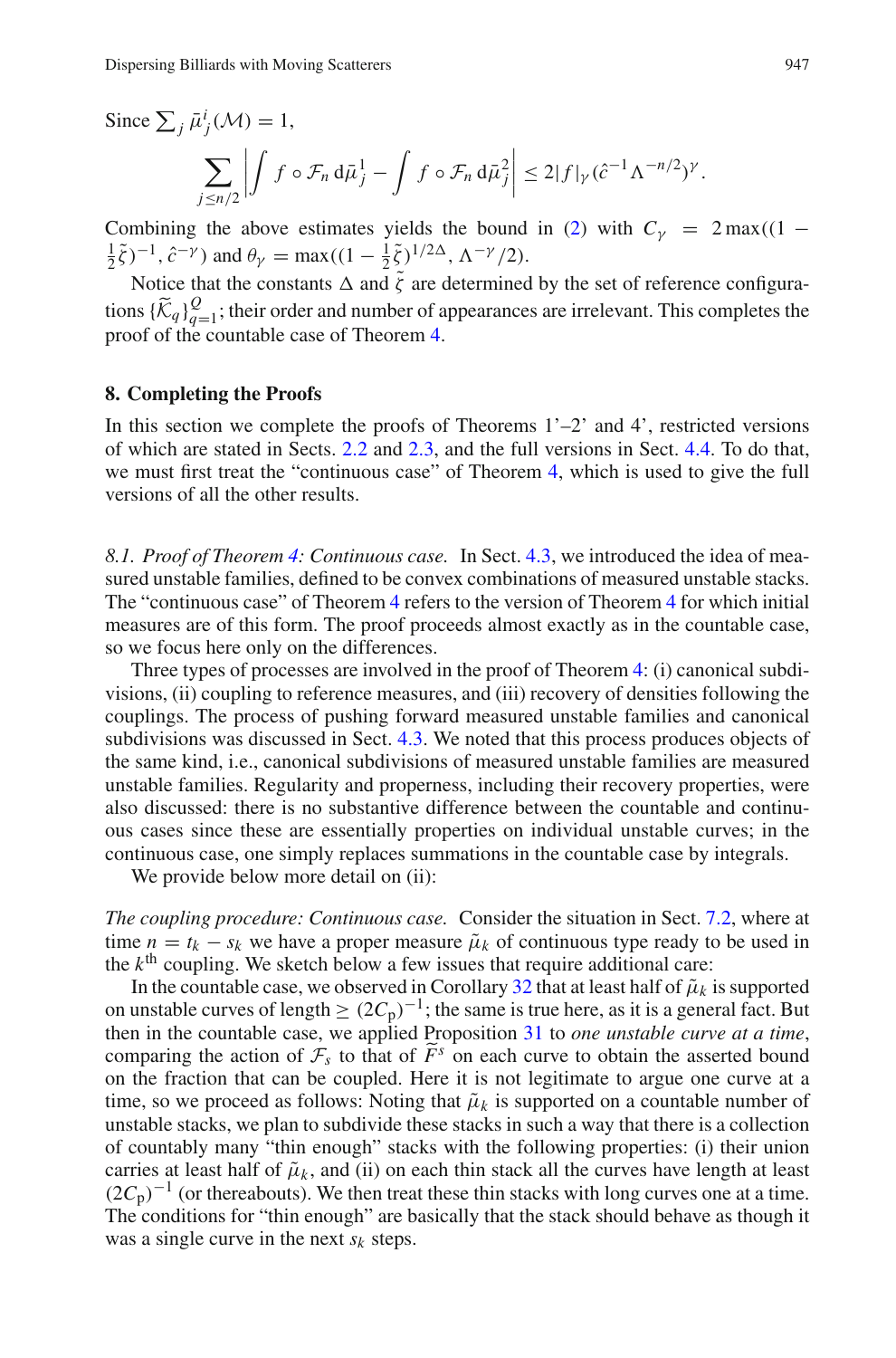Since  $\sum_j \bar{\mu}^i_j(\mathcal{M}) = 1$ ,  $\sum$ *j*≤*n*/2 |<br>|<br>|<br>|<br>|<br>|<br>|  $\int f \circ \mathcal{F}_n d\bar{\mu}_j^1 - \int f \circ \mathcal{F}_n d\bar{\mu}_j^2$  $\left| \leq 2|f|_{\gamma} (\hat{c}^{-1} \Lambda^{-n/2})^{\gamma}.$ 

Combining the above estimates yields the bound in [\(2\)](#page-8-2) with  $C<sub>V</sub> = 2 \text{ max}((1 \frac{1}{2}\tilde{\zeta}$ )<sup>-1</sup>,  $\hat{c}^{-\gamma}$ ) and  $\theta_{\gamma} = \max((1 - \frac{1}{2}\tilde{\zeta})^{1/2\Delta}, \Lambda^{-\gamma}/2)$ .

Notice that the constants  $\Delta$  and  $\tilde{\zeta}$  are determined by the set of reference configurations  $\{\widetilde{K}_q\}_{q=1}^Q$ ; their order and number of appearances are irrelevant. This completes the proof of the countable case of Theorem [4.](#page-8-0)

#### <span id="page-38-0"></span>**8. Completing the Proofs**

In this section we complete the proofs of Theorems  $1^{\prime}-2^{\prime}$  and 4', restricted versions of which are stated in Sects. [2.2](#page-5-3) and [2.3,](#page-8-3) and the full versions in Sect. [4.4.](#page-17-0) To do that, we must first treat the "continuous case" of Theorem [4,](#page-8-0) which is used to give the full versions of all the other results.

<span id="page-38-1"></span>*8.1. Proof of Theorem [4:](#page-8-0) Continuous case.* In Sect. [4.3,](#page-15-1) we introduced the idea of measured unstable families, defined to be convex combinations of measured unstable stacks. The "continuous case" of Theorem [4](#page-8-0) refers to the version of Theorem [4](#page-8-0) for which initial measures are of this form. The proof proceeds almost exactly as in the countable case, so we focus here only on the differences.

Three types of processes are involved in the proof of Theorem [4:](#page-8-0) (i) canonical subdivisions, (ii) coupling to reference measures, and (iii) recovery of densities following the couplings. The process of pushing forward measured unstable families and canonical subdivisions was discussed in Sect. [4.3.](#page-15-1) We noted that this process produces objects of the same kind, i.e., canonical subdivisions of measured unstable families are measured unstable families. Regularity and properness, including their recovery properties, were also discussed: there is no substantive difference between the countable and continuous cases since these are essentially properties on individual unstable curves; in the continuous case, one simply replaces summations in the countable case by integrals.

We provide below more detail on (ii):

*The coupling procedure: Continuous case.* Consider the situation in Sect. [7.2,](#page-35-5) where at time  $n = t_k - s_k$  we have a proper measure  $\tilde{\mu}_k$  of continuous type ready to be used in the  $k<sup>th</sup>$  coupling. We sketch below a few issues that require additional care:

In the countable case, we observed in Corollary [32](#page-33-0) that at least half of  $\tilde{\mu}_k$  is supported on unstable curves of length  $\geq (2C_p)^{-1}$ ; the same is true here, as it is a general fact. But then in the countable case, we applied Proposition [31](#page-32-0) to *one unstable curve at a time*, comparing the action of  $\mathcal{F}_s$  to that of  $\widetilde{F}^s$  on each curve to obtain the asserted bound<br>on the freedish that can be coupled. Here it is not logitimate to exame one surve at a on the fraction that can be coupled. Here it is not legitimate to argue one curve at a time, so we proceed as follows: Noting that  $\tilde{\mu}_k$  is supported on a countable number of unstable stacks, we plan to subdivide these stacks in such a way that there is a collection of countably many "thin enough" stacks with the following properties: (i) their union carries at least half of  $\tilde{\mu}_k$ , and (ii) on each thin stack all the curves have length at least  $(2C_p)^{-1}$  (or thereabouts). We then treat these thin stacks with long curves one at a time. The conditions for "thin enough" are basically that the stack should behave as though it was a single curve in the next  $s_k$  steps.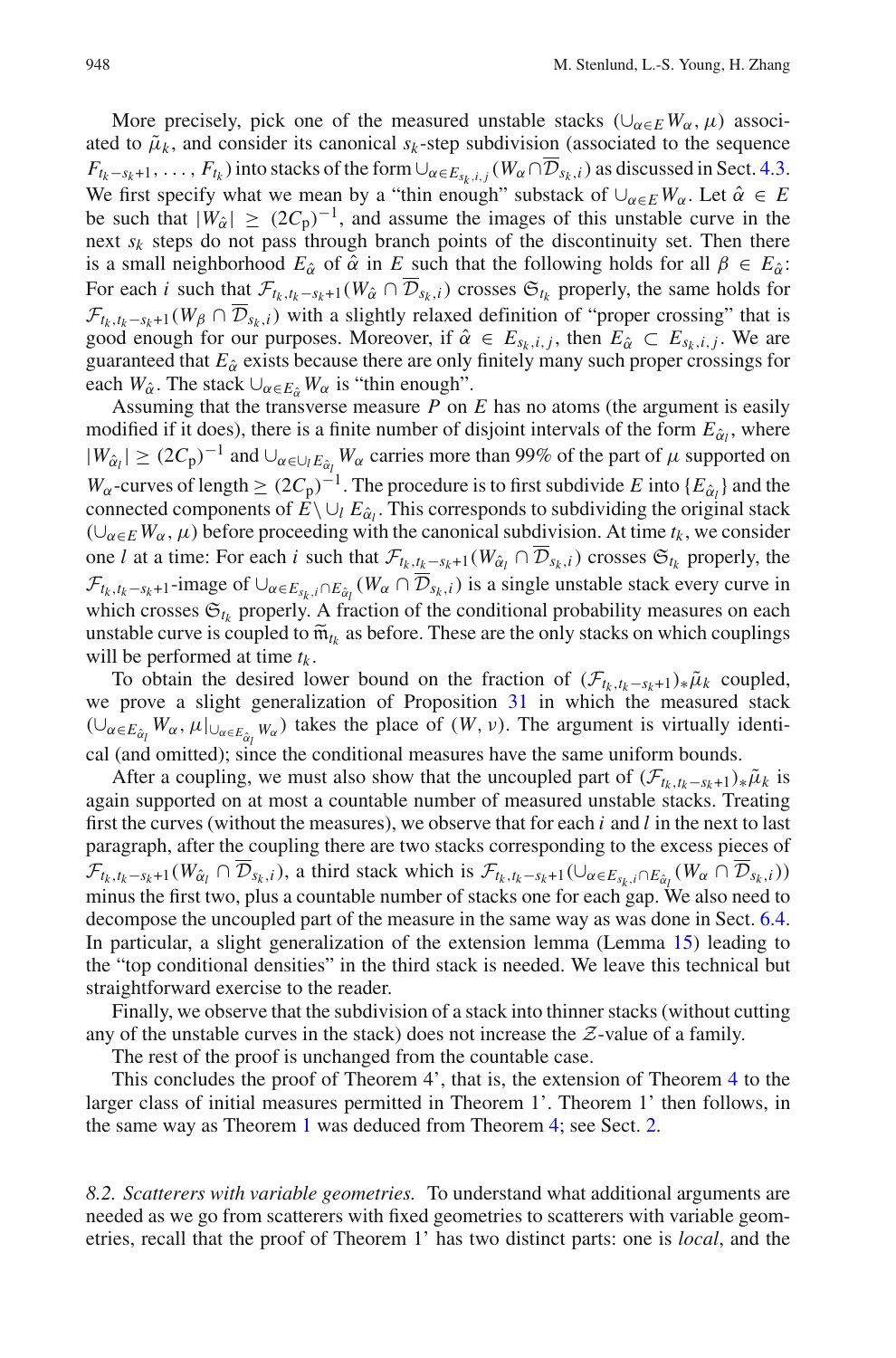More precisely, pick one of the measured unstable stacks  $(\cup_{\alpha \in E} W_{\alpha}, \mu)$  associated to  $\tilde{\mu}_k$ , and consider its canonical  $s_k$ -step subdivision (associated to the sequence  $F_{t_k-s_k+1},\ldots,F_{t_k}$  ) into stacks of the form  $\cup_{\alpha\in E_{s_k,i,j}}(W_\alpha\cap\overline{\mathcal{D}}_{s_k,i})$  as discussed in Sect. [4.3.](#page-15-1) We first specify what we mean by a "thin enough" substack of  $\bigcup_{\alpha \in E} W_{\alpha}$ . Let  $\hat{\alpha} \in E$ be such that  $|W_0\rangle \geq (2C_p)^{-1}$ , and assume the images of this unstable curve in the next  $s_k$  steps do not pass through branch points of the discontinuity set. Then there is a small neighborhood  $E_{\hat{\alpha}}$  of  $\hat{\alpha}$  in *E* such that the following holds for all  $\beta \in E_{\hat{\alpha}}$ : For each *i* such that  $\mathcal{F}_{t_k,t_k-s_k+1}(W_{\hat{\alpha}} \cap \overline{\mathcal{D}}_{s_k,i})$  crosses  $\mathfrak{S}_{t_k}$  properly, the same holds for  $\mathcal{F}_{t_k,t_k-s_k+1}(W_\beta \cap \overline{\mathcal{D}}_{s_k,i})$  with a slightly relaxed definition of "proper crossing" that is good enough for our purposes. Moreover, if  $\hat{\alpha} \in E_{s_k, i, j}$ , then  $E_{\hat{\alpha}} \subset E_{s_k, i, j}$ . We are guaranteed that  $E_{\hat{\alpha}}$  exists because there are only finitely many such proper crossings for each  $W_{\hat{\alpha}}$ . The stack  $\cup_{\alpha \in E_{\hat{\alpha}}} W_{\alpha}$  is "thin enough".

Assuming that the transverse measure *P* on *E* has no atoms (the argument is easily modified if it does), there is a finite number of disjoint intervals of the form  $E_{\hat{\alpha}_l}$ , where  $|W_{\hat{\alpha}_l}|$  ≥  $(2C_p)^{-1}$  and  $\cup_{\alpha \in \cup_l E_{\hat{\alpha}_l}} W_\alpha$  carries more than 99% of the part of  $\mu$  supported on *W*<sub>α</sub>-curves of length  $\geq (2C_p)^{-1}$ . The procedure is to first subdivide *E* into {*E*<sub>α</sub><sup>*l*</sup>} and the connected components of  $E \setminus \cup_l E_{\hat{\alpha}_l}$ . This corresponds to subdividing the original stack  $(\cup_{\alpha \in E} W_{\alpha}, \mu)$  before proceeding with the canonical subdivision. At time  $t_k$ , we consider one *l* at a time: For each *i* such that  $\mathcal{F}_{t_k,t_k-s_k+1}(W_{\hat{\alpha}_l} \cap \overline{\mathcal{D}}_{s_k,i})$  crosses  $\mathfrak{S}_{t_k}$  properly, the  $\mathcal{F}_{t_k,t_k-s_k+1}$ -image of  $\cup_{\alpha \in E_{s_k,i} \cap E_{\hat{\alpha}_l}} (W_\alpha \cap \mathcal{D}_{s_k,i})$  is a single unstable stack every curve in which crosses  $\mathfrak{S}_{t_k}$  properly. A fraction of the conditional probability measures on each unstable curve is coupled to  $\widetilde{m}_{t_k}$  as before. These are the only stacks on which couplings will be performed at time *tk* .

To obtain the desired lower bound on the fraction of  $(\mathcal{F}_{t_k,t_k-s_k+1})_*\tilde{\mu}_k$  coupled, we prove a slight generalization of Proposition [31](#page-32-0) in which the measured stack  $(\cup_{\alpha \in E_{\hat{\alpha}_l}} W_\alpha, \mu|_{\cup_{\alpha \in E_{\hat{\alpha}_l}} W_\alpha})$  takes the place of  $(W, \nu)$ . The argument is virtually identical (and omitted); since the conditional measures have the same uniform bounds.

After a coupling, we must also show that the uncoupled part of  $(\mathcal{F}_{t_k,t_k-s_k+1})_*\tilde{\mu}_k$  is again supported on at most a countable number of measured unstable stacks. Treating first the curves (without the measures), we observe that for each *i* and *l* in the next to last paragraph, after the coupling there are two stacks corresponding to the excess pieces of  $\mathcal{F}_{t_k,t_k-s_k+1}(W_{\hat{\alpha}_l} \cap \overline{\mathcal{D}}_{s_k,i}),$  a third stack which is  $\mathcal{F}_{t_k,t_k-s_k+1}(\cup_{\alpha \in E_{s_k,i} \cap E_{\hat{\alpha}_l}}(W_{\alpha} \cap \overline{\mathcal{D}}_{s_k,i}))$ minus the first two, plus a countable number of stacks one for each gap. We also need to decompose the uncoupled part of the measure in the same way as was done in Sect. [6.4.](#page-29-3) In particular, a slight generalization of the extension lemma (Lemma [15\)](#page-15-2) leading to the "top conditional densities" in the third stack is needed. We leave this technical but straightforward exercise to the reader.

Finally, we observe that the subdivision of a stack into thinner stacks (without cutting any of the unstable curves in the stack) does not increase the *Z*-value of a family.

The rest of the proof is unchanged from the countable case.

This concludes the proof of Theorem 4', that is, the extension of Theorem [4](#page-8-0) to the larger class of initial measures permitted in Theorem 1'. Theorem 1' then follows, in the same way as Theorem [1](#page-5-0) was deduced from Theorem [4;](#page-8-0) see Sect. [2.](#page-3-0)

<span id="page-39-0"></span>*8.2. Scatterers with variable geometries.* To understand what additional arguments are needed as we go from scatterers with fixed geometries to scatterers with variable geometries, recall that the proof of Theorem 1' has two distinct parts: one is *local*, and the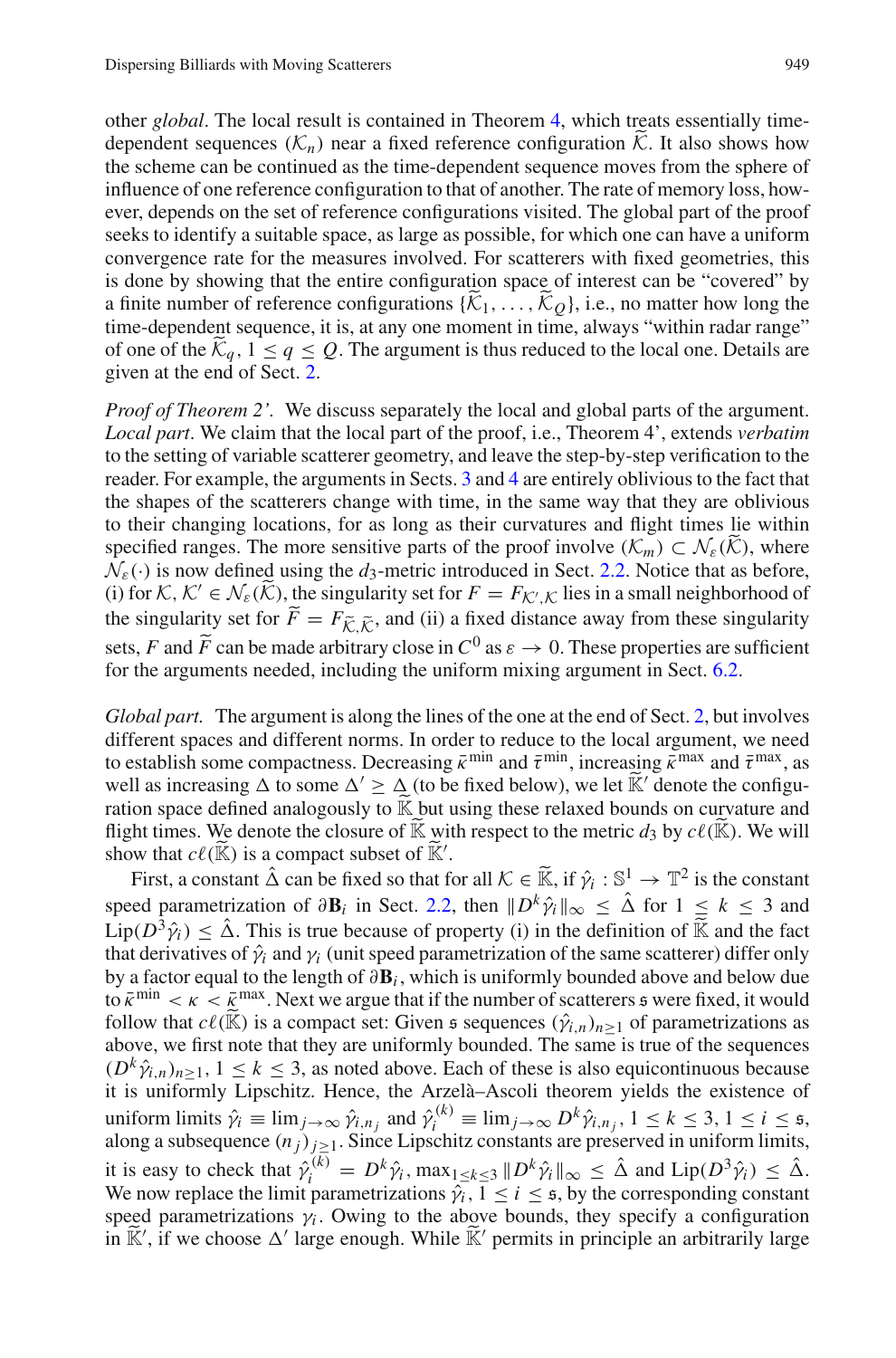other *global*. The local result is contained in Theorem [4,](#page-8-0) which treats essentially timedependent sequences  $(K_n)$  near a fixed reference configuration  $\tilde{K}$ . It also shows how the scheme can be continued as the time-dependent sequence moves from the sphere of influence of one reference configuration to that of another. The rate of memory loss, however, depends on the set of reference configurations visited. The global part of the proof seeks to identify a suitable space, as large as possible, for which one can have a uniform convergence rate for the measures involved. For scatterers with fixed geometries, this is done by showing that the entire configuration space of interest can be "covered" by a finite number of reference configurations  $\{\tilde{\mathcal{K}}_1,\ldots,\tilde{\mathcal{K}}_O\}$ , i.e., no matter how long the time-dependent sequence, it is, at any one moment in time, always "within radar range" of one of the  $\mathcal{K}_q$ ,  $1 \le q \le Q$ . The argument is thus reduced to the local one. Details are given at the end of Sect. [2.](#page-3-0)

*Proof of Theorem 2'.* We discuss separately the local and global parts of the argument. *Local part*. We claim that the local part of the proof, i.e., Theorem 4', extends *verbatim* to the setting of variable scatterer geometry, and leave the step-by-step verification to the reader. For example, the arguments in Sects. [3](#page-9-0) and [4](#page-13-0) are entirely oblivious to the fact that the shapes of the scatterers change with time, in the same way that they are oblivious to their changing locations, for as long as their curvatures and flight times lie within specified ranges. The more sensitive parts of the proof involve  $(\mathcal{K}_m) \subset \mathcal{N}_{\varepsilon}(\mathcal{K})$ , where  $\mathcal{N}_{\varepsilon}(\cdot)$  is now defined using the  $d_3$ -metric introduced in Sect. [2.2.](#page-5-3) Notice that as before, (i) for  $K, K' \in \mathcal{N}_{\varepsilon}(\widetilde{K})$ , the singularity set for  $F = F_{\mathcal{K}',\mathcal{K}}$  lies in a small neighborhood of the singularity set for  $F = F_{\tilde{\mathcal{K}}, \tilde{\mathcal{K}}}$ , and (ii) a fixed distance away from these singularity sets, *F* and  $\tilde{F}$  can be made arbitrary close in  $C^0$  as  $\varepsilon \to 0$ . These properties are sufficient for the examents peodod, including the uniform mixing exament in Sect. 6.2. for the arguments needed, including the uniform mixing argument in Sect. [6.2.](#page-27-1)

*Global part.* The argument is along the lines of the one at the end of Sect. [2,](#page-3-0) but involves different spaces and different norms. In order to reduce to the local argument, we need to establish some compactness. Decreasing  $\bar{k}^{\min}$  and  $\bar{\tau}^{\min}$ , increasing  $\bar{k}^{\max}$  and  $\bar{\tau}^{\max}$ , as well as increasing  $\Delta$  to some  $\Delta' \geq \Delta$  (to be fixed below), we let  $\mathbb{K}'$  denote the configuration space defined analogously to <sup>K</sup> but using these relaxed bounds on curvature and flight times. We denote the closure of  $\tilde{\mathbb{K}}$  with respect to the metric  $d_3$  by  $c\ell(\tilde{\mathbb{K}})$ . We will show that  $c\ell(\mathbb{K})$  is a compact subset of  $\mathbb{K}'$ .

First, a constant  $\hat{\Delta}$  can be fixed so that for all  $\mathcal{K} \in \widetilde{\mathbb{K}}$ , if  $\hat{\gamma}_i : \mathbb{S}^1 \to \mathbb{T}^2$  is the constant speed parametrization of  $\partial \mathbf{B}_i$  in Sect. [2.2,](#page-5-3) then  $||D^k \hat{\gamma}_i||_{\infty} \leq \hat{\Delta}$  for  $1 \leq k \leq 3$  and  $\text{Lip}(D^3\hat{\gamma}_i) \leq \hat{\Delta}$ . This is true because of property (i) in the definition of  $\tilde{\mathbb{K}}$  and the fact that derivatives of  $\hat{\gamma}_i$  and  $\gamma_i$  (unit speed parametrization of the same scatterer) differ only by a factor equal to the length of ∂**B***<sup>i</sup>* , which is uniformly bounded above and below due to  $\bar{k}^{\min} < \kappa < \bar{k}^{\max}$ . Next we argue that if the number of scatterers  $\epsilon$  were fixed, it would follow that  $c\ell(\widetilde{\mathbb{K}})$  is a compact set: Given  $\mathfrak s$  sequences  $(\hat{\gamma}_{i,n})_{n\geq 1}$  of parametrizations as above, we first note that they are uniformly bounded. The same is true of the sequences  $(D^k \hat{\gamma}_{i,n})_{n \geq 1}, 1 \leq k \leq 3$ , as noted above. Each of these is also equicontinuous because it is uniformly Lipschitz. Hence, the Arzelà–Ascoli theorem yields the existence of uniform limits  $\hat{\gamma}_i \equiv \lim_{j \to \infty} \hat{\gamma}_{i,n_j}$  and  $\hat{\gamma}_i^{(k)} \equiv \lim_{j \to \infty} D^k \hat{\gamma}_{i,n_j}$ ,  $1 \le k \le 3, 1 \le i \le 5$ , along a subsequence  $(n_j)_{j \geq 1}$ . Since Lipschitz constants are preserved in uniform limits, it is easy to check that  $\hat{\gamma}_i^{(k)} = D^k \hat{\gamma}_i$ ,  $\max_{1 \le k \le 3} ||D^k \hat{\gamma}_i||_{\infty} \le \hat{\Delta}$  and  $\text{Lip}(D^3 \hat{\gamma}_i) \le \hat{\Delta}$ . We now replace the limit parametrizations  $\hat{\gamma}_i$ ,  $1 \le i \le \pi$ , by the corresponding constant speed parametrizations  $\gamma_i$ . Owing to the above bounds, they specify a configuration in  $\tilde{\mathbb{K}}'$ , if we choose  $\Delta'$  large enough. While  $\tilde{\mathbb{K}}'$  permits in principle an arbitrarily large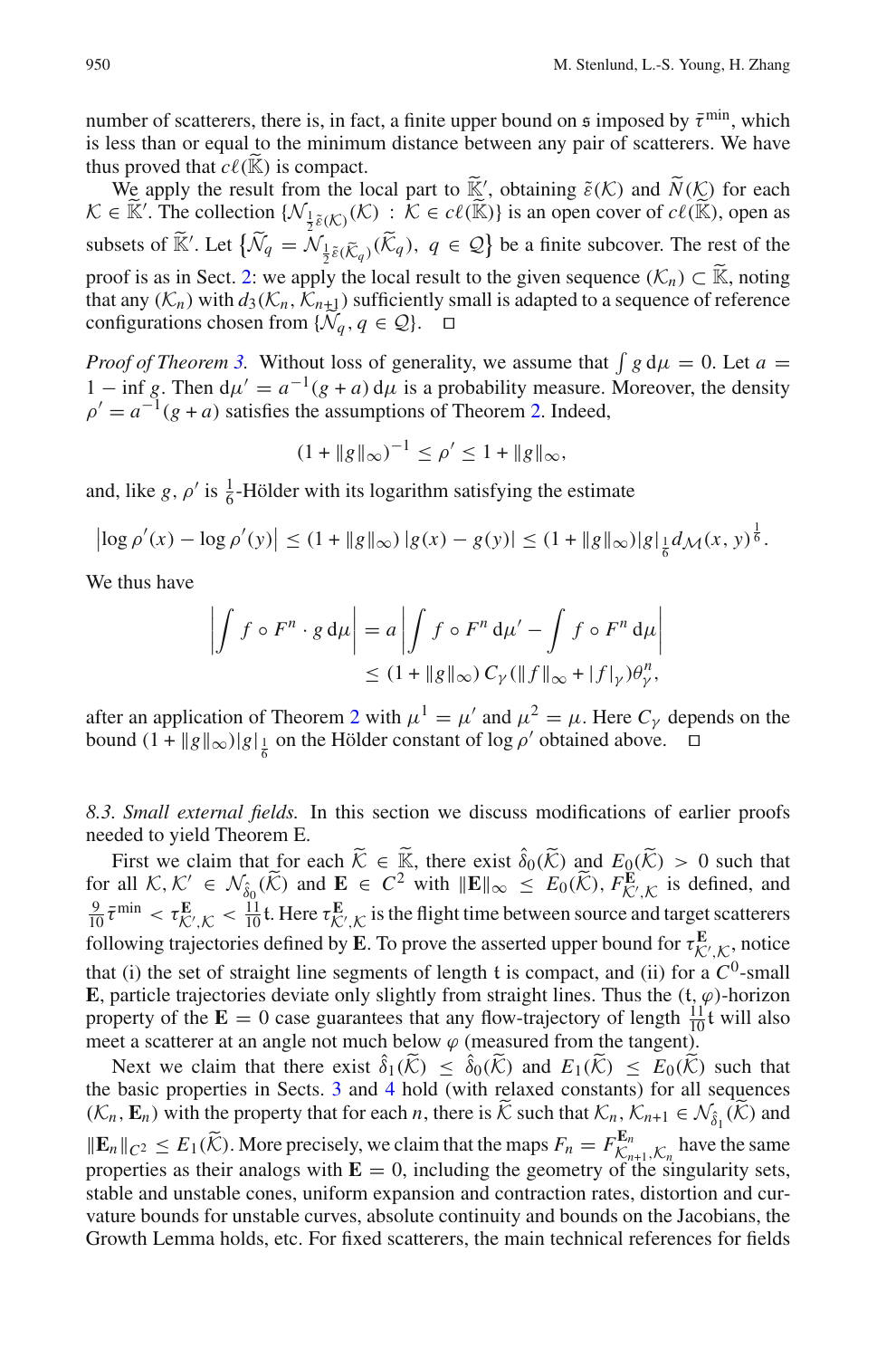number of scatterers, there is, in fact, a finite upper bound on  $\mathfrak s$  imposed by  $\bar \tau^{\min}$ , which is less than or equal to the minimum distance between any pair of scatterers. We have thus proved that  $c\ell(\tilde{\mathbb{K}})$  is compact. thus proved that  $c\ell(\widetilde{\mathbb{K}})$  is compact.

We apply the result from the local part to  $\tilde{\mathbb{K}}'$ , obtaining  $\tilde{\varepsilon}(\mathcal{K})$  and  $\tilde{N}(\mathcal{K})$  for each  $\tilde{\varepsilon}(\tilde{\mathbb{K}}')$ . The collection  $(\mathcal{K}) \times \mathcal{K} \in \mathcal{C}(\tilde{\mathbb{K}}')$  is an open cover of  $\mathcal{C}(\tilde{\mathbb{K}}')$  $K \in \widetilde{\mathbb{K}}'$ . The collection  $\{ \mathcal{N}_{\frac{1}{2}\tilde{\varepsilon}(\mathcal{K})}(\mathcal{K}) : \overline{\mathcal{K}} \in \mathcal{C}\ell(\widetilde{\mathbb{K}}) \}$  is an open cover of  $\mathcal{C}\ell(\widetilde{\mathbb{K}})$ , open as subsets of  $\widetilde{\mathbb{K}}'$ . Let  $\{\widetilde{\mathcal{N}}_q = \mathcal{N}_{\frac{1}{2}\widetilde{\mathcal{E}}(\widetilde{\mathcal{K}}_q)}(\widetilde{\mathcal{K}}_q), q \in \mathcal{Q}\}\$  be a finite subcover. The rest of the proof is as in Sect. [2:](#page-3-0) we apply the local result to the given sequence  $(\mathcal{K}_n) \subset \mathbb{K}$ , noting that any  $(K_n)$  with  $d_3(K_n, K_{n+1})$  sufficiently small is adapted to a sequence of reference configurations chosen from  $\{\widetilde{\mathcal{N}}_q, q \in \mathcal{Q}\}\$ .  $\Box$ 

*Proof of Theorem [3.](#page-7-0)* Without loss of generality, we assume that  $\int g d\mu = 0$ . Let  $a =$ 1 − inf *g*. Then  $d\mu' = a^{-1}(g + a) d\mu$  is a probability measure. Moreover, the density  $\rho' = a^{-1}(g + a)$  satisfies the assumptions of Theorem [2.](#page-6-1) Indeed,

$$
(1 + \|g\|_{\infty})^{-1} \le \rho' \le 1 + \|g\|_{\infty},
$$

and, like *g*,  $\rho'$  is  $\frac{1}{6}$ -Hölder with its logarithm satisfying the estimate

$$
\left|\log \rho'(x) - \log \rho'(y)\right| \le (1 + \|g\|_{\infty})\,|g(x) - g(y)| \le (1 + \|g\|_{\infty})|g|_{\frac{1}{6}}d_{\mathcal{M}}(x, y)^{\frac{1}{6}}.
$$

We thus have

$$
\left| \int f \circ F^n \cdot g \, d\mu \right| = a \left| \int f \circ F^n \, d\mu' - \int f \circ F^n \, d\mu \right|
$$
  

$$
\leq (1 + \|g\|_{\infty}) C_{\gamma} (\|f\|_{\infty} + |f|_{\gamma}) \theta_{\gamma}^n,
$$

after an application of Theorem [2](#page-6-1) with  $\mu^1 = \mu'$  and  $\mu^2 = \mu$ . Here  $C_\gamma$  depends on the bound  $(1 + ||g||_{\infty})|g|_{\frac{1}{6}}$  on the Hölder constant of log  $\rho'$  obtained above.

<span id="page-41-0"></span>*8.3. Small external fields.* In this section we discuss modifications of earlier proofs needed to yield Theorem E.

First we claim that for each  $\widetilde{K} \in \widetilde{\mathbb{K}}$ , there exist  $\widehat{\delta}_0(\widetilde{K})$  and  $E_0(\widetilde{K}) > 0$  such that for all  $K, K' \in \mathcal{N}_{\delta_0}(\widetilde{K})$  and  $\mathbf{E} \in C^2$  with  $\|\mathbf{E}\|_{\infty} \leq E_0(\widetilde{K}), F_{\mathcal{K}',\mathcal{K}}^{\mathbf{E}}$  is defined, and  $\frac{9}{10} \bar{\tau}^{\min} < \tau^{\mathbf{E}}_{\mathcal{K}',\mathcal{K}} < \frac{11}{10} \mathbf{t}$ . Here  $\tau^{\mathbf{E}}_{\mathcal{K}',\mathcal{K}}$  is the flight time between source and target scatterers following trajectories defined by **E**. To prove the asserted upper bound for  $\tau_{\mathcal{K}',\mathcal{K}}^{\mathbf{E}}$ , notice that (i) the set of straight line segments of length  $t$  is compact, and (ii) for a  $C^0$ -small **E**, particle trajectories deviate only slightly from straight lines. Thus the  $(t, \varphi)$ -horizon property of the  $\mathbf{E} = 0$  case guarantees that any flow-trajectory of length  $\frac{11}{10}$ t will also meet a scatterer at an angle not much below  $\varphi$  (measured from the tangent).

Next we claim that there exist  $\hat{\delta}_1(\tilde{K}) \leq \hat{\delta}_0(\tilde{K})$  and  $E_1(\tilde{K}) \leq E_0(\tilde{K})$  such that have a properties in Sector 3 and 4 hald (with relayed constants) for all conveniences the basic properties in Sects. [3](#page-9-0) and [4](#page-13-0) hold (with relaxed constants) for all sequences  $(K_n, \mathbf{E}_n)$  with the property that for each *n*, there is  $K$  such that  $K_n$ ,  $K_{n+1} \in \mathcal{N}_{\hat{\delta}_1}(K)$  and  $\|\mathbf{E}_n\|_{C^2} \le E_1(\tilde{\mathcal{K}})$ . More precisely, we claim that the maps  $F_n = F_{\mathcal{K}_{n+1},\mathcal{K}_n}^{\mathbf{E}_n}$  have the same properties as their analogs with  $\mathbf{E} = 0$ , including the geometry of the singularity sets, stable and unstable cones, uniform expansion and contraction rates, distortion and curvature bounds for unstable curves, absolute continuity and bounds on the Jacobians, the Growth Lemma holds, etc. For fixed scatterers, the main technical references for fields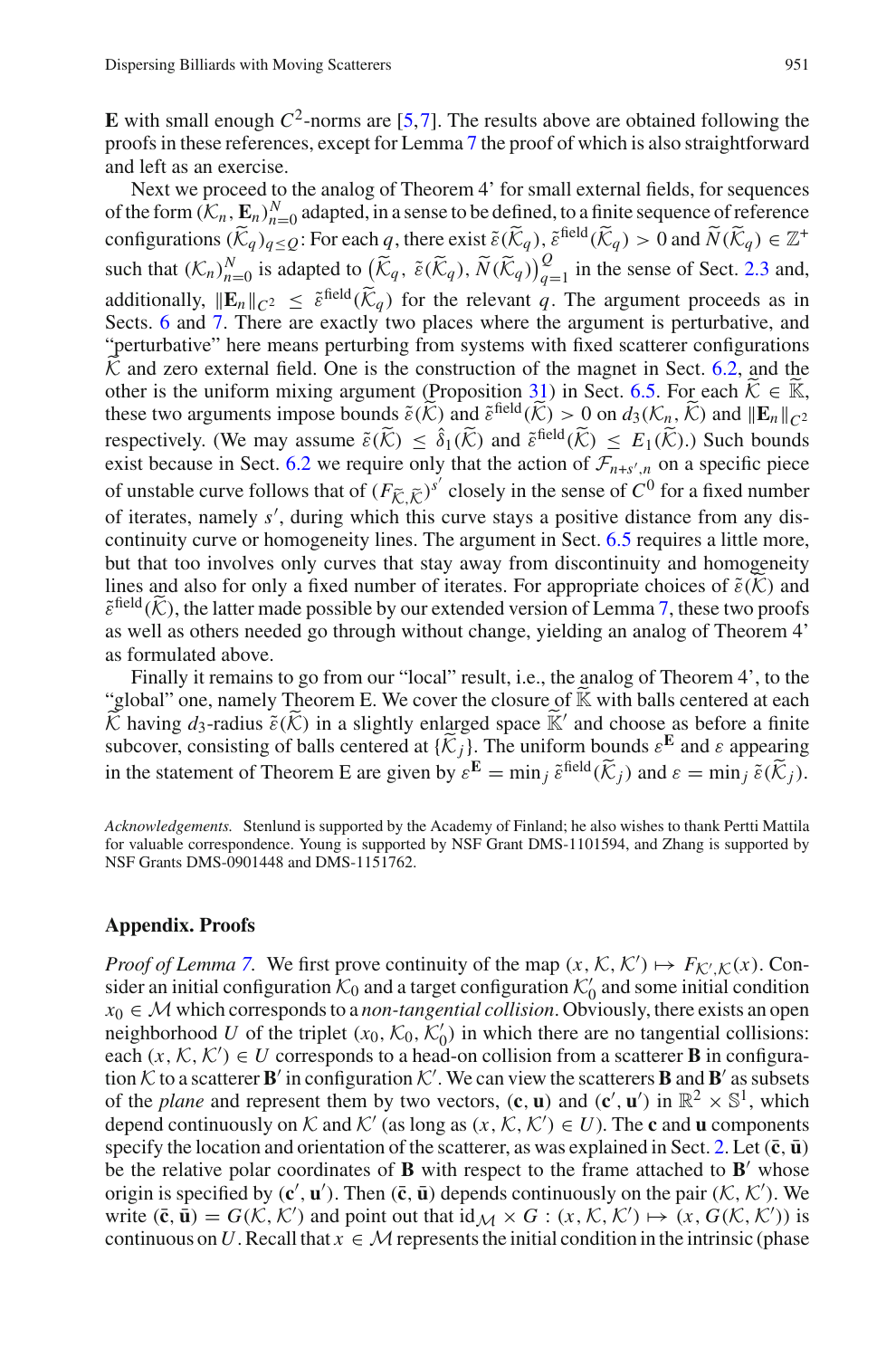**E** with small enough  $C^2$ -norms are [\[5](#page-45-5)[,7](#page-45-6)]. The results above are obtained following the proofs in these references, except for Lemma [7](#page-11-3) the proof of which is also straightforward and left as an exercise.

Next we proceed to the analog of Theorem 4' for small external fields, for sequences of the form  $(K_n, \mathbf{E}_n)_{n=0}^N$  adapted, in a sense to be defined, to a finite sequence of reference configurations  $(\widetilde{K}_q)_{q \leq Q}$ : For each *q*, there exist  $\widetilde{\varepsilon}(\widetilde{K}_q)$ ,  $\widetilde{\varepsilon}^{\text{field}}(\widetilde{K}_q) > 0$  and  $\widetilde{N}(\widetilde{K}_q) \in \mathbb{Z}^+$ such that  $(K_n)_{n=0}^N$  is adapted to  $(\widetilde{K}_q, \widetilde{\varepsilon}(\widetilde{K}_q), \widetilde{N}(\widetilde{K}_q))_{q=1}^Q$  in the sense of Sect. [2.3](#page-8-3) and, additionally,  $\|\mathbf{E}_n\|_{C^2} < \tilde{\varepsilon}^{\text{field}}(\tilde{\mathcal{K}}_q)$  for the relevant q. The argument proceeds as in Sects. [6](#page-25-0) and [7.](#page-34-0) There are exactly two places where the argument is perturbative, and "perturbative" here means perturbing from systems with fixed scatterer configurations  $\overline{K}$  and zero external field. One is the construction of the magnet in Sect. [6.2,](#page-27-1) and the other is the uniform mixing argument (Proposition [31\)](#page-32-0) in Sect. [6.5.](#page-31-1) For each  $\tilde{\mathcal{K}} \in \mathbb{K}$ , these two arguments impose bounds  $\tilde{\varepsilon}(\tilde{\mathcal{K}})$  and  $\tilde{\varepsilon}^{\text{field}}(\tilde{\mathcal{K}}) > 0$  on  $d_3(\mathcal{K}_n, \tilde{\mathcal{K}})$  and  $\|\mathbf{E}_n\|_{C^2}$ respectively. (We may assume  $\tilde{\varepsilon}(\tilde{K}) \leq \hat{\delta}_1(\tilde{K})$  and  $\tilde{\varepsilon}^{\text{field}}(\tilde{K}) \leq E_1(\tilde{K})$ .) Such bounds exist because in Sect. [6.2](#page-27-1) we require only that the action of  $\mathcal{F}_{n+s',n}$  on a specific piece of unstable curve follows that of  $(F_{\tilde{K}, \tilde{K}})^{s'}$  closely in the sense of  $C^0$  for a fixed number of iterates, nomely  $s'$ , during which this curve a term a positive distance from one disof iterates, namely *s* , during which this curve stays a positive distance from any discontinuity curve or homogeneity lines. The argument in Sect. [6.5](#page-31-1) requires a little more, but that too involves only curves that stay away from discontinuity and homogeneity lines and also for only a fixed number of iterates. For appropriate choices of  $\tilde{\varepsilon}(\mathcal{K})$  and  $\tilde{\varepsilon}^{\text{field}}(\mathcal{K})$ , the latter made possible by our extended version of Lemma [7,](#page-11-3) these two proofs as well as others needed go through without change, yielding an analog of Theorem 4' as formulated above.

Finally it remains to go from our "local" result, i.e., the analog of Theorem 4', to the "global" one, namely Theorem E. We cover the closure of  $\widetilde{K}$  with balls centered at each  $\widetilde{\mathcal{K}}$  having  $d_3$ -radius  $\widetilde{\varepsilon}(\widetilde{\mathcal{K}})$  in a slightly enlarged space  $\widetilde{\mathbb{K}}'$  and choose as before a finite subcover, consisting of balls centered at  $\{\widetilde{K}_j\}$ . The uniform bounds  $\varepsilon^{\mathbf{E}}$  and  $\varepsilon$  appearing in the statement of Theorem E are given by  $\varepsilon^{\mathbf{E}} = \min_{i} \varepsilon^{\text{field}}(\widetilde{K}_{i})$  and  $\varepsilon = \min_{i} \varepsilon(\widetilde{K}_{i}).$ 

*Acknowledgements.* Stenlund is supported by the Academy of Finland; he also wishes to thank Pertti Mattila for valuable correspondence. Young is supported by NSF Grant DMS-1101594, and Zhang is supported by NSF Grants DMS-0901448 and DMS-1151762.

#### **Appendix. Proofs**

*Proof of Lemma* [7.](#page-11-3) We first prove continuity of the map  $(x, \mathcal{K}, \mathcal{K}') \mapsto F_{\mathcal{K}', \mathcal{K}}(x)$ . Consider an initial configuration  $\mathcal{K}_0$  and a target configuration  $\mathcal{K}'_0$  and some initial condition  $x_0 \in \mathcal{M}$  which corresponds to a *non-tangential collision*. Obviously, there exists an open neighborhood *U* of the triplet  $(x_0, K_0, K'_0)$  in which there are no tangential collisions: each  $(x, K, K') \in U$  corresponds to a head-on collision from a scatterer **B** in configuration  $K$  to a scatterer **B**' in configuration  $K'$ . We can view the scatterers **B** and **B**' as subsets of the *plane* and represent them by two vectors,  $(c, u)$  and  $(c', u')$  in  $\mathbb{R}^2 \times \mathbb{S}^1$ , which depend continuously on  $K$  and  $K'$  (as long as  $(x, K, K') \in U$ ). The **c** and **u** components specify the location and orientation of the scatterer, as was explained in Sect. [2.](#page-3-0) Let  $(\bar{c}, \bar{u})$ be the relative polar coordinates of  $\bf{B}$  with respect to the frame attached to  $\bf{B}'$  whose origin is specified by  $(c', u')$ . Then  $(\bar{c}, \bar{u})$  depends continuously on the pair  $(K, K')$ . We write  $(\bar{\mathbf{c}}, \bar{\mathbf{u}}) = G(\mathcal{K}, \mathcal{K}')$  and point out that  $\mathrm{id}_{\mathcal{M}} \times G : (x, \mathcal{K}, \mathcal{K}') \mapsto (x, G(\mathcal{K}, \mathcal{K}'))$  is continuous on *U*. Recall that  $x \in M$  represents the initial condition in the intrinsic (phase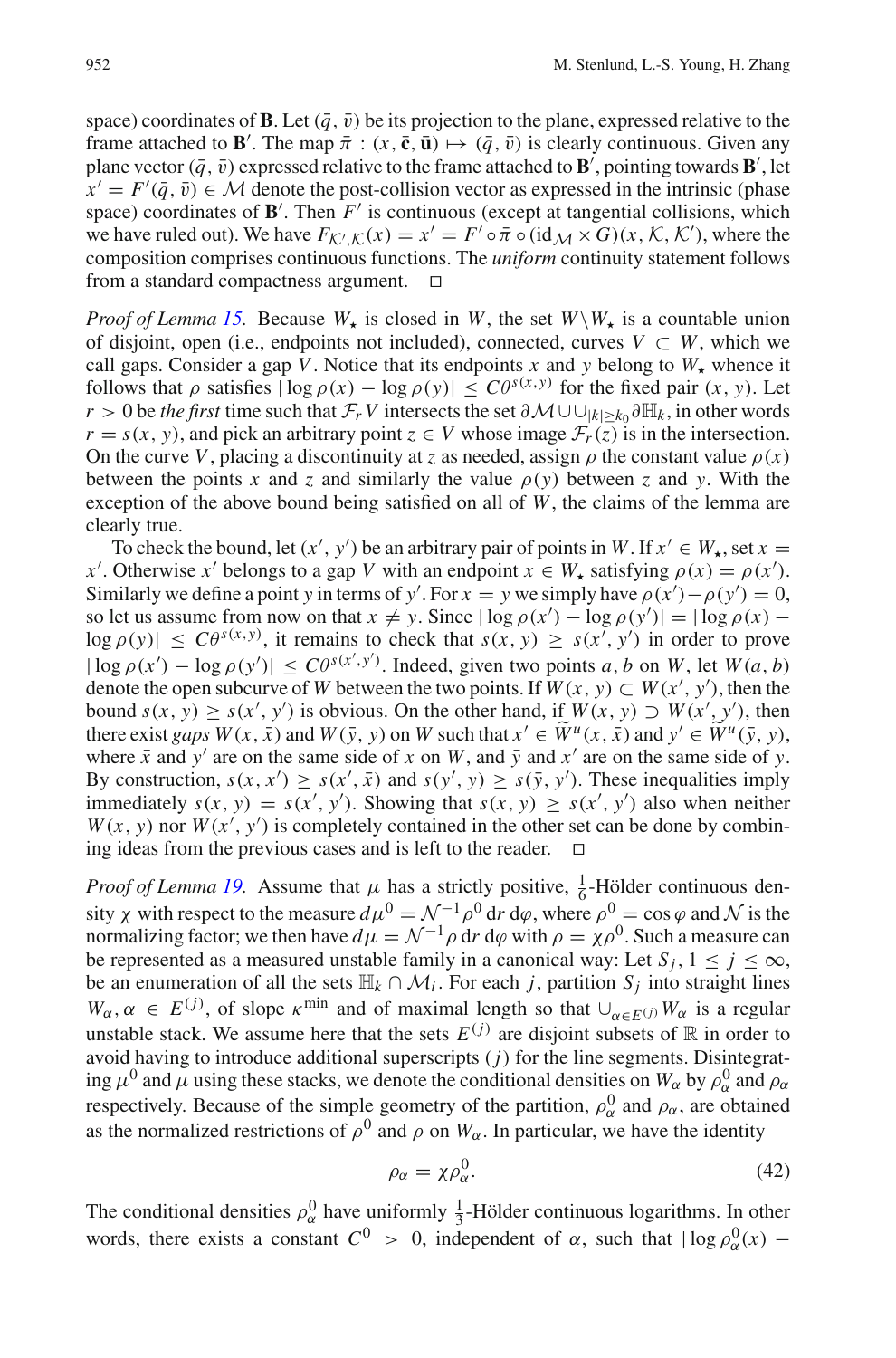space) coordinates of **B**. Let  $(\bar{q}, \bar{v})$  be its projection to the plane, expressed relative to the frame attached to **B**'. The map  $\bar{\pi}$  :  $(x, \bar{c}, \bar{u}) \mapsto (\bar{q}, \bar{v})$  is clearly continuous. Given any plane vector  $(\bar{q}, \bar{v})$  expressed relative to the frame attached to  $\mathbf{B}'$ , pointing towards  $\mathbf{B}'$ , let  $\overline{x}' = F'(\overline{q}, \overline{v}) \in M$  denote the post-collision vector as expressed in the intrinsic (phase space) coordinates of  $\mathbf{B}'$ . Then  $F'$  is continuous (except at tangential collisions, which we have ruled out). We have  $F_{\mathcal{K}',\mathcal{K}}(x) = x' = F' \circ \bar{\pi} \circ (\mathrm{id}_{\mathcal{M}} \times G)(x,\mathcal{K},\mathcal{K}')$ , where the composition comprises continuous functions. The *uniform* continuity statement follows from a standard compactness argument.  $\square$ 

*Proof of Lemma [15.](#page-15-2)* Because  $W_{\star}$  is closed in  $W$ , the set  $W \setminus W_{\star}$  is a countable union of disjoint, open (i.e., endpoints not included), connected, curves  $V \subset W$ , which we call gaps. Consider a gap *V*. Notice that its endpoints *x* and *y* belong to  $W_{\star}$  whence it follows that  $\rho$  satisfies  $|\log \rho(x) - \log \rho(y)| \leq C\theta^{s(x,y)}$  for the fixed pair  $(x, y)$ . Let *r* > 0 be *the first* time such that  $\mathcal{F}_r$  *V* intersects the set  $\partial \mathcal{M} \cup \bigcup_{|k|>k_0} \partial \mathbb{H}_k$ , in other words  $r = s(x, y)$ , and pick an arbitrary point  $z \in V$  whose image  $\mathcal{F}_r(z)$  is in the intersection. On the curve *V*, placing a discontinuity at *z* as needed, assign  $\rho$  the constant value  $\rho(x)$ between the points x and z and similarly the value  $\rho(y)$  between z and y. With the exception of the above bound being satisfied on all of *W*, the claims of the lemma are clearly true.

To check the bound, let  $(x', y')$  be an arbitrary pair of points in *W*. If  $x' \in W_{\star}$ , set  $x =$ *x*<sup>'</sup>. Otherwise *x*<sup>'</sup> belongs to a gap *V* with an endpoint  $x \in W_*$  satisfying  $\rho(x) = \rho(x')$ . Similarly we define a point *y* in terms of *y'*. For  $x = y$  we simply have  $\rho(x') - \rho(y') = 0$ , so let us assume from now on that  $x \neq y$ . Since  $|\log \rho(x') - \log \rho(y')| = |\log \rho(x) - \rho(x')|$  $\log \rho(y) \leq C \theta^{s(x,y)}$ , it remains to check that  $s(x, y) \geq s(x', y')$  in order to prove  $|\log \rho(x') - \log \rho(y')| \leq C\theta^{s(x',y')}$ . Indeed, given two points *a*, *b* on *W*, let  $W(a, b)$ denote the open subcurve of *W* between the two points. If  $W(x, y) \subset W(x', y')$ , then the bound  $s(x, y) \ge s(x', y')$  is obvious. On the other hand, if  $W(x, y) \supset W(x', y')$ , then there exist *gaps*  $W(x, \bar{x})$  and  $W(\bar{y}, y)$  on W such that  $x' \in \widetilde{W}^u(x, \bar{x})$  and  $y' \in \widetilde{W}^u(\bar{y}, y)$ , where  $\bar{x}$  and  $y'$  are on the same side of *x* on *W*, and  $\bar{y}$  and  $x'$  are on the same side of *y*. By construction,  $s(x, x') \geq s(x', \bar{x})$  and  $s(y', y) \geq s(\bar{y}, y')$ . These inequalities imply immediately  $s(x, y) = s(x', y')$ . Showing that  $s(x, y) \geq s(x', y')$  also when neither  $W(x, y)$  nor  $W(x', y')$  is completely contained in the other set can be done by combining ideas from the previous cases and is left to the reader.  $\Box$ 

*Proof of Lemma [19.](#page-18-0)* Assume that  $\mu$  has a strictly positive,  $\frac{1}{6}$ -Hölder continuous density  $\chi$  with respect to the measure  $d\mu^0 = \mathcal{N}^{-1} \rho^0$  dr  $d\varphi$ , where  $\rho^0 = \cos \varphi$  and  $\mathcal N$  is the normalizing factor; we then have  $d\mu = \mathcal{N}^{-1}\rho$  dr d $\varphi$  with  $\rho = \chi \rho^0$ . Such a measure can be represented as a measured unstable family in a canonical way: Let  $S_i$ ,  $1 \le i \le \infty$ , be an enumeration of all the sets  $\mathbb{H}_k \cap \mathcal{M}_i$ . For each *j*, partition  $S_j$  into straight lines  $W_\alpha, \alpha \in E^{(j)}$ , of slope  $\kappa^{\min}$  and of maximal length so that  $\bigcup_{\alpha \in E^{(j)}} W_\alpha$  is a regular unstable stack. We assume here that the sets  $E^{(j)}$  are disjoint subsets of  $\mathbb R$  in order to avoid having to introduce additional superscripts (*j*) for the line segments. Disintegrating  $\mu^0$  and  $\mu$  using these stacks, we denote the conditional densities on  $W_\alpha$  by  $\rho^0_\alpha$  and  $\rho_\alpha$ respectively. Because of the simple geometry of the partition,  $\rho_{\alpha}^{0}$  and  $\rho_{\alpha}$ , are obtained as the normalized restrictions of  $\rho^0$  and  $\rho$  on  $W_\alpha$ . In particular, we have the identity

<span id="page-43-0"></span>
$$
\rho_{\alpha} = \chi \rho_{\alpha}^{0}.
$$
\n(42)

The conditional densities  $\rho_{\alpha}^0$  have uniformly  $\frac{1}{3}$ -Hölder continuous logarithms. In other words, there exists a constant  $C^0 > 0$ , independent of  $\alpha$ , such that  $|\log \rho_{\alpha}^0(x) -$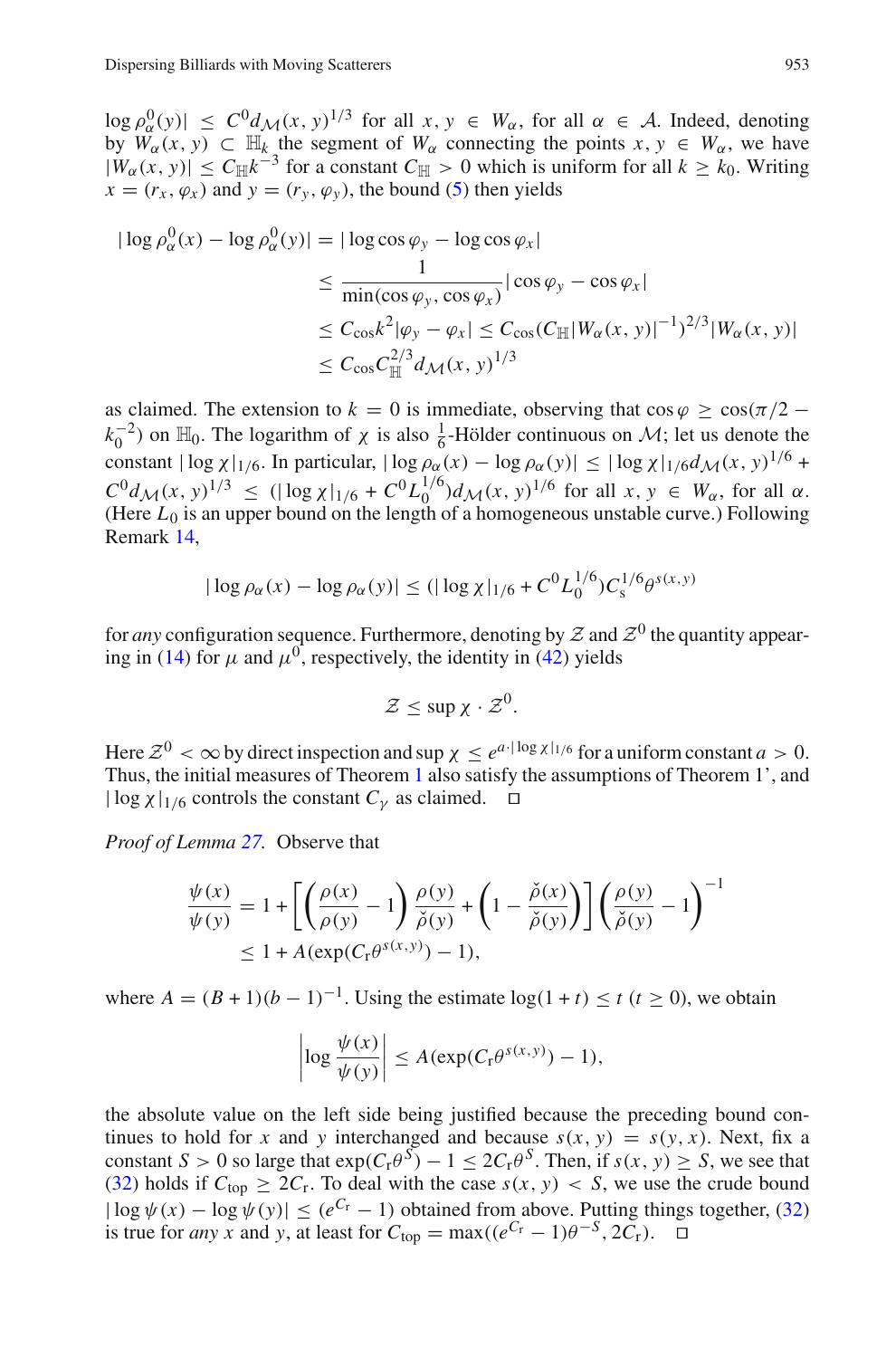$\log \rho_{\alpha}^{0}(y) \leq C^{0} d_{\mathcal{M}}(x, y)^{1/3}$  for all  $x, y \in W_{\alpha}$ , for all  $\alpha \in \mathcal{A}$ . Indeed, denoting by  $\overline{W}_{\alpha}(x, y) \subset \mathbb{H}_{k}$  the segment of  $W_{\alpha}$  connecting the points  $x, y \in W_{\alpha}$ , we have  $|W_\alpha(x, y)| \leq C_H k^{-3}$  for a constant  $C_H > 0$  which is uniform for all  $k \geq k_0$ . Writing  $x = (r_x, \varphi_x)$  and  $y = (r_y, \varphi_y)$ , the bound [\(5\)](#page-10-2) then yields

$$
|\log \rho_{\alpha}^{0}(x) - \log \rho_{\alpha}^{0}(y)| = |\log \cos \varphi_{y} - \log \cos \varphi_{x}|
$$
  
\n
$$
\leq \frac{1}{\min(\cos \varphi_{y}, \cos \varphi_{x})} |\cos \varphi_{y} - \cos \varphi_{x}|
$$
  
\n
$$
\leq C_{\cos} k^{2} |\varphi_{y} - \varphi_{x}| \leq C_{\cos} (C_{\mathbb{H}} |W_{\alpha}(x, y)|^{-1})^{2/3} |W_{\alpha}(x, y)|
$$
  
\n
$$
\leq C_{\cos} C_{\mathbb{H}}^{2/3} d_{\mathcal{M}}(x, y)^{1/3}
$$

as claimed. The extension to  $k = 0$  is immediate, observing that  $\cos \varphi > \cos(\pi/2 - \pi)$  $(k_0^{-2})$  on  $\mathbb{H}_0$ . The logarithm of  $\chi$  is also  $\frac{1}{6}$ -Hölder continuous on  $\mathcal{M}$ ; let us denote the constant  $|\log \chi|_{1/6}$ . In particular,  $|\log \rho_{\alpha}(x) - \log \rho_{\alpha}(y)| \leq |\log \chi|_{1/6} d_{\mathcal{M}}(x, y)^{1/6} +$  $C^0 d_{\mathcal{M}}(x, y)^{1/3} \leq (|\log x|_{1/6} + C^0 L_0^{1/6}) d_{\mathcal{M}}(x, y)^{1/6}$  for all  $x, y \in W_\alpha$ , for all  $\alpha$ . (Here  $L_0$  is an upper bound on the length of a homogeneous unstable curve.) Following Remark [14,](#page-14-5)

$$
|\log \rho_{\alpha}(x) - \log \rho_{\alpha}(y)| \le (|\log \chi|_{1/6} + C^0 L_0^{1/6}) C_s^{1/6} \theta^{s(x,y)}
$$

for *any* configuration sequence. Furthermore, denoting by  $Z$  and  $Z^0$  the quantity appear-ing in [\(14\)](#page-16-1) for  $\mu$  and  $\mu^{0}$ , respectively, the identity in [\(42\)](#page-43-0) yields

$$
\mathcal{Z} \leq \sup \chi \cdot \mathcal{Z}^0.
$$

Here  $\mathcal{Z}^0 < \infty$  by direct inspection and sup  $\chi < e^{a \cdot |\log \chi|_{1/6}}$  for a uniform constant  $a > 0$ . Thus, the initial measures of Theorem [1](#page-5-0) also satisfy the assumptions of Theorem 1', and  $|\log \chi|_{1/6}$  controls the constant  $C_V$  as claimed.  $\Box$ 

*Proof of Lemma [27.](#page-30-2)* Observe that

$$
\frac{\psi(x)}{\psi(y)} = 1 + \left[ \left( \frac{\rho(x)}{\rho(y)} - 1 \right) \frac{\rho(y)}{\check{\rho}(y)} + \left( 1 - \frac{\check{\rho}(x)}{\check{\rho}(y)} \right) \right] \left( \frac{\rho(y)}{\check{\rho}(y)} - 1 \right)^{-1} \le 1 + A(\exp(C_{\tau}\theta^{s(x,y)}) - 1),
$$

where  $A = (B + 1)(b - 1)^{-1}$ . Using the estimate  $log(1 + t) \le t$  (*t* > 0), we obtain

$$
\left|\log \frac{\psi(x)}{\psi(y)}\right| \le A(\exp(C_{\rm r}\theta^{s(x,y)})-1),
$$

the absolute value on the left side being justified because the preceding bound continues to hold for *x* and *y* interchanged and because  $s(x, y) = s(y, x)$ . Next, fix a constant *S* > 0 so large that  $\exp(C_r\theta^s) - 1 \leq 2C_r\theta^s$ . Then, if  $s(x, y) \geq S$ , we see that [\(32\)](#page-30-3) holds if  $C_{\text{top}} \geq 2C_r$ . To deal with the case  $s(x, y) < S$ , we use the crude bound  $|\log \psi(x) - \log \psi(y)| \leq (e^{C_r} - 1)$  obtained from above. Putting things together, [\(32\)](#page-30-3) is true for *any x* and *y*, at least for  $C_{\text{top}} = \max((e^{C_{\text{r}}} - 1)\theta^{-S}, 2C_{\text{r}})$ .  $\square$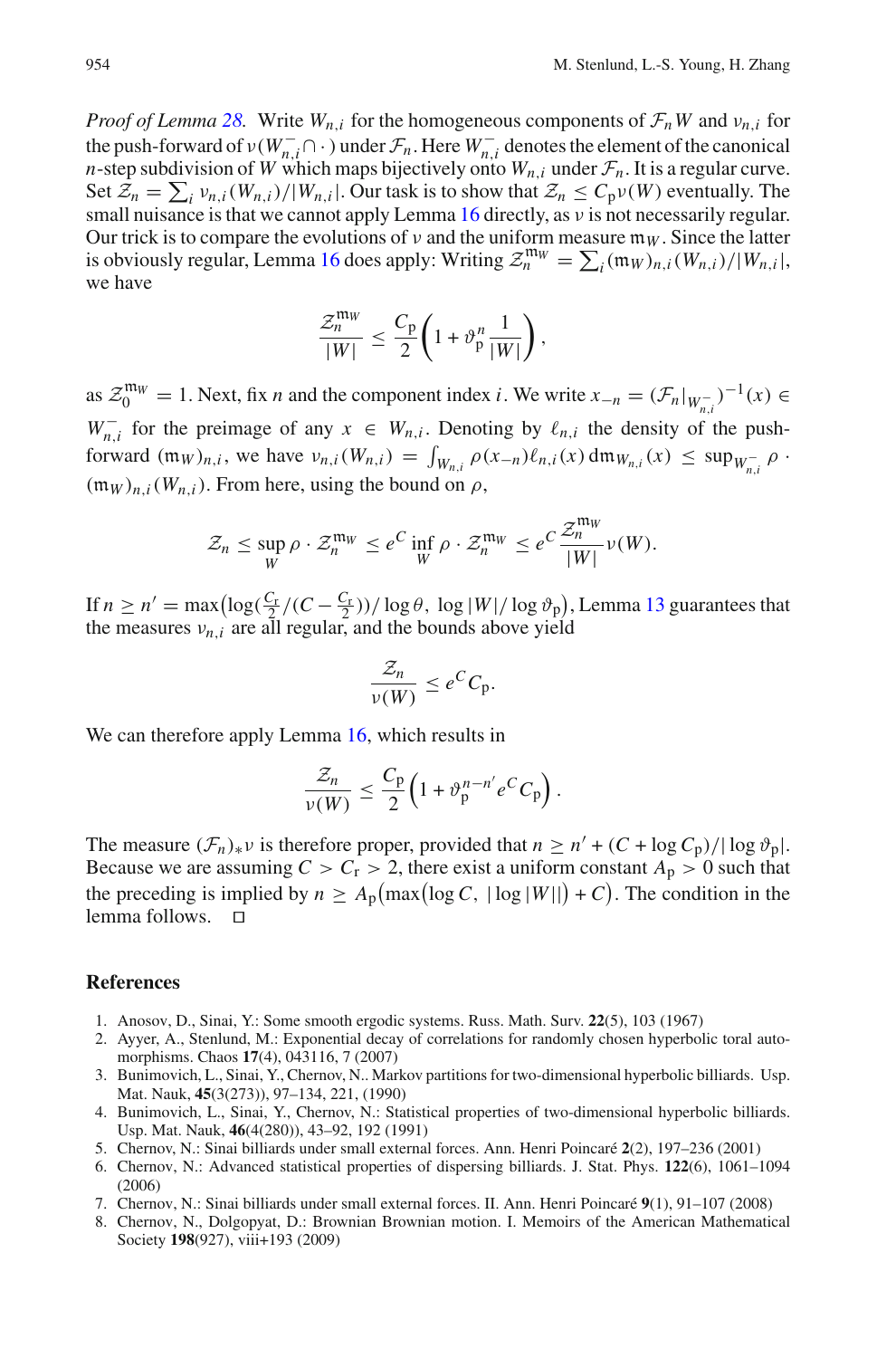*Proof of Lemma [28.](#page-30-4)* Write  $W_n$ , for the homogeneous components of  $\mathcal{F}_n W$  and  $v_n$ , for the push-forward of  $\nu(W_{n,i}^- \cap \cdot)$  under  $\mathcal{F}_n$ . Here  $W_{n,i}^-$  denotes the element of the canonical *n*-step subdivision of *W* which maps bijectively onto  $W_{n,i}$  under  $\mathcal{F}_n$ . It is a regular curve. Set  $Z_n = \sum_i v_{n,i} (W_{n,i})/|W_{n,i}|$ . Our task is to show that  $Z_n \le C_p v(W)$  eventually. The small nuisance is that we cannot apply Lemma  $16$  directly, as  $\nu$  is not necessarily regular. Our trick is to compare the evolutions of  $\nu$  and the uniform measure  $m_W$ . Since the latter is obviously regular, Lemma [16](#page-17-1) does apply: Writing  $\mathcal{Z}_n^{\text{mw}} = \sum_i (\mathfrak{m}_W)_{n,i} (W_{n,i})/|W_{n,i}|$ , we have

$$
\frac{\mathcal{Z}_n^{\mathfrak{m}_W}}{|W|} \leq \frac{C_{\mathfrak{p}}}{2} \left( 1 + \vartheta_{\mathfrak{p}}^n \frac{1}{|W|} \right),
$$

as  $\mathcal{Z}_0^{\mathfrak{m}_W} = 1$ . Next, fix *n* and the component index *i*. We write  $x_{-n} = (\mathcal{F}_n|_{W_{n,i}^-})^{-1}(x) \in$ *W*<sub>n,*i*</sub> for the preimage of any  $x \in W_{n,i}$ . Denoting by  $\ell_{n,i}$  the density of the pushforward  $(\mathfrak{m}_W)_{n,i}$ , we have  $v_{n,i}(W_{n,i}) = \int_{W_{n,i}} \rho(x_{-n}) \ell_{n,i}(x) d\mathfrak{m}_{W_{n,i}}(x) \le \sup_{W_{n,i}^-} \rho$ .  $(\mathfrak{m}_W)_{n,i}(W_{n,i})$ . From here, using the bound on  $\rho$ ,

$$
\mathcal{Z}_n \le \sup_W \rho \cdot \mathcal{Z}_n^{m_W} \le e^C \inf_W \rho \cdot \mathcal{Z}_n^{m_W} \le e^C \frac{\mathcal{Z}_n^{m_W}}{|W|} \nu(W).
$$

If  $n \ge n' = \max\left(\log(\frac{C_r}{2})/((C - \frac{C_r}{2})) / \log \theta$ ,  $\log|W| / \log \vartheta_p\right)$ , Lemma [13](#page-14-0) guarantees that the measures  $v_{n,i}$  are all regular, and the bounds above yield

$$
\frac{\mathcal{Z}_n}{\nu(W)} \leq e^C C_p.
$$

We can therefore apply Lemma [16,](#page-17-1) which results in

$$
\frac{\mathcal{Z}_n}{\nu(W)} \leq \frac{C_p}{2} \Big( 1 + \vartheta_p^{n-n'} e^C C_p \Big).
$$

The measure  $(\mathcal{F}_n)_* v$  is therefore proper, provided that  $n \ge n' + (C + \log C_p)/|\log \vartheta_p|$ . Because we are assuming  $C > C_r > 2$ , there exist a uniform constant  $A_p > 0$  such that the preceding is implied by  $n \ge A_p \left( \max \left( \log C, |\log |W| \right) + C \right)$ . The condition in the lemma follows.

#### <span id="page-45-7"></span>**References**

- 1. Anosov, D., Sinai, Y.: Some smooth ergodic systems. Russ. Math. Surv. **22**(5), 103 (1967)
- <span id="page-45-4"></span>2. Ayyer, A., Stenlund, M.: Exponential decay of correlations for randomly chosen hyperbolic toral automorphisms. Chaos **17**(4), 043116, 7 (2007)
- <span id="page-45-1"></span>3. Bunimovich, L., Sinai, Y., Chernov, N.. Markov partitions for two-dimensional hyperbolic billiards. Usp. Mat. Nauk, **45**(3(273)), 97–134, 221, (1990)
- <span id="page-45-2"></span>4. Bunimovich, L., Sinai, Y., Chernov, N.: Statistical properties of two-dimensional hyperbolic billiards. Usp. Mat. Nauk, **46**(4(280)), 43–92, 192 (1991)
- <span id="page-45-5"></span>5. Chernov, N.: Sinai billiards under small external forces. Ann. Henri Poincaré **2**(2), 197–236 (2001)
- <span id="page-45-3"></span>6. Chernov, N.: Advanced statistical properties of dispersing billiards. J. Stat. Phys. **122**(6), 1061–1094 (2006)
- <span id="page-45-6"></span>7. Chernov, N.: Sinai billiards under small external forces. II. Ann. Henri Poincaré **9**(1), 91–107 (2008)
- <span id="page-45-0"></span>8. Chernov, N., Dolgopyat, D.: Brownian Brownian motion. I. Memoirs of the American Mathematical Society **198**(927), viii+193 (2009)